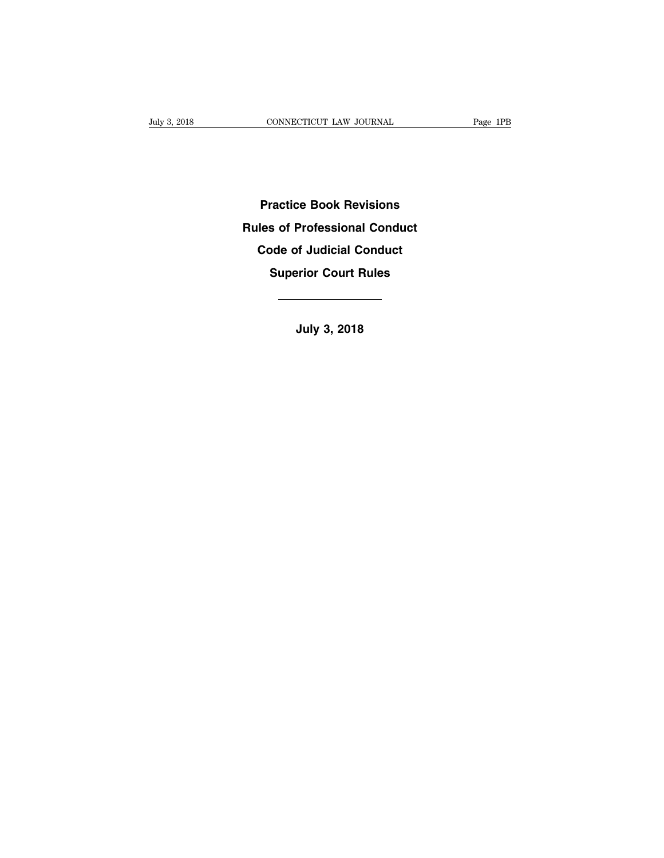**Practice Book Revisions Practice Book Revisions<br>Rules of Professional Conduct<br>Code of Judicial Conduct Practice Book Revisions<br>les of Professional Conduct<br>Code of Judicial Conduct<br>Superior Court Rules Fractice Book Revisions<br>
Superior Conduct<br>
Superior Court Rules<br>
Superior Court Rules<br>
<u>And Autor</u>** Code of Judicial Conduct<br>
Superior Court Rules<br> **July 3, 2018**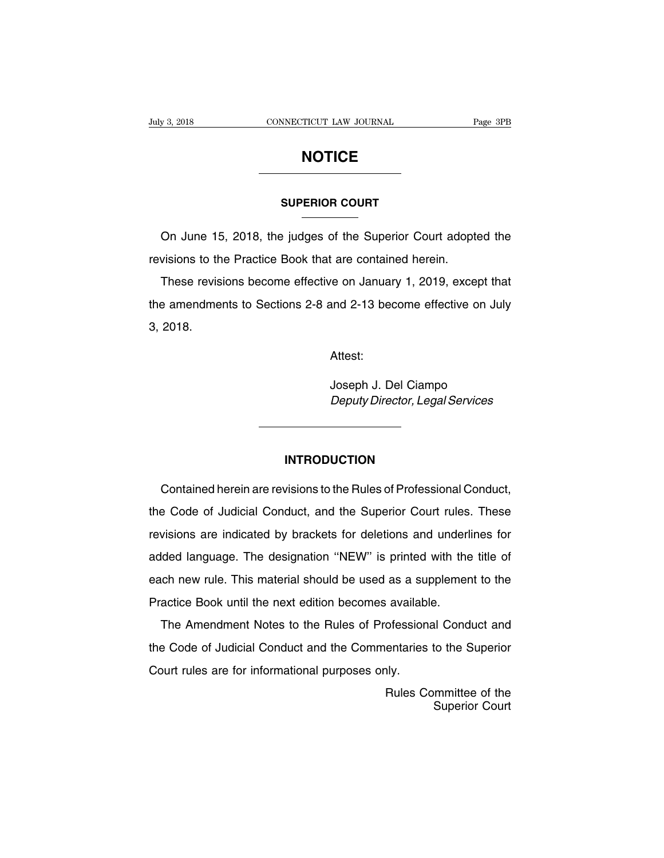### **NOTICE**

## **SUPERIOR COURT**

**NOTICE**<br>
SUPERIOR COURT<br>
On June 15, 2018, the judges of the Superior Court adopted the<br>
visions to the Practice Book that are contained herein. SUPERIOR COURT<br>
On June 15, 2018, the judges of the Superior Court adopter<br>
revisions to the Practice Book that are contained herein.<br>
These revisions become effective on January 1, 2019, exce

SUPERIOR COURT<br>
On June 15, 2018, the judges of the Superior Court adopted the<br>
visions to the Practice Book that are contained herein.<br>
These revisions become effective on January 1, 2019, except that<br>
a amendments to Sec On June 15, 2018, the judges of the Superior Court adopted the<br>revisions to the Practice Book that are contained herein.<br>These revisions become effective on January 1, 2019, except that<br>the amendments to Sections 2-8 and 2 On June 15, 2018, the judges of the Superior Court adopted the revisions to the Practice Book that are contained herein.<br>These revisions become effective on January 1, 2019, except that the amendments to Sections 2-8 and 2 and 2-13 become effective on July<br>Attest:<br>Joseph J. Del Ciampo<br>*Deputy Director, Legal Services* 

Attest:

Deputy Director, Legal Services

### **INTRODUCTION**

Contained herein are revisions to the Rules of Professional Conduct,<br>
Experience of Professional Conduct,<br>
Contained herein are revisions to the Rules of Professional Conduct,<br>
Sode of Judicial Conduct, and the Superior Co INTRODUCTION<br>
Contained herein are revisions to the Rules of Professional Conduct,<br>
the Code of Judicial Conduct, and the Superior Court rules. These<br>
revisions are indicated by brackets for deletions and underlines for INTRODUCTION<br>Contained herein are revisions to the Rules of Professional Conduct,<br>the Code of Judicial Conduct, and the Superior Court rules. These<br>revisions are indicated by brackets for deletions and underlines for<br>added Contained herein are revisions to the Rules of Professional Conduct,<br>the Code of Judicial Conduct, and the Superior Court rules. These<br>revisions are indicated by brackets for deletions and underlines for<br>added language. Th existence of Judicial Conduct, and the Superior Court rules. These<br>revisions are indicated by brackets for deletions and underlines for<br>added language. The designation "NEW" is printed with the title of<br>each new rule. This revisions are indicated by brackets for deletions and underlanded language. The designation "NEW" is printed with the each new rule. This material should be used as a supplemer Practice Book until the next edition becomes Ided language. The designation "NEW" is printed with the title of<br>ch new rule. This material should be used as a supplement to the<br>actice Book until the next edition becomes available.<br>The Amendment Notes to the Rules of P

each new rule. This material should be used as a supplement to the<br>Practice Book until the next edition becomes available.<br>The Amendment Notes to the Rules of Professional Conduct and<br>the Code of Judicial Conduct and the C Practice Book until the next edition becomes availabl<br>The Amendment Notes to the Rules of Profession<br>the Code of Judicial Conduct and the Commentaries<br>Court rules are for informational purposes only.<br>Rules Co ofessional Conduct and<br>entaries to the Superior<br>hly.<br>Rules Committee of the<br>Superior Court d Conduct and<br>to the Superior<br>superior Court<br>Superior Court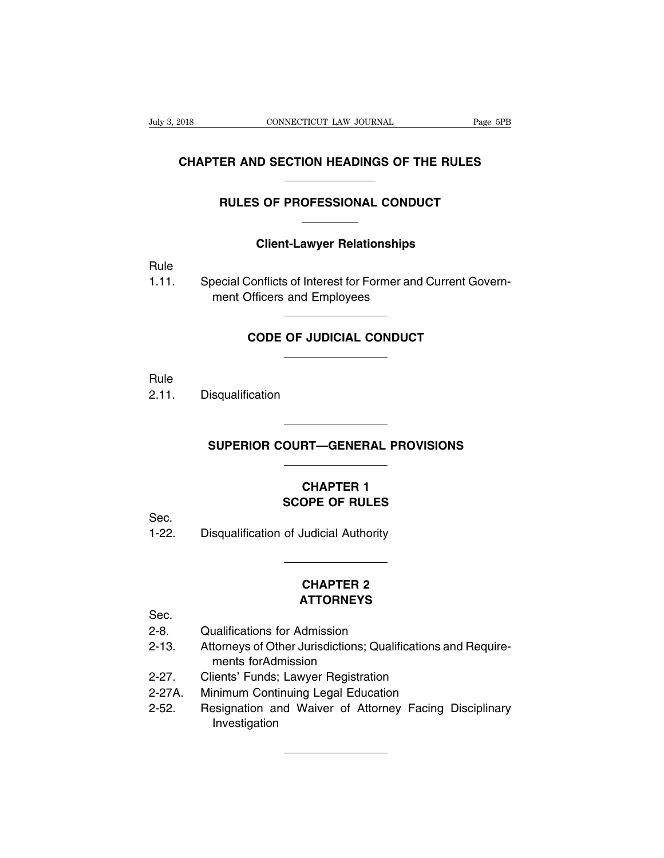### **CONNECTICUT LAW JOURNAL** Page 5PB<br> **CHAPTER AND SECTION HEADINGS OF THE RULES** CONNECTICUT LAW JOURNAL Page 5P.<br> **ER AND SECTION HEADINGS OF THE RULES**<br>
RULES OF PROFESSIONAL CONDUCT **COLIGAT CONDUCT**<br>
Client-Lawyer Relationships<br>
Client-Lawyer Relationships

Rule

RULES OF PROFESSIONAL CONDUCT<br>
Client-Lawyer Relationships<br>
Rule<br>
1.11. Special Conflicts of Interest for Former and Current Govern-<br>
ment Officers and Employees Client-Lawyer Relationships<br>Decial Conflicts of Interest for Former and<br>ment Officers and Employees Conflicts of Interest for Former and Current Government Constructs and Employees<br> **CODE OF JUDICIAL CONDUCT** 

Rule

2.11. Disqualification

# **SUPERIOR COURT—GENERAL PROVISIONS**

### **CHAPTER 1<br>CHAPTER 1<br>CHAPTER 1<br>OPE OF RULES SCOPE OF RULES**<br> **SCOPE OF RULES**<br> **SCOPE OF RULES**<br> **SCOPE OF RULES**

Sec.

SUPERIOR COURT—GENERAL PROVISION<br>
CHAPTER 1<br>
SCOPE OF RULES<br>
1-22. Disqualification of Judicial Authority

### **OPE OF RULES<br>Judicial Authority<br>CHAPTER 2<br>ATTORNEYS ATTORNEYS**

Sec.

- 
- CHAPTER 2<br>
CHAPTER 2<br>
Sec.<br>
2-8. Qualifications for Admission<br>
2-13. Attorneys of Other Jurisdictions; Qualific **CHAPTER 2<br>
ATTORNEYS**<br>
2-8. Qualifications for Admission<br>
2-13. Attorneys of Other Jurisdictions; Qualifications and Require-<br>
ments for Admission<br>
2.27 Cliente' Eugle: Lower Bogistration **CHAPTER 2<br>
ATTORNEYS**<br>
Qualifications for Admission<br>
Attorneys of Other Jurisdictions; Qualifications and Require-<br>
ments forAdmission<br>
Clients' Funds; Lawyer Registration<br>
Minimum Continuing Legal Education **ATTORNEYS**<br>
2-8. Qualifications for Admission<br>
2-13. Attorneys of Other Jurisdictions; Qualifications a<br>
ments for Admission<br>
2-27. Clients' Funds; Lawyer Registration<br>
2-27A. Minimum Continuing Legal Education<br>
2-52. Pes Sec.<br>
2-8. Qualifications for Admission<br>
2-13. Attorneys of Other Jurisdictions; Qualifications and<br>
ments for Admission<br>
2-27. Clients' Funds; Lawyer Registration<br>
2-27A. Minimum Continuing Legal Education<br>
2-52. Resignat 2-8. Qualifications for Admission<br>2-13. Attorneys of Other Jurisdictions; Qualifications and Require-<br>ments for Admission<br>2-27. Clients' Funds; Lawyer Registration<br>2-27A. Minimum Continuing Legal Education<br>2-52. Resignatio
- 
- 
- Investigation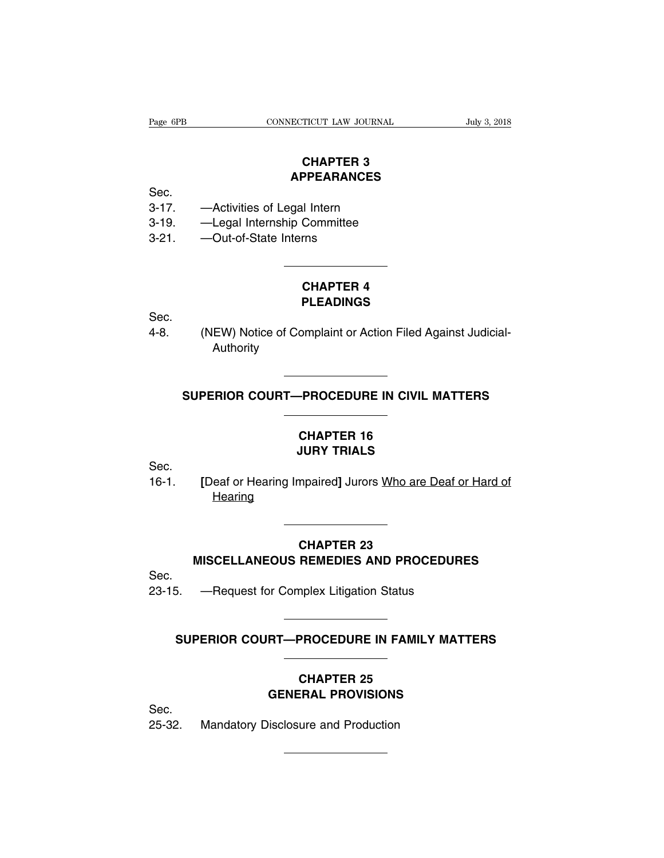### **TICUT LAW JOURNAL<br>CHAPTER 3<br>PPEARANCES APPEARANCES**

Sec.

- 
- Page 6PB<br>
CONNECTICUT LAW JOURNAL<br>
CHAPTER 3<br>
Sec.<br>
3-17. —Activities of Legal Intern<br>
3-19. —Legal Internship Committee<br>
2.21. Qut of State Interne CHAPTER 3<br>
Sec.<br>
3-17. —Activities of Legal Intern<br>
3-19. —Legal Internship Committee<br>
3-21. —Out-of-State Interns CHAPTER 3<br>
Sec.<br>
3-17. —Activities of Legal Intern<br>
3-19. —Legal Internship Committee<br>
3-21. —Out-of-State Interns
- 

### <sup>ll</sup> Intern<br>Committee<br>rns<br>CHAPTER 4<br>PLEADINGS **PLEADINGS**

Sec.

CHAPTER 4<br>
PLEADINGS<br>
4-8. (NEW) Notice of Complaint or Action Filed Against Judicial-<br>
Authority Authority (NEW) Notice of Complaint or Action Filed Against Judicial-<br>Authority<br>SUPERIOR COURT—PROCEDURE IN CIVIL MATTERS

### **CHAPTER 16** THE TROCEDURE IN CIVIL MANNET TRIALS

Sec.

SUPERIOR COURT—PROCEDURE IN CIVIL MATTERS<br>
CHAPTER 16<br>
Sec.<br>
16-1. [Deaf or Hearing Impaired] Jurors <u>Who are Deaf or Hard of</u><br>
Hearing Hearing [Deaf or Hearing Impaired] Jurors <u>Who are Deaf or Hard of Hearing</u><br> **CHAPTER 23**<br>
MISCELLANEOUS REMEDIES AND PROCEDURES<br>
Poquest for Complex Litigation Status

## **CHAPTER 23** CHAPTER 23<br>MISCELLANEOUS REMEDIES AND PROCEDURE<br>23-15. —Request for Complex Litigation Status MISCELLANEOUS REMEDIES AND PROCEDURES<br>
5. — Request for Complex Litigation Status<br>
SUPERIOR COURT—PROCEDURE IN FAMILY MATTERS

Sec.

### **CHAPTER 25<br>CHAPTER 25<br>CHAPTER 25<br>CHAPTER 25 GENERAL PROCEDURE IN FAMILY MATTE<br>
CHAPTER 25<br>
GENERAL PROVISIONS**<br>
GENERAL PROVISIONS SUPERIOR COURT—PROCEDURE IN F

Sec.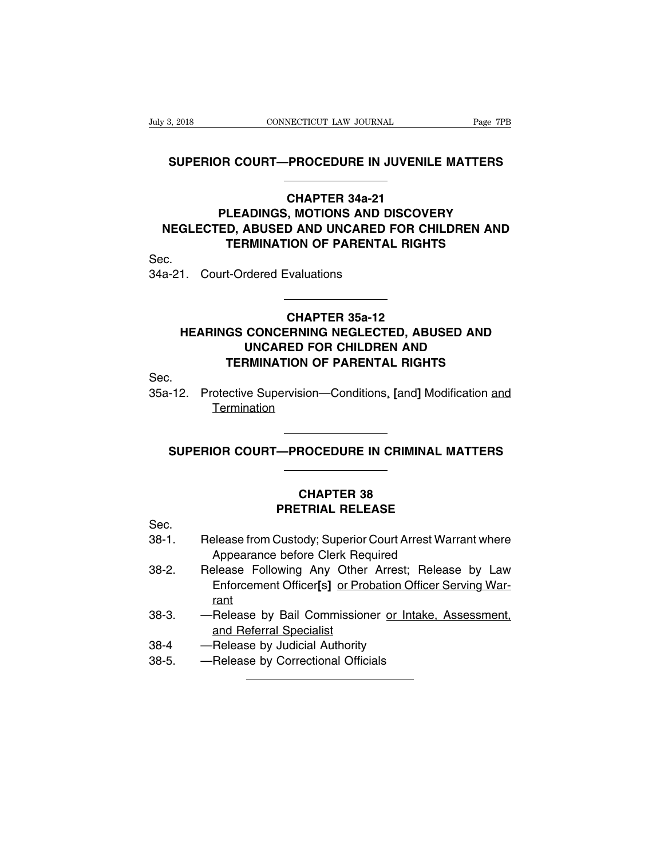# **S, 2018**<br> **SUPERIOR COURT—PROCEDURE IN JUVENILE MATTERS**

### **CONNECTICUT LAW JOURNAL** Page 7PB<br> **CHAPTER 34a-21**<br> **CHAPTER 34a-21<br>
PLEADINGS, MOTIONS AND DISCOVERY<br>
NEGLECTED, ABUSED AND UNCARED FOR CHILDREN AND PROCEDURE IN JUVENILE MATTERS<br>
CHAPTER 34a-21<br>
PLEADINGS, MOTIONS AND DISCOVERY<br>
ED, ABUSED AND UNCARED FOR CHILDREN AND<br>
TEPMINATION OF BAPENTAL PIGHTS** SUPERIOR COURT—PROCEDURE IN JUVENILE MATTERS<br>
CHAPTER 34a-21<br>
PLEADINGS, MOTIONS AND DISCOVERY<br>
NEGLECTED, ABUSED AND UNCARED FOR CHILDREN AND<br>
TERMINATION OF PARENTAL RIGHTS **TERMINATION OF PARENTAL RIGHTS**<br>
TEADINGS, MOTIONS AND DISCOVERY<br>
D, ABUSED AND UNCARED FOR CHILDREN AND<br>
TERMINATION OF PARENTAL RIGHTS<br>
TERMINATION OF PARENTAL RIGHTS<br>
TERMINATION OF PARENTAL RIGHTS CHAPTER 34a-21<br>PLEADINGS, MOTIONS AND DI<br>NEGLECTED, ABUSED AND UNCARED F<br>TERMINATION OF PARENTAL<br>Sec.<br>34a-21. Court-Ordered Evaluations

Sec.

### **CHAPTER 35a-12<br>
CHAPTER 35a-12<br>
CHAPTER 35a-12<br>
CHAPTER 35a-12<br>
CHAPTER 35a-12<br>
FD FOR CHILDBEN AND HEARING TION OF PANENTAL MIGHTS**<br>
1. Court-Ordered Evaluations<br> **CHAPTER 35a-12**<br> **HEARINGS CONCERNING NEGLECTED, ABUSED AND<br>
UNCARED FOR CHILDREN AND<br>
TEPMINATION OF PAPENTAL PIGHTS THE CONDUCTS CONCERNING NEGLECTED, ABUSED AND<br>
UNCARED FOR CHILDREN AND<br>
THE CONCERNING NEGLECTED, ABUSED AND<br>
UNCARED FOR CHILDREN AND<br>
THE RIGHTS TERMINATION OF PARENTAL RIGHTS**<br> **TERMINATION OF PARENTAL RIGHTS**<br> **TERMINATION OF PARENTAL RIGHTS**<br> **PARENTAL RIGHTS** CHAPTER 35a-12<br>
HEARINGS CONCERNING NEGLECTED, ABUSED AND<br>
UNCARED FOR CHILDREN AND<br>
TERMINATION OF PARENTAL RIGHTS<br>
Sec.<br>
35a-12. Protective Supervision—Conditions, [and] Modification <u>and</u><br>
Termination

Sec.

**Termination** FERMINATION OF PARENTAL RIGHTS<br>-12. Protective Supervision—Conditions, [and] Modification <u>and<br>Termination</u><br>SUPERIOR COURT—PROCEDURE IN CRIMINAL MATTERS

### **CHAPTER 38<br>CHAPTER 38<br>CHAPTER 38<br>CHAPTER 38 PROCEDURE IN CRIMINAL MAT<br>
CHAPTER 38<br>
PRETRIAL RELEASE<br>
PRETRIAL RELEASE**

Sec.

- 38-2. Release Following Any Other Arrest: Bologne May 1998-2.<br>Bec.<br>Bec. Release from Custody; Superior Court Arrest Warrant where<br>Appearance before Clerk Required **CHAPTER 38<br>
PRETRIAL RELEASE<br>
Selease from Custody; Superior Court Arrest Ware<br>
Appearance before Clerk Required<br>
Selease Following Any Other Arrest; Release**
- CHAPTER 38<br>
Sec.<br>
38-1. Release from Custody; Superior Court Arrest Warrant where<br>
4 Appearance before Clerk Required<br>
38-2. Release Following Any Other Arrest; Release by Law<br>
Enforcement Officer[s] <u>or Probation Officer </u> **PRETRIAL RELEASE**<br>
Please from Custody; Superior Court Arrest Warrant where<br>
Appearance before Clerk Required<br>
Please Following Any Other Arrest; Release by Law<br>
Enforcement Officer[s] <u>or Probation Officer Serving War-<br>
</u> rant 38-1. Release from Custody; Superior Court Arrest Warrant where<br>
Appearance before Clerk Required<br>
38-2. Release Following Any Other Arrest; Release by Law<br>
Enforcement Officer[s] or Probation Officer Serving War-<br>
rant<br>
3 Release from Custody; Superior Court Arrest Warrant where<br>
Appearance before Clerk Required<br>
Release Following Any Other Arrest; Release by Law<br>
Enforcement Officer[s] or Probation Officer Serving War-<br>
rant<br>
—Release by B 38-2. Release Following Any Other Arrest; Inforcement Officer[s] or Probation Off<br>
138-3. — Release by Bail Commissioner or Inta<br>
28-4 — Release by Judicial Authority<br>
38-5. — Release by Correctional Officials Enforcement Officer[s] or Probat<br>
rant<br>
38-3. — Release by Bail Commissioner<br>
and Referral Specialist<br>
38-4 — Release by Judicial Authority<br>
38-5. — Release by Correctional Officials
- 
- 
-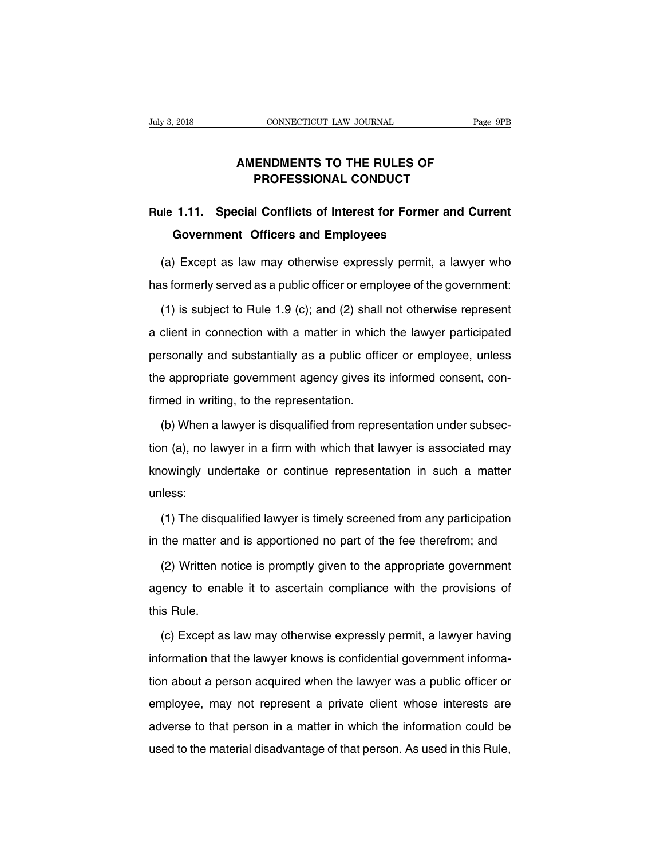### **CONNECTICUT LAW JOURNAL** Page 9<br> **AMENDMENTS TO THE RULES OF<br>
PROFESSIONAL CONDUCT PROFESSIONAL CONDUCT<br>
PROFESSIONAL CONDUCT<br>
PROFESSIONAL CONDUCT**

### **RULES OF**<br> **RULES OF**<br> **RULES OF**<br> **RULE 1.11.** Special Conflicts of Interest for Former and Current<br>
Government Officers and Employees **AMENDMENTS TO THE RULES OF<br>PROFESSIONAL CONDUCT<br>1.11. Special Conflicts of Interest for Former a<br>Government Officers and Employees<br>Fxcept as law may otherwise expressly permit a** PROFESSIONAL CONDUCT<br>
Ile 1.11. Special Conflicts of Interest for Former and Current<br>
Government Officers and Employees<br>
(a) Except as law may otherwise expressly permit, a lawyer who<br>
is formerly served as a public office Rule 1.11. Special Conflicts of Interest for Former and Current<br>Government Officers and Employees<br>(a) Except as law may otherwise expressly permit, a lawyer who<br>has formerly served as a public officer or employee of the go

Government Officers and Employees<br>
(a) Except as law may otherwise expressly permit, a lawyer who<br>
is formerly served as a public officer or employee of the government:<br>
(1) is subject to Rule 1.9 (c); and (2) shall not ot (a) Except as law may otherwise expressly permit, a lawyer who<br>has formerly served as a public officer or employee of the government:<br>(1) is subject to Rule 1.9 (c); and (2) shall not otherwise represent<br>a client in connec has formerly served as a public officer or employee of the government:<br>
(1) is subject to Rule 1.9 (c); and (2) shall not otherwise represent<br>
a client in connection with a matter in which the lawyer participated<br>
personal (1) is subject to Rule 1.9 (c); and (2) shall not otherwise represent<br>a client in connection with a matter in which the lawyer participated<br>personally and substantially as a public officer or employee, unless<br>the appropri First definition of the representation and distantially as a public official<br>the appropriate government agency gives its<br>firmed in writing, to the representation.<br>(b) When a lawyer is disqualified from repre Friendly and substantially as a public officer or employee, unless<br>a appropriate government agency gives its informed consent, con-<br>med in writing, to the representation.<br>(b) When a lawyer is disqualified from representati

the appropriate government agency gives its informed consent, confirmed in writing, to the representation.<br>
(b) When a lawyer is disqualified from representation under subsection (a), no lawyer in a firm with which that la firmed in writing, to the representation.<br>
(b) When a lawyer is disqualified from representation under subsection (a), no lawyer in a firm with which that lawyer is associated may<br>
knowingly undertake or continue represent unless: (1) The disqualified lawyer is timely screened from any participation<br>(1) The disqualified lawyer is timely screened from any participation<br>the matter and is apportioned no part of the fee therefrom; and knowingly undertake or continue representation in such a matter unless:<br>
(1) The disqualified lawyer is timely screened from any participation<br>
in the matter and is apportioned no part of the fee therefrom; and<br>
(2) Writte

(1) The disqualified lawyer is timely screened from any participation<br>the matter and is apportioned no part of the fee therefrom; and<br>(2) Written notice is promptly given to the appropriate government<br>lency to enable it to (1) The disqualified lawyer is timely screened from any participation<br>in the matter and is apportioned no part of the fee therefrom; and<br>(2) Written notice is promptly given to the appropriate government<br>agency to enable i in the matter and<br>
(2) Written not<br>
agency to enal<br>
this Rule.<br>
(c) Except as (2) Written notice is promptly given to the appropriate government<br>lency to enable it to ascertain compliance with the provisions of<br>s Rule.<br>(c) Except as law may otherwise expressly permit, a lawyer having<br>iormation that

information that the lawyer knows is confidential government information about a person acquired when the lawyer was a public officer or the lawyer same informa-<br>ion about a person acquired when the lawyer was a public off this Rule.<br>
(c) Except as law may otherwise expressly permit, a lawyer having<br>
information that the lawyer knows is confidential government informa-<br>
tion about a person acquired when the lawyer was a public officer or<br>
em (c) Except as law may otherwise expressly permit, a lawyer having<br>information that the lawyer knows is confidential government informa-<br>tion about a person acquired when the lawyer was a public officer or<br>employee, may not information that the lawyer knows is confidential government information about a person acquired when the lawyer was a public officer or employee, may not represent a private client whose interests are adverse to that pers unctination that the lawyer knows is confidential geventment information<br>tion about a person acquired when the lawyer was a public officer or<br>employee, may not represent a private client whose interests are<br>adverse to that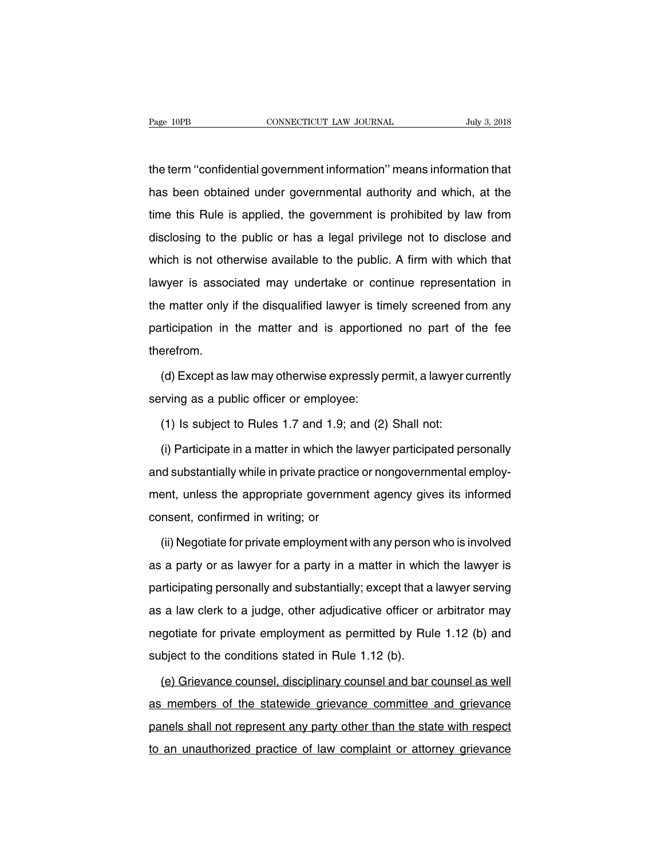The term  $\frac{1}{100}$  connecticut LAW JOURNAL July 3, 2018<br>the term "confidential government information" means information that<br>has been obtained under governmental authority and which, at the has been obtained under government information" means information that<br>the term "confidential government information" means information that<br>thas been obtained under governmental authority and which, at the<br>time this Rule the term "confidential government information" means information that<br>has been obtained under governmental authority and which, at the<br>time this Rule is applied, the government is prohibited by law from<br>disclosing to the p the term "confidential government information" means information that<br>has been obtained under governmental authority and which, at the<br>time this Rule is applied, the government is prohibited by law from<br>disclosing to the p the term commodial governmental authority and which, at the<br>time this Rule is applied, the government is prohibited by law from<br>disclosing to the public or has a legal privilege not to disclose and<br>which is not otherwise a law seen estanded and geven mental dationly and which, at the time this Rule is applied, the government is prohibited by law from disclosing to the public or has a legal privilege not to disclose and which is not otherwise disclosing to the public or has a legal privilege not to disclose and<br>which is not otherwise available to the public. A firm with which that<br>lawyer is associated may undertake or continue representation in<br>the matter only which is not otherwise available to the public. A firm with which that<br>lawyer is associated may undertake or continue representation in<br>the matter only if the disqualified lawyer is timely screened from any<br>participation i therefrom. e matter only if the disqualified lawyer is timely screened from any<br>
riticipation in the matter and is apportioned no part of the fee<br>
erefrom.<br>
(d) Except as law may otherwise expressly permit, a lawyer currently<br>
rving participation in the matter and is apportion<br>therefrom.<br>(d) Except as law may otherwise expressly p<br>serving as a public officer or employee:<br>(1) Is subject to Rules 1.7 and 1.9; and (2)

erefrom.<br>(d) Except as law may otherwise expressly permit, a lawyer c<br>rving as a public officer or employee:<br>(1) Is subject to Rules 1.7 and 1.9; and (2) Shall not:<br>(i) Participate in a matter in which the lawyer participa

(d) Except as law may otherwise expressly permit, a lawyer currently<br>rving as a public officer or employee:<br>(1) Is subject to Rules 1.7 and 1.9; and (2) Shall not:<br>(i) Participate in a matter in which the lawyer participat serving as a public officer or employee:<br>
(1) Is subject to Rules 1.7 and 1.9; and (2) Shall not:<br>
(i) Participate in a matter in which the lawyer participated personally<br>
and substantially while in private practice or non (1) Is subject to Rules 1.7 and 1.9; and (2) Shall not:<br>
(i) Participate in a matter in which the lawyer participated personally<br>
and substantially while in private practice or nongovernmental employ-<br>
ment, unless the app (i) Participate in a matter in which the<br>and substantially while in private practice<br>ment, unless the appropriate governme<br>consent, confirmed in writing; or<br>(ii) Negotiate for private employment v In the substantially while in private practice or nongovernmental employ-<br>
ent, unless the appropriate government agency gives its informed<br>
nsent, confirmed in writing; or<br>
(ii) Negotiate for private employment with any p

ment, unless the appropriate government agency gives its informed<br>consent, confirmed in writing; or<br>(ii) Negotiate for private employment with any person who is involved<br>as a party or as lawyer for a party in a matter in w consent, confirmed in writing; or<br>
(ii) Negotiate for private employment with any person who is involved<br>
as a party or as lawyer for a party in a matter in which the lawyer is<br>
participating personally and substantially; (ii) Negotiate for private employment with any person who is involved<br>as a party or as lawyer for a party in a matter in which the lawyer is<br>participating personally and substantially; except that a lawyer serving<br>as a la as a party or as lawyer for a party in a matter in which the lawyer is<br>participating personally and substantially; except that a lawyer serving<br>as a law clerk to a judge, other adjudicative officer or arbitrator may<br>negot as a party of as lawyer for a party in a matter in whish<br>participating personally and substantially; except that a<br>as a law clerk to a judge, other adjudicative officer or<br>negotiate for private employment as permitted by R (a) Grievance counsel, other adjudicative officer or arbitrator may gotiate for private employment as permitted by Rule 1.12 (b) and bject to the conditions stated in Rule 1.12 (b).<br>(e) Grievance counsel, disciplinary coun

negotiate for private employment as permitted by Rule 1.12 (b) and<br>subject to the conditions stated in Rule 1.12 (b).<br>(e) Grievance counsel, disciplinary counsel and bar counsel as well<br>as members of the statewide grievanc subject to the conditions stated in Rule 1.12 (b).<br>
(e) Grievance counsel, disciplinary counsel and bar counsel as well<br>
as members of the statewide grievance committee and grievance<br>
panels shall not represent any party o (e) Grievance counsel, disciplinary counsel and bar counsel as well<br>as members of the statewide grievance committee and grievance<br>panels shall not represent any party other than the state with respect<br>to an unauthorized pr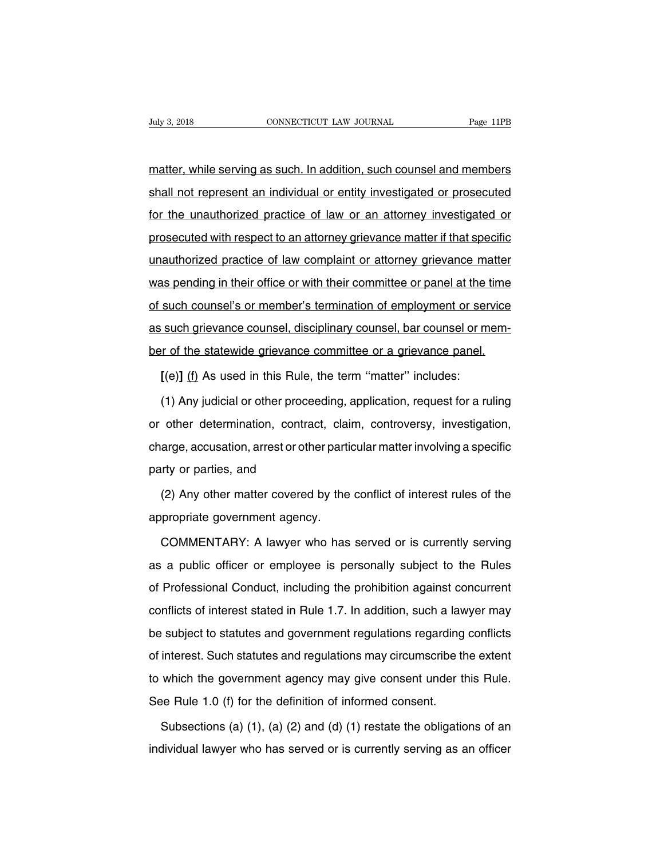Figure 3, 2018<br>
matter, while serving as such. In addition, such counsel and members<br>
shall not represent an individual or entity investigated or prosecuted Fage 11PB<br>matter, while serving as such. In addition, such counsel and members<br>shall not represent an individual or entity investigated or prosecuted<br>for the unauthorized practice of law or an attorney investigated or matter, while serving as such. In addition, such counsel and members<br>shall not represent an individual or entity investigated or prosecuted<br>for the unauthorized practice of law or an attorney investigated or<br>prosecuted wit matter, while serving as such. In addition, such counsel and members<br>shall not represent an individual or entity investigated or prosecuted<br>for the unauthorized practice of law or an attorney investigated or<br>prosecuted wit shall not represent an individual or entity investigated or prosecuted<br>for the unauthorized practice of law or an attorney investigated or<br>prosecuted with respect to an attorney grievance matter if that specific<br>unauthoriz for the unauthorized practice of law or an attorney investigated or<br>prosecuted with respect to an attorney grievance matter if that specific<br>unauthorized practice of law complaint or attorney grievance matter<br>was pending i prosecuted with respect to an attorney grievance matter if that specific<br>unauthorized practice of law complaint or attorney grievance matter<br>was pending in their office or with their committee or panel at the time<br>of such and the matter is an alterney grievance matter in that opective unauthorized practice of law complaint or attorney grievance matter was pending in their office or with their committee or panel at the time of such counsel's was pending in their office or with their committee or panel at the time<br>of such counsel's or member's termination of employment or service<br>as such grievance counsel, disciplinary counsel, bar counsel or mem-<br>ber of the st **EXECUTE: Such counsel's or member's termination of employment or ser<br>
<b>EXECUTE: SUCH AS USECUTE:** Such grievance counsel, bar counsel or m<br>
If the statewide grievance committee or a grievance panel.<br> **[(e)]** (f) As used i such grievance counsel, disciplinary counsel, bar counsel or mem-<br>in the statewide grievance committee or a grievance panel.<br>[(e)] (f) As used in this Rule, the term "matter" includes:<br>(1) Any judicial or other proceeding,

ber of the statewide grievance committee or a grievance panel.<br>
[(e)] (f) As used in this Rule, the term "matter" includes:<br>
(1) Any judicial or other proceeding, application, request for a ruling<br>
or other determination, [(e)] (f) As used in this Rule, the term "matter" includes:<br>
(1) Any judicial or other proceeding, application, request for a ruling<br>
or other determination, contract, claim, controversy, investigation,<br>
charge, accusation (1) Any judicial or other proces<br>or other determination, contrase<br>charge, accusation, arrest or other<br>party or parties, and<br>(2) Any other matter covered other determination, contract, claim, controversy, investigation,<br>arge, accusation, arrest or other particular matter involving a specific<br>irty or parties, and<br>(2) Any other matter covered by the conflict of interest rules charge, accusation, arrest or other partionally party or parties, and<br>
(2) Any other matter covered by the<br>
appropriate government agency.<br>
COMMENTARY: A lawyer who has

rty or parties, and<br>(2) Any other matter covered by the conflict of interest rules of the<br>propriate government agency.<br>COMMENTARY: A lawyer who has served or is currently serving<br>a public officer or employee is personally (2) Any other matter covered by the conflict of interest rules of the<br>appropriate government agency.<br>COMMENTARY: A lawyer who has served or is currently serving<br>as a public officer or employee is personally subject to the appropriate government agency.<br>
COMMENTARY: A lawyer who has served or is currently serving<br>
as a public officer or employee is personally subject to the Rules<br>
of Professional Conduct, including the prohibition against co COMMENTARY: A lawyer who has served or is currently serving<br>as a public officer or employee is personally subject to the Rules<br>of Professional Conduct, including the prohibition against concurrent<br>conflicts of interest sta Be subject to the Rules<br>as a public officer or employee is personally subject to the Rules<br>of Professional Conduct, including the prohibition against concurrent<br>conflicts of interest stated in Rule 1.7. In addition, such a of Professional Conduct, including the prohibition against concurrent<br>conflicts of interest stated in Rule 1.7. In addition, such a lawyer may<br>be subject to statutes and government regulations regarding conflicts<br>of intere conflicts of interest stated in Rule 1.7. In addition, such a lawyer may<br>be subject to statutes and government regulations regarding conflicts<br>of interest. Such statutes and regulations may circumscribe the extent<br>to which be subject to statutes and government regulations regarding<br>of interest. Such statutes and regulations may circumscribe the<br>to which the government agency may give consent under th<br>See Rule 1.0 (f) for the definition of in interest. Such statutes and regulations may circumscribe the extent<br>which the government agency may give consent under this Rule.<br>see Rule 1.0 (f) for the definition of informed consent.<br>Subsections (a) (1), (a) (2) and (d to which the government agency may give consent under this Rule.<br>See Rule 1.0 (f) for the definition of informed consent.<br>Subsections (a) (1), (a) (2) and (d) (1) restate the obligations of an individual lawyer who has se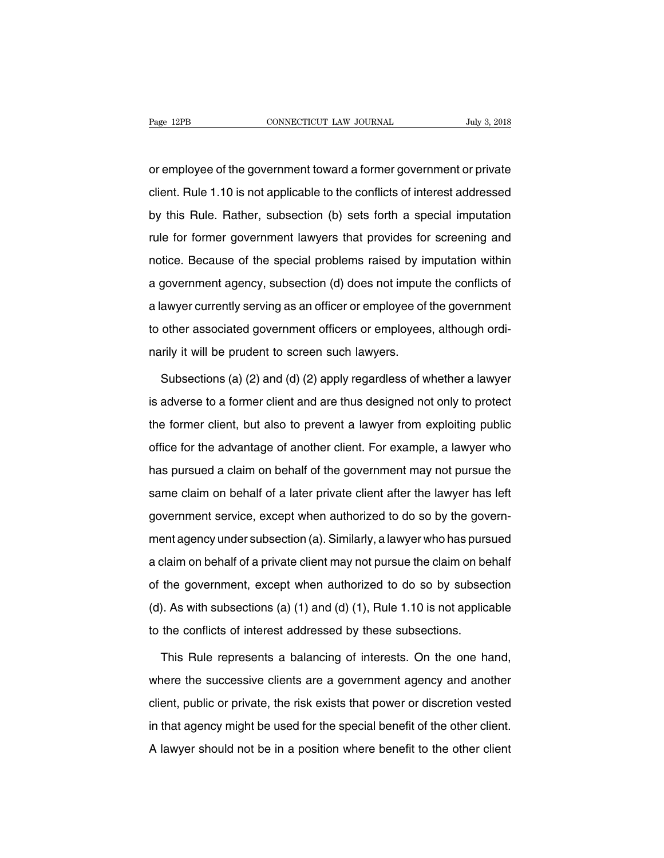Page 12PB<br>
connectricut LAW JOURNAL<br>
or employee of the government toward a former government or private<br>
client. Rule 1.10 is not applicable to the conflicts of interest addressed Page 12PB CONNECTICUT LAW JOURNAL July 3, 2018<br>
or employee of the government toward a former government or private<br>
client. Rule 1.10 is not applicable to the conflicts of interest addressed<br>
by this Rule. Rather, subsect or employee of the government toward a former government or private<br>client. Rule 1.10 is not applicable to the conflicts of interest addressed<br>by this Rule. Rather, subsection (b) sets forth a special imputation<br>rule for f or employee of the government toward a former government or private<br>client. Rule 1.10 is not applicable to the conflicts of interest addressed<br>by this Rule. Rather, subsection (b) sets forth a special imputation<br>rule for f client. Rule 1.10 is not applicable to the conflicts of interest addressed<br>by this Rule. Rather, subsection (b) sets forth a special imputation<br>rule for former government lawyers that provides for screening and<br>notice. Bec by this Rule. Rather, subsection (b) sets forth a special imputation<br>rule for former government lawyers that provides for screening and<br>notice. Because of the special problems raised by imputation within<br>a government agenc a lawyer currently serving as an officer or employees, although ordinal provides for screening and notice. Because of the special problems raised by imputation within a government agency, subsection (d) does not impute the tate for former government langue that profited tor externing and<br>notice. Because of the special problems raised by imputation within<br>a government agency, subsection (d) does not impute the conflicts of<br>a lawyer currently narily is used to the opposite pressure rate of  $\mu$ <br>a government agency, subsection (d) does not impute<br>a lawyer currently serving as an officer or employee of<br>to other associated government officers or employees<br>narily i awyer currently serving as an officer or employee of the government<br>other associated government officers or employees, although ordi-<br>rily it will be prudent to screen such lawyers.<br>Subsections (a) (2) and (d) (2) apply re

is adverse to a former difficers or employees, although ordinarily it will be prudent to screen such lawyers.<br>Subsections (a) (2) and (d) (2) apply regardless of whether a lawyer<br>is adverse to a former client and are thus narily it will be prudent to screen such lawyers.<br>Subsections (a) (2) and (d) (2) apply regardless of whether a lawyer<br>is adverse to a former client and are thus designed not only to protect<br>the former client, but also to Subsections (a) (2) and (d) (2) apply regardless of whether a lawyer<br>is adverse to a former client and are thus designed not only to protect<br>the former client, but also to prevent a lawyer from exploiting public<br>office for is adverse to a former client and are thus designed not only to protect<br>the former client, but also to prevent a lawyer from exploiting public<br>office for the advantage of another client. For example, a lawyer who<br>has purs same client, but also to prevent a lawyer from exploiting public<br>office for the advantage of another client. For example, a lawyer who<br>has pursued a claim on behalf of the government may not pursue the<br>same claim on behalf the former client, but also to prevent a lawyer from exploiting public<br>office for the advantage of another client. For example, a lawyer who<br>has pursued a claim on behalf of the government may not pursue the<br>same claim on med to the detainage of anomic under should transfer a lawyer time<br>has pursued a claim on behalf of the government may not pursue the<br>same claim on behalf of a later private client after the lawyer has left<br>government serv a claim on behalf of a later private client after the lawyer has left<br>government service, except when authorized to do so by the govern-<br>ment agency under subsection (a). Similarly, a lawyer who has pursued<br>a claim on beha government service, except when authorized to do so by the government agency under subsection (a). Similarly, a lawyer who has pursued<br>a claim on behalf of a private client may not pursue the claim on behalf<br>of the governm ment agency under subsection (a). Similarly, a lawyer who has pursued<br>a claim on behalf of a private client may not pursue the claim on behalf<br>of the government, except when authorized to do so by subsection<br>(d). As with s a claim on behalf of a private client may not pursue the claim on behalf<br>of the government, except when authorized to do so by subsection<br>(d). As with subsections (a) (1) and (d) (1), Rule 1.10 is not applicable<br>to the con the government, except when authorized to do so by subsection<br>
). As with subsections (a) (1) and (d) (1), Rule 1.10 is not applicable<br>
the conflicts of interest addressed by these subsections.<br>
This Rule represents a bala

(d). As with subsections (a) (1) and (d) (1), Rule 1.10 is not applicable<br>to the conflicts of interest addressed by these subsections.<br>This Rule represents a balancing of interests. On the one hand,<br>where the successive cl to the conflicts of interest addressed by these subsections.<br>This Rule represents a balancing of interests. On the one hand,<br>where the successive clients are a government agency and another<br>client, public or private, the r This Rule represents a balancing of interests. On the one hand,<br>where the successive clients are a government agency and another<br>client, public or private, the risk exists that power or discretion vested<br>in that agency mig where the successive clients are a government agency and another<br>client, public or private, the risk exists that power or discretion vested<br>in that agency might be used for the special benefit of the other client.<br>A lawyer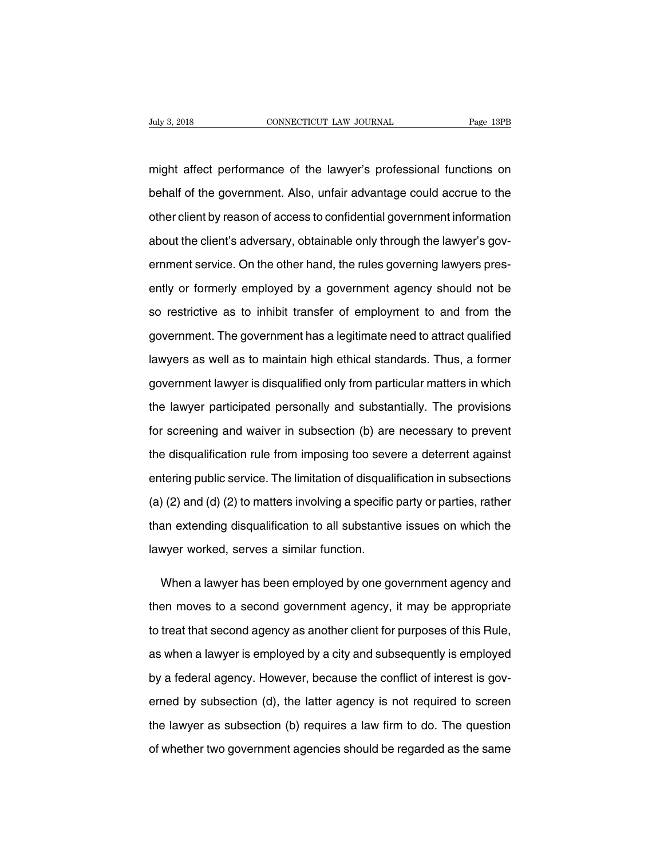Fage 13PB<br>might affect performance of the lawyer's professional functions on<br>behalf of the government. Also, unfair advantage could accrue to the behalf of the government. Also, unfair advantage could accrue to the domer client by reason of access to confidential government information might affect performance of the lawyer's professional functions on<br>behalf of the government. Also, unfair advantage could accrue to the<br>other client by reason of access to confidential government information<br>about the clie might affect performance of the lawyer's professional functions on<br>behalf of the government. Also, unfair advantage could accrue to the<br>other client by reason of access to confidential government information<br>about the clie behalf of the government. Also, unfair advantage could accrue to the<br>other client by reason of access to confidential government information<br>about the client's adversary, obtainable only through the lawyer's gov-<br>ernment s other client by reason of access to confidential government information<br>about the client's adversary, obtainable only through the lawyer's gov-<br>ernment service. On the other hand, the rules governing lawyers pres-<br>ently or about the client's adversary, obtainable only through the lawyer's government service. On the other hand, the rules governing lawyers presently or formerly employed by a government agency should not be so restrictive as to ernment service. On the other hand, the rules governing lawyers presently or formerly employed by a government agency should not be so restrictive as to inhibit transfer of employment to and from the government. The govern ently or formerly employed by a government agency should not be<br>so restrictive as to inhibit transfer of employment to and from the<br>government. The government has a legitimate need to attract qualified<br>lawyers as well as t so restrictive as to inhibit transfer of employment to and from the<br>government. The government has a legitimate need to attract qualified<br>lawyers as well as to maintain high ethical standards. Thus, a former<br>government law government. The government has a legitimate need to attract qualified<br>lawyers as well as to maintain high ethical standards. Thus, a former<br>government lawyer is disqualified only from particular matters in which<br>the lawyer lawyers as well as to maintain high ethical standards. Thus, a former<br>government lawyer is disqualified only from particular matters in which<br>the lawyer participated personally and substantially. The provisions<br>for screeni government lawyer is disqualified only from particular matters in which<br>the lawyer participated personally and substantially. The provisions<br>for screening and waiver in subsection (b) are necessary to prevent<br>the disqualif the lawyer participated personally and substantially. The provisions<br>for screening and waiver in subsection (b) are necessary to prevent<br>the disqualification rule from imposing too severe a deterrent against<br>entering publi for screening and waiver in subsection (b) are necessary to prevent<br>the disqualification rule from imposing too severe a deterrent against<br>entering public service. The limitation of disqualification in subsections<br>(a) (2) the disqualification rule from imposing too severe a deterrent against<br>entering public service. The limitation of disqualification in subsections<br>(a) (2) and (d) (2) to matters involving a specific party or parties, rather entering public service. The limitation of disquali<br>(a) (2) and (d) (2) to matters involving a specific<br>than extending disqualification to all substantiv<br>lawyer worked, serves a similar function. (2) and (d) (2) to matters involving a specific party or parties, rather<br>an extending disqualification to all substantive issues on which the<br>wyer worked, serves a similar function.<br>When a lawyer has been employed by one g

than extending disqualification to all substantive issues on which the<br>lawyer worked, serves a similar function.<br>When a lawyer has been employed by one government agency and<br>then moves to a second government agency, it may lawyer worked, serves a similar function.<br>When a lawyer has been employed by one government agency and<br>then moves to a second government agency, it may be appropriate<br>to treat that second agency as another client for purpo When a lawyer has been employed by one government agency and<br>then moves to a second government agency, it may be appropriate<br>to treat that second agency as another client for purposes of this Rule,<br>as when a lawyer is empl then moves to a second government agency, it may be appropriate<br>to treat that second agency as another client for purposes of this Rule,<br>as when a lawyer is employed by a city and subsequently is employed<br>by a federal agen to treat that second agency as another client for purposes of this Rule,<br>as when a lawyer is employed by a city and subsequently is employed<br>by a federal agency. However, because the conflict of interest is gov-<br>erned by s as when a lawyer is employed by a city and subsequently is employed<br>by a federal agency. However, because the conflict of interest is gov-<br>erned by subsection (d), the latter agency is not required to screen<br>the lawyer as by a federal agency. However, because the conflict of interest is governed by subsection (d), the latter agency is not required to screen<br>the lawyer as subsection (b) requires a law firm to do. The question<br>of whether two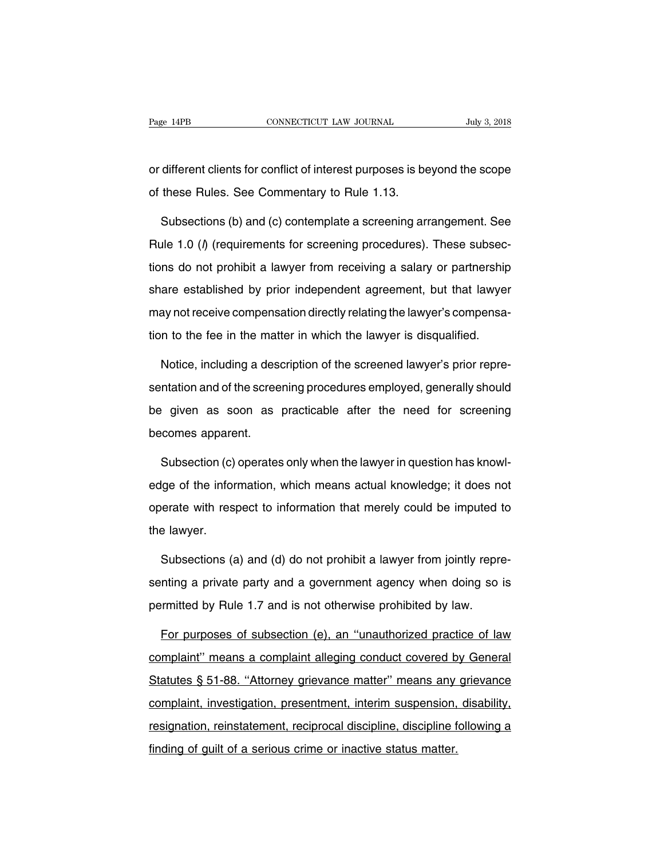Page 14PB<br>
CONNECTICUT LAW JOURNAL<br>
Or different clients for conflict of interest purposes is beyond the scope<br>
of these Rules. See Commentary to Rule 1.13. Page 14PB CONNECTICUT LAW JOURNAL<br>
or different clients for conflict of interest purposes is be<br>
of these Rules. See Commentary to Rule 1.13.<br>
Subsections (b) and (c) contemplate a screening art

different clients for conflict of interest purposes is beyond the scope<br>these Rules. See Commentary to Rule 1.13.<br>Subsections (b) and (c) contemplate a screening arrangement. See<br>le 1.0 ( $\theta$ ) (requirements for screening p or different clients for conflict of interest purposes is beyond the scope<br>of these Rules. See Commentary to Rule 1.13.<br>Subsections (b) and (c) contemplate a screening arrangement. See<br>Rule 1.0 (*l*) (requirements for scre of these Rules. See Commentary to Rule 1.13.<br>Subsections (b) and (c) contemplate a screening arrangement. See<br>Rule 1.0 ( $\theta$ ) (requirements for screening procedures). These subsec-<br>tions do not prohibit a lawyer from recei Subsections (b) and (c) contemplate a screening arrangement. See<br>Rule 1.0 ( $\theta$ ) (requirements for screening procedures). These subsec-<br>tions do not prohibit a lawyer from receiving a salary or partnership<br>share establishe Example 2 of something a satisfact competion. See Rule 1.0 (*l*) (requirements for screening procedures). These subsections do not prohibit a lawyer from receiving a salary or partnership share established by prior indepen tions do not prohibit a lawyer from receiving a salary or partnership<br>share established by prior independent agreement, but that lawyer<br>may not receive compensation directly relating the lawyer's compensa-<br>tion to the fee are established by prior independent agreement, but that lawyer<br>ay not receive compensation directly relating the lawyer's compensa-<br>n to the fee in the matter in which the lawyer is disqualified.<br>Notice, including a descr

may not receive compensation directly relating the lawyer's compensation to the fee in the matter in which the lawyer is disqualified.<br>Notice, including a description of the screened lawyer's prior representation and of th tion to the fee in the matter in which the lawyer is disqualified.<br>Notice, including a description of the screened lawyer's prior repre-<br>sentation and of the screening procedures employed, generally should<br>be given as soon Notice, including a dese<br>sentation and of the scree<br>be given as soon as<br>becomes apparent.<br>Subsection (c) operates ntation and of the screening procedures employed, generally should<br>
given as soon as practicable after the need for screening<br>
comes apparent.<br>
Subsection (c) operates only when the lawyer in question has knowl-<br>
Ige of th

be given as soon as practicable after the need for screening<br>becomes apparent.<br>Subsection (c) operates only when the lawyer in question has knowl-<br>edge of the information, which means actual knowledge; it does not<br>operate becomes apparent.<br>Subsection (c) operates only when the lawyer in question has knowl-<br>edge of the information, which means actual knowledge; it does not<br>operate with respect to information that merely could be imputed to<br>t Subsection (c)<br>edge of the infor<br>operate with resp<br>the lawyer.<br>Subsections (s Ige of the information, which means actual knowledge; it does not<br>erate with respect to information that merely could be imputed to<br>a lawyer.<br>Subsections (a) and (d) do not prohibit a lawyer from jointly repre-<br>nting a pri

senting a private party and is not otherwise prohibit a lawyer from pointly representing a private party and a government agency when doing so is permitted by Rule 1.7 and is not otherwise prohibited by law. the lawyer.<br>
Subsections (a) and (d) do not prohibit a lawyer from jointly representing a private party and a government agency when doing so<br>
permitted by Rule 1.7 and is not otherwise prohibited by law.<br>
For purposes of Subsections (a) and (d) do not prohibit a lawyer from jointly repre-<br>nting a private party and a government agency when doing so is<br>rmitted by Rule 1.7 and is not otherwise prohibited by law.<br>For purposes of subsection (e)

senting a private party and a government agency when doing so is<br>permitted by Rule 1.7 and is not otherwise prohibited by law.<br>For purposes of subsection (e), an "unauthorized practice of law<br>complaint" means a complaint a permitted by Rule 1.7 and is not otherwise prohibited by law.<br>
For purposes of subsection (e), an "unauthorized practice of law<br>
complaint" means a complaint alleging conduct covered by General<br>
Statutes § 51-88. "Attorney For purposes of subsection (e), an "unauthorized practice of law<br>complaint" means a complaint alleging conduct covered by General<br>Statutes § 51-88. "Attorney grievance matter" means any grievance<br>complaint, investigation, resignation, reinstatement, reference matter in experience of the Statutes § 51-88. "Attorney grievance matter" means any grievance complaint, investigation, presentment, interim suspension, disability, resignation, reinst Statutes § 51-88. "Attorney grievance matter" means any<br>Complaint, investigation, presentment, interim suspension,<br>resignation, reinstatement, reciprocal discipline, discipline f<br>finding of guilt of a serious crime or inac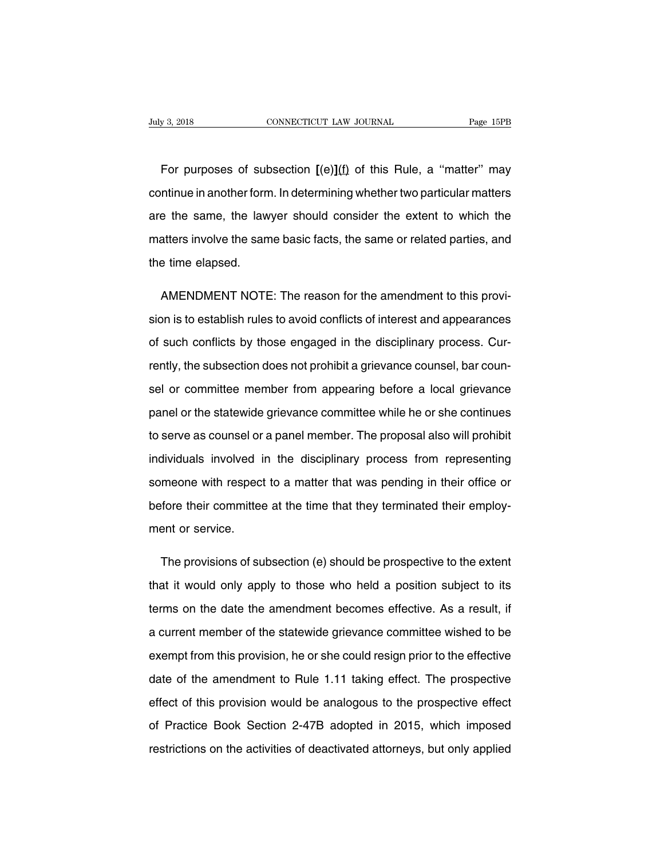For purposes of subsection  $[(e)](f)$  of this Rule, a "matter" may<br>tinue in another form. In determining whether two particular matters CONNECTICUT LAW JOURNAL Page 15PB<br>For purposes of subsection  $[(e)](f)$  of this Rule, a "matter" may<br>continue in another form. In determining whether two particular matters<br>are the same, the lawyer should consider the extent For purposes of subsection  $[(e)](f)$  of this Rule, a "matter" may continue in another form. In determining whether two particular matters are the same, the lawyer should consider the extent to which the matters involve the For purposes of subsection  $[(e)](f)$  of this Rule, a "matter" may continue in another form. In determining whether two particular matters are the same, the lawyer should consider the extent to which the matters involve the continue in another form<br>are the same, the law<br>matters involve the sam<br>the time elapsed. e the same, the lawyer should consider the extent to which the<br>atters involve the same basic facts, the same or related parties, and<br>e time elapsed.<br>AMENDMENT NOTE: The reason for the amendment to this provi-<br>on is to esta

matters involve the same basic facts, the same or related parties, and<br>the time elapsed.<br>AMENDMENT NOTE: The reason for the amendment to this provi-<br>sion is to establish rules to avoid conflicts of interest and appearances the time elapsed.<br>AMENDMENT NOTE: The reason for the amendment to this provision is to establish rules to avoid conflicts of interest and appearances<br>of such conflicts by those engaged in the disciplinary process. Cur-<br>ren AMENDMENT NOTE: The reason for the amendment to this provision is to establish rules to avoid conflicts of interest and appearances of such conflicts by those engaged in the disciplinary process. Currently, the subsection sion is to establish rules to avoid conflicts of interest and appearances<br>of such conflicts by those engaged in the disciplinary process. Cur-<br>rently, the subsection does not prohibit a grievance counsel, bar coun-<br>sel or parally, the subsection does not prohibit a grievance counsel, bar coun-<br>rently, the subsection does not prohibit a grievance counsel, bar coun-<br>sel or committee member from appearing before a local grievance<br>panel or the rently, the subsection does not prohibit a grievance counsel, bar counsel or committee member from appearing before a local grievance<br>panel or the statewide grievance committee while he or she continues<br>to serve as counsel sel or committee member from appearing before a local grievance<br>panel or the statewide grievance committee while he or she continues<br>to serve as counsel or a panel member. The proposal also will prohibit<br>individuals involv panel or the statewide grievance committee while he or she continues<br>to serve as counsel or a panel member. The proposal also will prohibit<br>individuals involved in the disciplinary process from representing<br>someone with re to serve as counsel or a panel member. The proposal also will prohibit<br>individuals involved in the disciplinary process from representing<br>someone with respect to a matter that was pending in their office or<br>before their co individuals involved i<br>someone with respect<br>before their committee<br>ment or service. meone with respect to a matter that was pending in their office or<br>fore their committee at the time that they terminated their employ-<br>ent or service.<br>The provisions of subsection (e) should be prospective to the extent<br>at

that it would only apply to those who held a position subject to its<br>terms on the date the amendment becomes effective. As a result, if<br>terms on the date the amendment becomes effective. As a result, if ment or service.<br>The provisions of subsection (e) should be prospective to the extent<br>that it would only apply to those who held a position subject to its<br>terms on the date the amendment becomes effective. As a result, if<br> The provisions of subsection (e) should be prospective to the extent<br>that it would only apply to those who held a position subject to its<br>terms on the date the amendment becomes effective. As a result, if<br>a current member that it would only apply to those who held a position subject to its<br>terms on the date the amendment becomes effective. As a result, if<br>a current member of the statewide grievance committee wished to be<br>exempt from this pr date of the date the amendment becomes effective. As a result, if<br>a current member of the statewide grievance committee wished to be<br>exempt from this provision, he or she could resign prior to the effective<br>date of the ame a current member of the statewide grievance committee wished to be<br>exempt from this provision, he or she could resign prior to the effective<br>date of the amendment to Rule 1.11 taking effect. The prospective<br>effect of this exempt from this provision, he or she could resign prior to the effective<br>date of the amendment to Rule 1.11 taking effect. The prospective<br>effect of this provision would be analogous to the prospective effect<br>of Practice exempt from this provision, he or she could resign prior to the effective<br>date of the amendment to Rule 1.11 taking effect. The prospective<br>effect of this provision would be analogous to the prospective effect<br>of Practice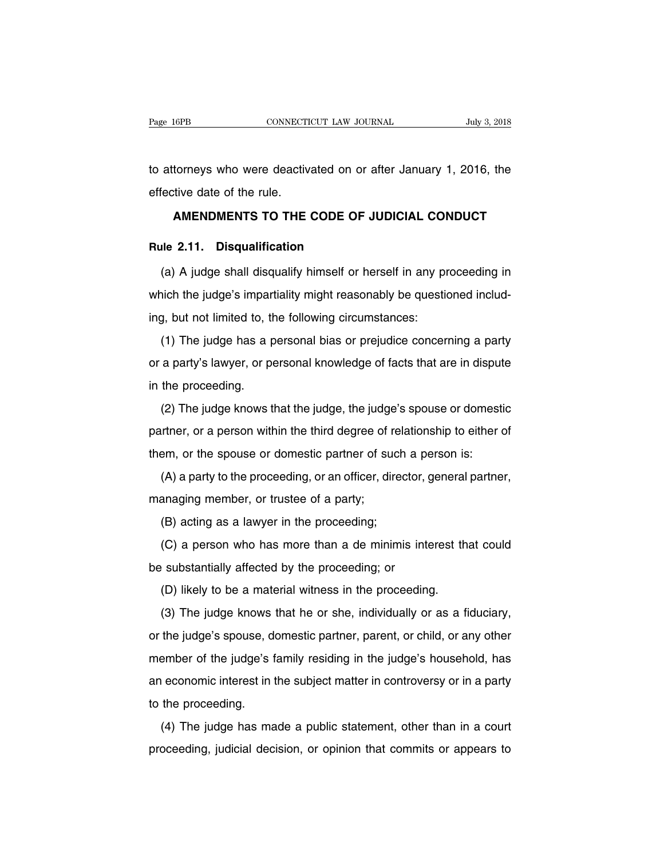Fage 16PB CONNECTICUT LAW JOURNAL July 3, 2018<br>to attorneys who were deactivated on or after January 1, 2016, the<br>effective date of the rule. Page 16PB<br>to attorneys who were deactive<br>effective date of the rule.<br>**AMENDMENTS TO THE AMENDMENTS TO THE CODE OF JUDICIAL CONDUCT**<br> **AMENDMENTS TO THE CODE OF JUDICIAL CONDUCT Rulee 11. Solution** to attorneys who were deactivated on or<br> **Rule 2.11. Disqualification**<br>
(a) A judge shall disqualify himself or h

Fective date of the rule.<br> **AMENDMENTS TO THE CODE OF JUDICIAL CONDUCT**<br> **Ile 2.11. Disqualification**<br>
(a) A judge shall disqualify himself or herself in any proceeding in<br>
hich the judge's impartiality might reasonably be AMENDMENTS TO THE CODE OF JUDICIAL CONDUCT<br>Rule 2.11. Disqualification<br>(a) A judge shall disqualify himself or herself in any proceeding in<br>which the judge's impartiality might reasonably be questioned includ-<br>ing, but not **Rule 2.11. Disqualification**<br>(a) A judge shall disqualify himself or herself in any provided to the following circumstances:<br>ing, but not limited to, the following circumstances:<br>(1) The judge has a personal bias or preju (a) A judge shall disqualify himself or herself in any proceeding in<br>ich the judge's impartiality might reasonably be questioned includ-<br>g, but not limited to, the following circumstances:<br>(1) The judge has a personal bias

which the judge's impartiality might reasonably be questioned including, but not limited to, the following circumstances:<br>(1) The judge has a personal bias or prejudice concerning a party or a party's lawyer, or personal ing, but not limited to, the proceeding.<br>
The judge has a por a party's lawyer, or por<br>
in the proceeding.<br>
(2) The judge knows to (1) The judge has a personal bias or prejudice concerning a party<br>a party's lawyer, or personal knowledge of facts that are in dispute<br>the proceeding.<br>(2) The judge knows that the judge, the judge's spouse or domestic<br>trin

programs or programs of programs controlling a party<br>or a party's lawyer, or personal knowledge of facts that are in dispute<br>in the proceeding.<br>(2) The judge knows that the judge, the judge's spouse or domestic<br>partner, or the proceeding.<br>
(2) The judge knows that the judge, the judge's spouse or domest<br>
partner, or a person within the third degree of relationship to either<br>
them, or the spouse or domestic partner of such a person is:<br>
(A) a (2) The judge knows that the judge, the judge's spouse or domestic<br>inter, or a person within the third degree of relationship to either of<br>em, or the spouse or domestic partner of such a person is:<br>(A) a party to the proce partner, or a person within the third degree of r<br>them, or the spouse or domestic partner of surface, direction, or the proceeding, or an officer, direction<br>managing member, or trustee of a party;<br>(B) acting as a lawyer i

Finition, or a person which are and acgress of text<br>em, or the spouse or domestic partner of such<br>(A) a party to the proceeding, or an officer, direc<br>anaging member, or trustee of a party;<br>(B) acting as a lawyer in the pro (A) a party to the proceeding, or an officer, director, general partner,<br>anaging member, or trustee of a party;<br>(B) acting as a lawyer in the proceeding;<br>(C) a person who has more than a de minimis interest that could<br>subs

be substantially affected by the proceeding;<br>
(B) acting as a lawyer in the proceeding;<br>
(C) a person who has more than a de minimis intervalsed by the proceeding; or<br>
(D) likely to be a material witness in the proceeding (B) acting as a lawyer in the proceeding;<br>
(C) a person who has more than a de minimis interest the<br>
substantially affected by the proceeding; or<br>
(D) likely to be a material witness in the proceeding.<br>
(3) The judge know

(C) a person who has more than a de minimis interest that could<br>substantially affected by the proceeding; or<br>(D) likely to be a material witness in the proceeding.<br>(3) The judge knows that he or she, individually or as a be substantially affected by the proceeding; or<br>
(D) likely to be a material witness in the proceeding.<br>
(3) The judge knows that he or she, individually or as a fiduciary,<br>
or the judge's spouse, domestic partner, parent, (D) likely to be a material witness in the proceeding.<br>
(3) The judge knows that he or she, individually or as a fiduciary,<br>
or the judge's spouse, domestic partner, parent, or child, or any other<br>
member of the judge's fa (3) The judge knows that he or she, individually or as a fiduciary,<br>or the judge's spouse, domestic partner, parent, or child, or any other<br>member of the judge's family residing in the judge's household, has<br>an economic i or the judge's spouse, do<br>member of the judge's t<br>an economic interest in to<br>to the proceeding.<br>(4) The judge has ma (4) The judge has made a public statement, other than in a court<br>of the judge's family residing in the judge's household, has<br>the proceeding.<br>(4) The judge has made a public statement, other than in a court<br>oceeding, judic proceeding, judicial decision, or opinion that commits or appears to<br>proceeding, judicial decision, or opinion that commits or appears to<br>proceeding, judicial decision, or opinion that commits or appears to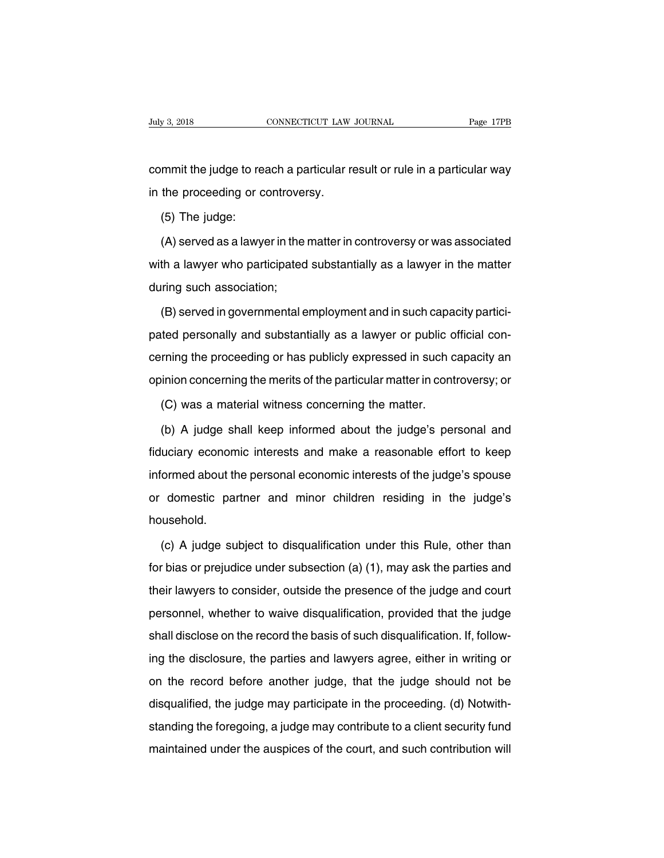Finding 3, 2018<br>
commet the judge to reach a particular result or rule in a particular way<br>
in the proceeding or controversy. July 3, 2018<br>
connecticular Law<br>
commit the judge to reach a particular re<br>
in the proceeding or controversy.<br>
(5) The judge: mmit the judge to reeffier proceeding or commit the proceeding or commission.<br>(5) The judge:<br>(A) served as a lawy

mmit the judge to reach a particular result or rule in a particular way<br>the proceeding or controversy.<br>(5) The judge:<br>(A) served as a lawyer in the matter in controversy or was associated<br>th a lawyer who participated subst in the proceeding or controversy.<br>
(5) The judge:<br>
(A) served as a lawyer in the matter in controversy or was associated<br>
with a lawyer who participated substantially as a lawyer in the matter<br>
during such association; (5) The judge:<br>(A) served as a lawyer in the<br>with a lawyer who participated<br>during such association;<br>(B) served in governmental e (A) served as a lawyer in the matter in controversy or was associated<br>th a lawyer who participated substantially as a lawyer in the matter<br>ring such association;<br>(B) served in governmental employment and in such capacity p

with a lawyer who participated substantially as a lawyer in the matter<br>during such association;<br>(B) served in governmental employment and in such capacity partici-<br>pated personally and substantially as a lawyer or public o during such association;<br>(B) served in governmental employment and in such capacity partici-<br>pated personally and substantially as a lawyer or public official con-<br>cerning the proceeding or has publicly expressed in such c (B) served in governmental employment and in such capacity partici-<br>pated personally and substantially as a lawyer or public official con-<br>cerning the proceeding or has publicly expressed in such capacity an<br>opinion concer (C) was a material witness concerning the matter in containing the proceeding or has publicly expressed in such concerning the merits of the particular matter in cont (C) was a material witness concerning the matter.<br>(b) A rning the proceeding or has publicly expressed in such capacity an<br>inion concerning the merits of the particular matter in controversy; or<br>(C) was a material witness concerning the matter.<br>(b) A judge shall keep informed a

fiduciary economic interests of the particular matter in controversy; or<br>
(C) was a material witness concerning the matter.<br>
(b) A judge shall keep informed about the judge's personal and<br>
fiduciary economic interests and (C) was a material witness concerning the matter.<br>
(b) A judge shall keep informed about the judge's personal and<br>
fiduciary economic interests and make a reasonable effort to keep<br>
informed about the personal economic int (b) A judge shall keep informed about the judge's personal and fiduciary economic interests and make a reasonable effort to keep informed about the personal economic interests of the judge's spouse or domestic partner and household. (c) A judge subject to disqualification under this Rule, other than<br>
than or prejudice under subsection (a) (1), may ask the parties and<br>
than or prejudice under subsection (a) (1), may ask the parties and

for domestic partner and minor children residing in the judge's<br>household.<br>(c) A judge subject to disqualification under this Rule, other than<br>for bias or prejudice under subsection (a) (1), may ask the parties and<br>their l household.<br>
(c) A judge subject to disqualification under this Rule, other than<br>
for bias or prejudice under subsection (a) (1), may ask the parties and<br>
their lawyers to consider, outside the presence of the judge and cou (c) A judge subject to disqualification under this Rule, other than<br>for bias or prejudice under subsection (a) (1), may ask the parties and<br>their lawyers to consider, outside the presence of the judge and court<br>personnel, (c) A judge subject to disqualification under this Rule, other than<br>for bias or prejudice under subsection (a) (1), may ask the parties and<br>their lawyers to consider, outside the presence of the judge and court<br>personnel, their lawyers to consider, outside the presence of the judge and court<br>personnel, whether to waive disqualification, provided that the judge<br>shall disclose on the record the basis of such disqualification. If, follow-<br>ing personnel, whether to waive disqualification, provided that the judge<br>shall disclose on the record the basis of such disqualification. If, follow-<br>ing the disclosure, the parties and lawyers agree, either in writing or<br>on personnel, whence to wave disqualification, provided that the jadge<br>shall disclose on the record the basis of such disqualification. If, follow-<br>ing the disclosure, the parties and lawyers agree, either in writing or<br>on th shall disclosure, the parties and lawyers agree, either in writing or<br>on the record before another judge, that the judge should not be<br>disqualified, the judge may participate in the proceeding. (d) Notwith-<br>standing the fo may are discreasing, the parties and lawyers agree, station in whiting or<br>on the record before another judge, that the judge should not be<br>disqualified, the judge may participate in the proceeding. (d) Notwith-<br>standing th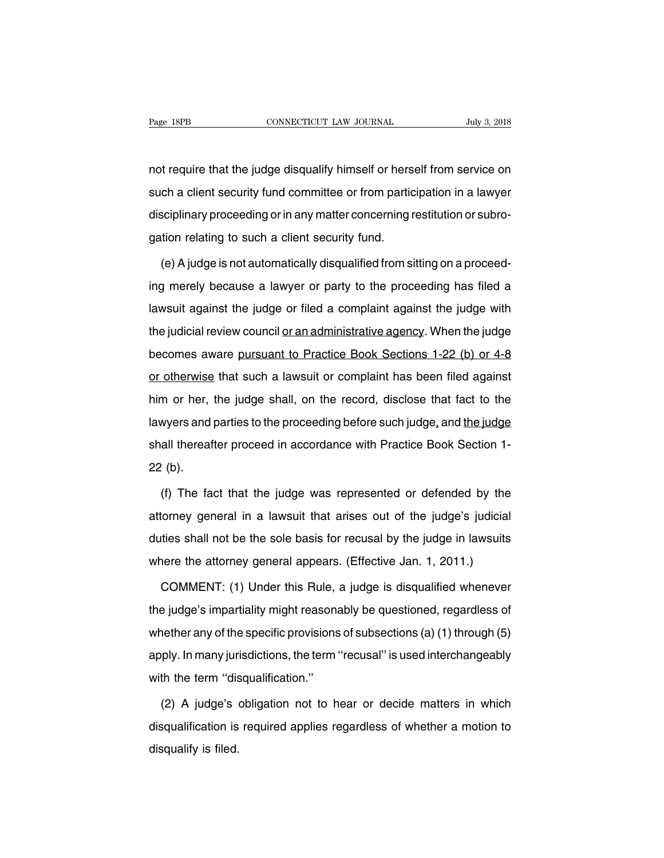Page 18PB<br>
not require that the judge disqualify himself or herself from service on<br>
such a client security fund committee or from participation in a lawyer Fage 18PB CONNECTICUT LAW JOURNAL July 3, 2018<br>not require that the judge disqualify himself or herself from service on<br>such a client security fund committee or from participation in a lawyer<br>disciplinary proceeding or in not require that the judge disqualify himself or herself from service on<br>such a client security fund committee or from participation in a lawyer<br>disciplinary proceeding or in any matter concerning restitution or subro-<br>gat not require that the judge disqualify himself or hers<br>such a client security fund committee or from partic<br>disciplinary proceeding or in any matter concerning r<br>gation relating to such a client security fund.<br>(e) A judge i ch a client security fund committee or from participation in a lawyer<br>sciplinary proceeding or in any matter concerning restitution or subro-<br>tion relating to such a client security fund.<br>(e) A judge is not automatically d

disciplinary proceeding or in any matter concerning restitution or subro-<br>gation relating to such a client security fund.<br>(e) A judge is not automatically disqualified from sitting on a proceed-<br>ing merely because a lawyer gation relating to such a client security fund.<br>
(e) A judge is not automatically disqualified from sitting on a proceed-<br>
ing merely because a lawyer or party to the proceeding has filed a<br>
lawsuit against the judge or fi (e) A judge is not automatically disqualified from sitting on a proceed-<br>ing merely because a lawyer or party to the proceeding has filed a<br>lawsuit against the judge or filed a complaint against the judge with<br>the judicial (c)  $\pi$  jaage is not date maked in gradual neutrom ontinity on a proceed ing merely because a lawyer or party to the proceeding has filed a lawsuit against the judge or filed a complaint against the judge with the judici lawsuit against the judge or filed a complaint against the judge with<br>the judicial review council or an administrative agency. When the judge<br>becomes aware pursuant to Practice Book Sections 1-22 (b) or 4-8<br>or otherwise th the judicial review council <u>or an administrative agency</u>. When the judge<br>becomes aware <u>pursuant to Practice Book Sections 1-22 (b) or 4-8</u><br>or otherwise that such a lawsuit or complaint has been filed against<br>him or her, becomes aware pursuant to Practice Book Sections 1-22 (b) or 4-8<br>or otherwise that such a lawsuit or complaint has been filed against<br>him or her, the judge shall, on the record, disclose that fact to the<br>lawyers and partie or otherwise that such a lawsuit or complaint has been filed against<br>him or her, the judge shall, on the record, disclose that fact to the<br>lawyers and parties to the proceeding before such judge, and the judge<br>shall therea be oncenting<br>him or her,<br>lawyers and<br>shall thereaf<br>22 (b). wyers and parties to the proceeding before such judge, and the judge<br>all thereafter proceed in accordance with Practice Book Section 1-<br>(b).<br>(f) The fact that the judge was represented or defended by the<br>torney general in

shall thereafter proceed in accordance with Practice Book Section 1-<br>22 (b).<br>(f) The fact that the judge was represented or defended by the attorney general in a lawsuit that arises out of the judge's judicial<br>duties shall 22 (b).<br>
(f) The fact that the judge was represented or defended by the<br>
attorney general in a lawsuit that arises out of the judge's judicial<br>
duties shall not be the sole basis for recusal by the judge in lawsuits<br>
where (f) The fact that the judge was represented or defended by the attorney general in a lawsuit that arises out of the judge's judicial duties shall not be the sole basis for recusal by the judge in lawsuits where the attorn Corney general in a lawsuit that arises out of the judge's judicial<br>ties shall not be the sole basis for recusal by the judge in lawsuits<br>nere the attorney general appears. (Effective Jan. 1, 2011.)<br>COMMENT: (1) Under this

duties shall not be the sole basis for recusal by the judge in lawsuits<br>where the attorney general appears. (Effective Jan. 1, 2011.)<br>COMMENT: (1) Under this Rule, a judge is disqualified whenever<br>the judge's impartiality where the attorney general appears. (Effective Jan. 1, 2011.)<br>COMMENT: (1) Under this Rule, a judge is disqualified whenever<br>the judge's impartiality might reasonably be questioned, regardless of<br>whether any of the specifi COMMENT: (1) Under this Rule, a judge is disqualified whenever<br>the judge's impartiality might reasonably be questioned, regardless of<br>whether any of the specific provisions of subsections (a) (1) through (5)<br>apply. In many COMMENT: (1) Under this Rule, a judge is disqualified whenever<br>the judge's impartiality might reasonably be questioned, regardless of<br>whether any of the specific provisions of subsections (a) (1) through (5)<br>apply. In many The ther any of the specific provisions of subsections (a) (1) through (5)<br>ply. In many jurisdictions, the term "recusal" is used interchangeably<br>th the term "disqualification."<br>(2) A judge's obligation not to hear or deci

apply. In many jurisdictions, the term "recusal" is used interchangeably<br>with the term "disqualification."<br>(2) A judge's obligation not to hear or decide matters in which<br>disqualification is required applies regardless of with the term "dis<br>(2) A judge's disqualification is<br>disqualify is filed.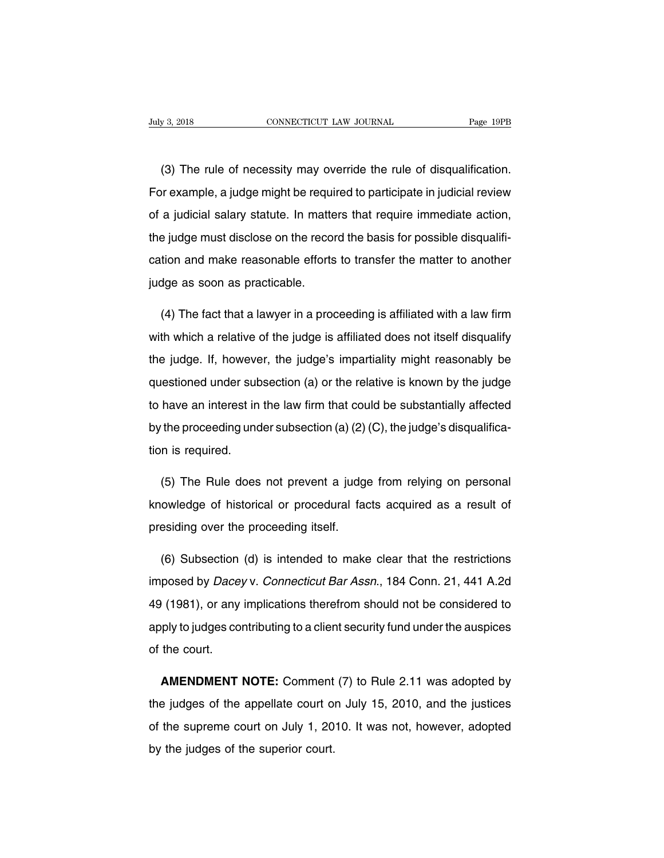(3) The rule of necessity may override the rule of disqualification.<br>The rule of necessity may override the rule of disqualification.<br>The rule of disqualification. For example, a judge might be required to participate in judicial review<br>of a judicial salary statute. In matters that require immediate action, (3) The rule of necessity may override the rule of disqualification.<br>For example, a judge might be required to participate in judicial review<br>of a judicial salary statute. In matters that require immediate action,<br>the judg (3) The rule of necessity may override the rule of disqualification.<br>For example, a judge might be required to participate in judicial review<br>of a judicial salary statute. In matters that require immediate action,<br>the judg For example, a judge might be required to participate in judicial review<br>of a judicial salary statute. In matters that require immediate action,<br>the judge must disclose on the record the basis for possible disqualifi-<br>cati of a judicial salary statute. In matter the judge must disclose on the recordation and make reasonable efforts judge as soon as practicable. (4) The fact that a lawyer in a proceeding is affiliated with a law firm<br>(4) The fact that a lawyer in a proceeding is affiliated with a law firm<br>(4) The fact that a lawyer in a proceeding is affiliated with a law firm<br>(1)

cation and make reasonable efforts to transfer the matter to another<br>judge as soon as practicable.<br>(4) The fact that a lawyer in a proceeding is affiliated with a law firm<br>with which a relative of the judge is affiliated d indee as soon as practicable.<br>
(4) The fact that a lawyer in a proceeding is affiliated with a law firm<br>
with which a relative of the judge is affiliated does not itself disqualify<br>
the judge. If, however, the judge's impa (4) The fact that a lawyer in a proceeding is affiliated with a law firm<br>with which a relative of the judge is affiliated does not itself disqualify<br>the judge. If, however, the judge's impartiality might reasonably be<br>ques with which a relative of the judge is affiliated does not itself disqualify<br>the judge. If, however, the judge's impartiality might reasonably be<br>questioned under subsection (a) or the relative is known by the judge<br>to hav White which a relative of the judge is annitated december incompledantly the judge. If, however, the judge's impartiality might reasonably be questioned under subsection (a) or the relative is known by the judge to have an  $\frac{1}{100}$  is requestioned under subsets to have an interest in by the proceeding unconsistent in Fig. 7. The Dule data have an interest in the law firm that could be substantially affected<br>the proceeding under subsection (a) (2) (C), the judge's disqualifica-<br>n is required.<br>(5) The Rule does not prevent a judge from relying on personal<br>owl

by the proceeding under subsection (a) (2) (C), the judge's disqualification is required.<br>
(5) The Rule does not prevent a judge from relying on personal<br>
knowledge of historical or procedural facts acquired as a result of Fraction is required.<br>
(5) The Rule does not prevent a judge<br>
knowledge of historical or procedural factorisation<br>
(6) Subsection (d) is intended to make (5) The Rule does not prevent a judge from relying on personal<br>owledge of historical or procedural facts acquired as a result of<br>esiding over the proceeding itself.<br>(6) Subsection (d) is intended to make clear that the res

knowledge of historical or procedural facts acquired as a result of<br>presiding over the proceeding itself.<br>(6) Subsection (d) is intended to make clear that the restrictions<br>imposed by *Dacey* v. Connecticut Bar Assn., 184 presiding over the proceeding itself.<br>
(6) Subsection (d) is intended to make clear that the restrictions<br>
imposed by *Dacey* v. *Connecticut Bar Assn.*, 184 Conn. 21, 441 A.2d<br>
49 (1981), or any implications therefrom sho (6) Subsection (d) is intended to make clear that the restrictions<br>imposed by *Dacey* v. *Connecticut Bar Assn.*, 184 Conn. 21, 441 A.2d<br>49 (1981), or any implications therefrom should not be considered to<br>apply to judges imposed by *Dace*<br>49 (1981), or any<br>apply to judges court. AMENDMENT NOTE: Comment (7) to Rule 2.11 was adopted by a judges of the appellate court.<br> **AMENDMENT NOTE:** Comment (7) to Rule 2.11 was adopted by a judges of the appellate court on July 15, 2010, and the justices

apply to judges contributing to a client security fund under the auspices<br>of the court.<br>**AMENDMENT NOTE:** Comment (7) to Rule 2.11 was adopted by<br>the judges of the appellate court on July 15, 2010, and the justices<br>of the of the court.<br> **AMENDMENT NOTE:** Comment (7) to Rule 2.11 was adopted by<br>
the judges of the appellate court on July 15, 2010, and the justices<br>
of the supreme court on July 1, 2010. It was not, however, adopted<br>
by the jud **AMENDMENT NOTE:** Comment<br>the judges of the appellate court of<br>of the supreme court on July 1, 20<br>by the judges of the superior court.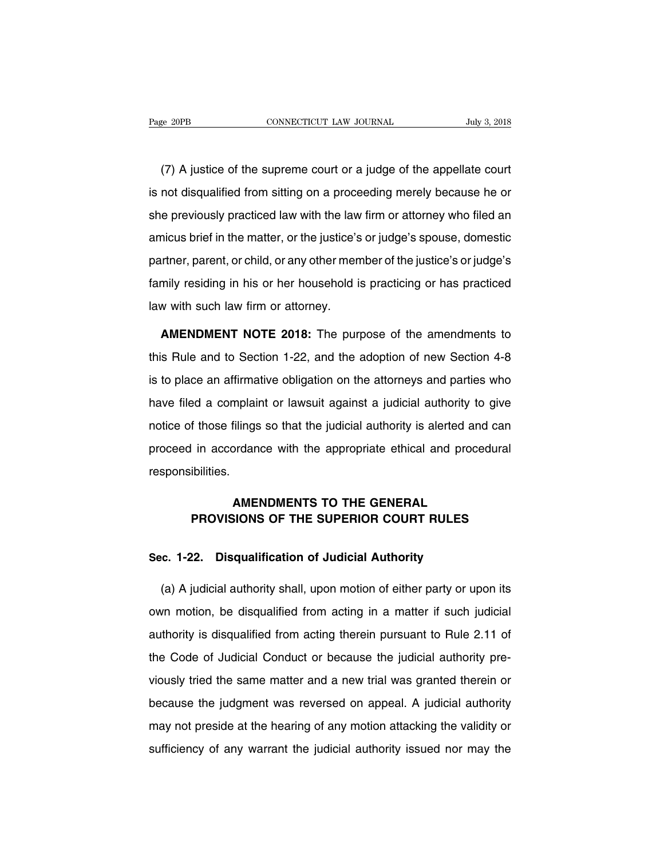(7) A justice of the supreme court or a judge of the appellate court<br>
Tuly 3, 2018<br>
Tuly 3, 2018<br>
Tuly 3, 2018<br>
Tuly 3, 2018<br>
Tuly 3, 2018<br>
Tuly 3, 2018<br>
Tuly 3, 2018<br>
Tuly 3, 2018<br>
Tuly 3, 2018<br>
Tuly 3, 2018<br>
Tuly 3, 2018 Fage 20PB CONNECTICUT LAW JOURNAL July 3, 2018<br>
(7) A justice of the supreme court or a judge of the appellate court<br>
is not disqualified from sitting on a proceeding merely because he or<br>
she previously practiced law with (7) A justice of the supreme court or a judge of the appellate court<br>is not disqualified from sitting on a proceeding merely because he or<br>she previously practiced law with the law firm or attorney who filed an<br>amicus brie (7) A justice of the supreme court or a judge of the appellate court<br>is not disqualified from sitting on a proceeding merely because he or<br>she previously practiced law with the law firm or attorney who filed an<br>amicus brie partner, parent, or child, or any other member of the justice's or judge's any other previously practiced law with the law firm or attorney who filed an amicus brief in the matter, or the justice's or judge's spouse, domes family practiced law with the law firm or attorney who filed an amicus brief in the matter, or the justice's or judge's spouse, domestic partner, parent, or child, or any other member of the justice's or judge's family res she previously practiced law with the law firm or attorney who filed an amicus brief in the matter, or the justice's or judge's spouse, domestic partner, parent, or child, or any other member of the justice's or judge's fa Finally residing in his or her household is practicing or has practiced<br>A with such law firm or attorney.<br>**AMENDMENT NOTE 2018:** The purpose of the amendments to<br>S Rule and to Section 1-22, and the adoption of new Section

family residing in his or her household is practicing or has practiced<br>law with such law firm or attorney.<br>**AMENDMENT NOTE 2018:** The purpose of the amendments to<br>this Rule and to Section 1-22, and the adoption of new Sect is to place an affirmative obligation on the attorney.<br> **AMENDMENT NOTE 2018:** The purpose of the amendments to<br>
this Rule and to Section 1-22, and the adoption of new Section 4-8<br>
is to place an affirmative obligation on **AMENDMENT NOTE 2018:** The purpose of the amendments to this Rule and to Section 1-22, and the adoption of new Section 4-8 is to place an affirmative obligation on the attorneys and parties who have filed a complaint or la This Rule and to Section 1-22, and the adoption of new Section 4-8<br>is to place an affirmative obligation on the attorneys and parties who<br>have filed a complaint or lawsuit against a judicial authority to give<br>notice of tho proceed in accordance with the appropriate ethical and procedural responsibilities.<br>
Figure an affirmative obligation on the attorneys and parties who have filed a complaint or lawsuit against a judicial authority to give responsibilities. Filings so that the judicial authority is alerted and expredience with the appropriate ethical and proceder<br>AMENDMENTS TO THE GENERAL<br>SIONS OF THE SUPERIOR COURT RULES Francordance with the appropriate ethical and procedural<br> **PROVISIONS OF THE SUPERIOR COURT RULES**<br> **PROVISIONS OF THE SUPERIOR COURT RULES** 

# **AMENDMENTS TO THE GENERAL<br>PROVISIONS OF THE SUPERIOR COURT RULES<br>Sec. 1-22. Disqualification of Judicial Authority<br>(c) A individual authority of the state of either next cause**

AMENDMENTS TO THE GENERAL<br>
PROVISIONS OF THE SUPERIOR COURT RULES<br>
c. 1-22. Disqualification of Judicial Authority<br>
(a) A judicial authority shall, upon motion of either party or upon its<br>
on motion, be disqualified from a Sec. 1-22. Disqualification of Judicial Authority<br>(a) A judicial authority shall, upon motion of either party or upon its<br>own motion, be disqualified from acting in a matter if such judicial<br>authority is disqualified from Sec. 1-22. Disqualification of Judicial Authority<br>
(a) A judicial authority shall, upon motion of either party or upon its<br>
own motion, be disqualified from acting in a matter if such judicial<br>
authority is disqualified fr (a) A judicial authority shall, upon motion of either party or upon its<br>own motion, be disqualified from acting in a matter if such judicial<br>authority is disqualified from acting therein pursuant to Rule 2.11 of<br>the Code o own motion, be disqualified from acting in a matter if such judicial authority is disqualified from acting therein pursuant to Rule 2.11 of the Code of Judicial Conduct or because the judicial authority previously tried t authority is disqualified from acting therein pursuant to Rule 2.11 of<br>the Code of Judicial Conduct or because the judicial authority pre-<br>viously tried the same matter and a new trial was granted therein or<br>because the ju the Code of Judicial Conduct or because the judicial authority previously tried the same matter and a new trial was granted therein or because the judgment was reversed on appeal. A judicial authority may not preside at th shows the same matter and a new trial was granted therein or because the judgment was reversed on appeal. A judicial authority may not preside at the hearing of any motion attacking the validity or sufficiency of any warra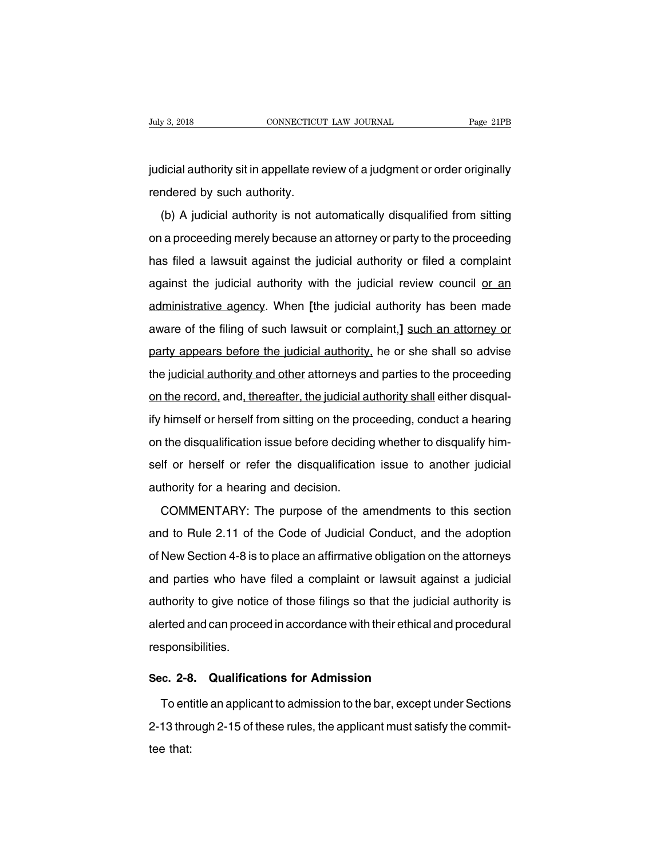July 3, 2018 CONNECTICUT LAW JOURNAL Page 21PB<br>judicial authority sit in appellate review of a judgment or order originally<br>rendered by such authority. Figure 3, 2018<br>
Figure 2018<br>
Figure 2018<br>
Figure 2019<br>
Figure 2019<br>
The Such authority discriming the Such authority.<br>
The Such authority is not at

(b) dicial authority sit in appellate review of a judgment or order originally<br>ndered by such authority.<br>(b) A judicial authority is not automatically disqualified from sitting<br>a proceeding merely because an attorney or pa indicial authority sit in appellate review of a judgment or order originally<br>rendered by such authority.<br>(b) A judicial authority is not automatically disqualified from sitting<br>on a proceeding merely because an attorney or rendered by such authority.<br>
(b) A judicial authority is not automatically disqualified from sitting<br>
on a proceeding merely because an attorney or party to the proceeding<br>
has filed a lawsuit against the judicial authorit (b) A judicial authority is not automatically disqualified from sitting<br>on a proceeding merely because an attorney or party to the proceeding<br>has filed a lawsuit against the judicial authority or filed a complaint<br>against (b) A jadiolal dationly is not datomated by disquainted noth sharing<br>on a proceeding merely because an attorney or party to the proceeding<br>has filed a lawsuit against the judicial authority or filed a complaint<br>against the and prococoung morely booddoo an alterney or party to the prococoung<br>has filed a lawsuit against the judicial authority or filed a complaint<br>against the judicial authority with the judicial review council <u>or an</u><br>administr against the judicial authority with the judicial review council or an<br>administrative agency. When [the judicial authority has been made<br>aware of the filing of such lawsuit or complaint,] such an attorney or<br>party appears b administrative agency. When [the judicial authority has been made<br>aware of the filing of such lawsuit or complaint,] such an attorney or<br>party appears before the judicial authority, he or she shall so advise<br>the judicial a administrative agency. When [the judicial authority has been made<br>aware of the filing of such lawsuit or complaint,] such an attorney or<br>party appears before the judicial authority, he or she shall so advise<br>the judicial a party appears before the judicial authority, he or she shall so advise<br>the judicial authority and other attorneys and parties to the proceeding<br>on the record, and, thereafter, the judicial authority shall either disqual-<br>i the judicial authority and other attorneys and parties to the proceeding<br>on the record, and, thereafter, the judicial authority shall either disqual-<br>ify himself or herself from sitting on the proceeding, conduct a hearing and particle to the proceeding<br>on the record, and, thereafter, the judicial authority shall either disqual-<br>ify himself or herself from sitting on the proceeding, conduct a hearing<br>on the disqualification issue before deci self or herself or refer the disqualification issue to another judicial<br>authority for a hearing and decision.<br>COMMENTARY: The purpose of the amendments to this section The disqualification issue before deciding whether to disqualify him-<br>If or herself or refer the disqualification issue to another judicial<br>thority for a hearing and decision.<br>COMMENTARY: The purpose of the amendments to t

self or herself or refer the disqualification issue to another judicial<br>authority for a hearing and decision.<br>COMMENTARY: The purpose of the amendments to this section<br>and to Rule 2.11 of the Code of Judicial Conduct, and of New Section 4-8 is to place an affirmation is to this section<br>and to Rule 2.11 of the Code of Judicial Conduct, and the adoption<br>of New Section 4-8 is to place an affirmative obligation on the attorneys<br>and parties who COMMENTARY: The purpose of the amendments to this section<br>and to Rule 2.11 of the Code of Judicial Conduct, and the adoption<br>of New Section 4-8 is to place an affirmative obligation on the attorneys<br>and parties who have fi and to Rule 2.11 of the Code of Judicial Conduct, and the adoption<br>of New Section 4-8 is to place an affirmative obligation on the attorneys<br>and parties who have filed a complaint or lawsuit against a judicial<br>authority to allerted and can proceed of statistic schedular, and the dapple of New Section 4-8 is to place an affirmative obligation on the attorneys<br>and parties who have filed a complaint or lawsuit against a judicial<br>authority to gi responsibilities. Authority to give notice of those filings so that the judicial authority is<br>alerted and can proceed in accordance with their ethical and procedural<br>responsibilities.<br>Sec. 2-8. Qualifications for Admission<br>To entitle an app erted and can proceed in accordance with their ethical and procedural<br>sponsibilities.<br>c. 2-8. Qualifications for Admission<br>To entitle an applicant to admission to the bar, except under Sections<br>13 through 2-15 of these rul

responsibilities.<br> **2-2-8.** Qualifications for Admission<br>
To entitle an applicant to admission to the bar, except under Sections<br>
2-13 through 2-15 of these rules, the applicant must satisfy the commit-<br>
tee that: Sec. 2-8<br>To ent<br>2-13 thro<br>tee that: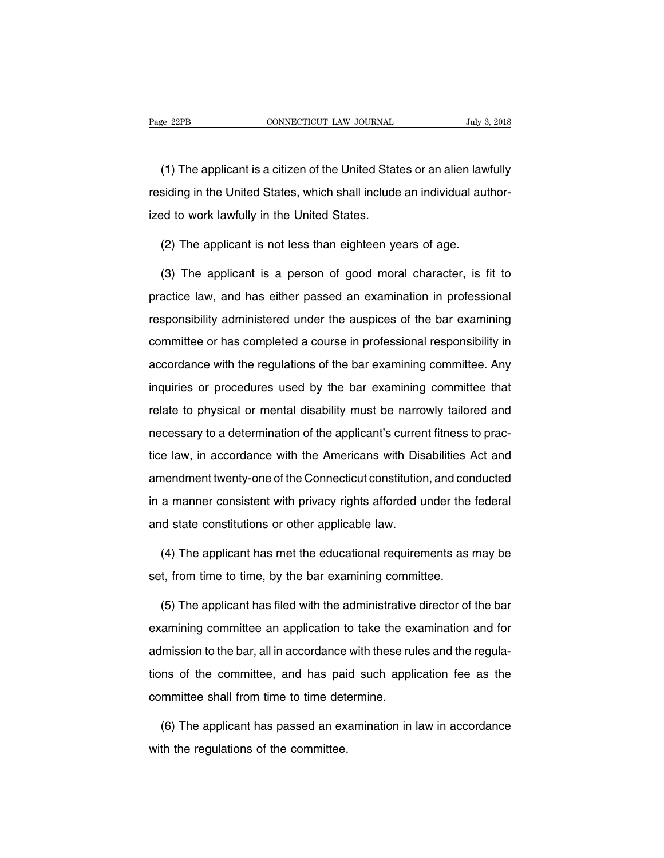EXEMBED THE CONNECTICUT CONNECTION CONNECTION CONNECTION CONNECTION CONNECTION CONNECTION CONNECTION CONNECTION<br>
(1) The applicant is a citizen of the United States or an alien lawfully<br>
Siding in the United States, which Page 22PB CONNECTICUT LAW JOURNAL July 3, 2018<br>
(1) The applicant is a citizen of the United States or an alien lawfully<br>
residing in the United States, which shall include an individual author-<br>
ized to work lawfully in t (1) The applicant is a citizen of the United State<br>residing in the United States, which shall include<br>ized to work lawfully in the United States.<br>(2) The applicant is not less than eighteen ve (1) The applicant is a citizen of the United States or an alien law<br>siding in the United States, which shall include an individual aut<br>ed to work lawfully in the United States.<br>(2) The applicant is not less than eighteen y iding in the United States<u>, which shall include an individual author-</u><br>Ed to work lawfully in the United States.<br>(2) The applicant is not less than eighteen years of age.<br>(3) The applicant is a person of good moral charac

ized to work lawfully in the United States.<br>
(2) The applicant is not less than eighteen years of age.<br>
(3) The applicant is a person of good moral character, is fit to<br>
practice law, and has either passed an examination i (2) The applicant is not less than eighteen years of age.<br>
(3) The applicant is a person of good moral character, is fit to<br>
practice law, and has either passed an examination in professional<br>
responsibility administered u (3) The applicant is a person of good moral character, is fit to<br>practice law, and has either passed an examination in professional<br>responsibility administered under the auspices of the bar examining<br>committee or has compl practice law, and has either passed an examination in professional<br>responsibility administered under the auspices of the bar examining<br>committee or has completed a course in professional responsibility in<br>accordance with t responsibility administered under the auspices of the bar examining<br>committee or has completed a course in professional responsibility in<br>accordance with the regulations of the bar examining committee. Any<br>inquiries or pro responsibility daministic to diate the displace of the bat examining<br>committee or has completed a course in professional responsibility in<br>accordance with the regulations of the bar examining committee. Any<br>inquiries or pr committee or has completed a course in professional responsibility in accordance with the regulations of the bar examining committee. Any inquiries or procedures used by the bar examining committee that relate to physical inquiries or procedures used by the bar examining committee that<br>relate to physical or mental disability must be narrowly tailored and<br>necessary to a determination of the applicant's current fitness to prac-<br>tice law, in a relate to physical or mental disability must be narrowly tailored and<br>necessary to a determination of the applicant's current fitness to prac-<br>tice law, in accordance with the Americans with Disabilities Act and<br>amendment in a manner consistent with privacy rights afforded under the federal<br>amendment twenty-one of the Connecticut constitution, and conducted<br>in a manner consistent with privacy rights afforded under the federal<br>and state cons risesseary to a determination or and applicantle station<br>tice law, in accordance with the Americans with Dis<br>amendment twenty-one of the Connecticut constitutior<br>in a manner consistent with privacy rights afforded u<br>and st (4) The applicant has met the educational requirements as may be the federal requirements as may be the educational requirements as may be the form time to time, by the bar examining committee. in a manner consistent with privacy rights afforded under the<br>and state constitutions or other applicable law.<br>(4) The applicant has met the educational requirements as i<br>set, from time to time, by the bar examining commit

(4) The applicant has met the educational requirements as may be<br>
(4) The applicant has met the educational requirements as may be<br>
(5) The applicant has filed with the administrative director of the bar<br>
amining committee (4) The applicant has met the educational requirements as may be set, from time to time, by the bar examining committee.<br>
(5) The applicant has filed with the administrative director of the bar examining committee an appl set, from time to time, by the bar examining committee.<br>
(5) The applicant has filed with the administrative director of the bar<br>
examining committee an application to take the examination and for<br>
admission to the bar, al (5) The applicant has filed with the administrative director of the bar examining committee an application to take the examination and for admission to the bar, all in accordance with these rules and the regulations of the examining committee an application to take the examining committee an application to take the exaministicative<br>admission to the bar, all in accordance with these rultions of the committee, and has paid such appli<br>committee Imission to the bar, all in accordance with these rules and the regula-<br>ns of the committee, and has paid such application fee as the<br>mmittee shall from time to time determine.<br>(6) The applicant has passed an examination i tions of the committee, and has pair<br>committee shall from time to time det<br>(6) The applicant has passed an ex<br>with the regulations of the committee.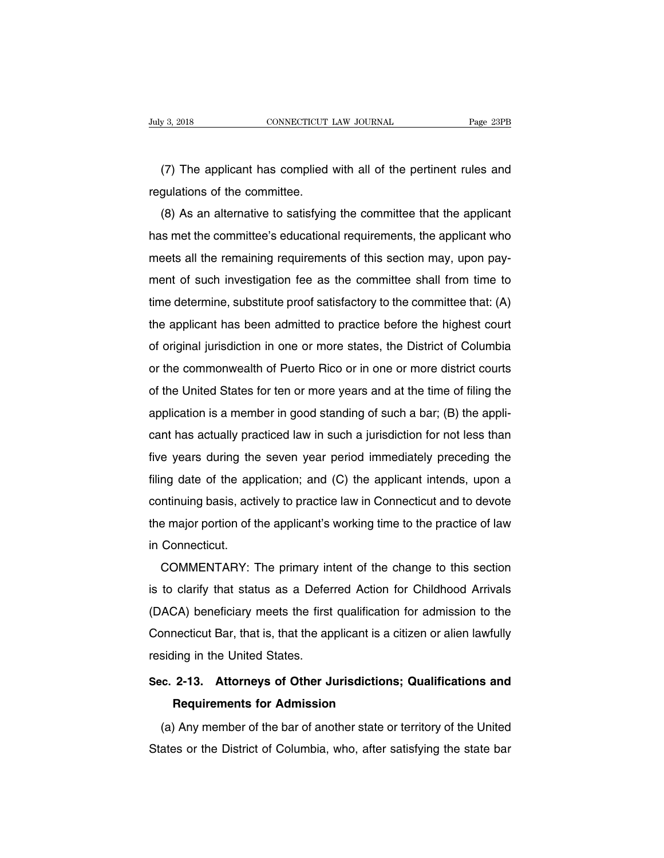(7) The applicant has complied with all of the pertinent rules and gulations of the committee. Figure 3, 2018<br>
CONNECTICUT 1<br>
(7) The applicant has complied<br>
regulations of the committee.<br>
(8) As an alternative to satisfying

(7) The applicant has complied with all of the pertinent rules and<br>gulations of the committee.<br>(8) As an alternative to satisfying the committee that the applicant<br>is met the committee's educational requirements, the appli (7) The applicant has complied with all of the pertinent rules and<br>regulations of the committee.<br>(8) As an alternative to satisfying the committee that the applicant<br>has met the committee's educational requirements, the a rife applicant has complied with all of the pertifient rules and<br>regulations of the committee.<br>(8) As an alternative to satisfying the committee that the applicant<br>has met the committee's educational requirements, the appl regulations of the committee.<br>
(8) As an alternative to satisfying the committee that the applicant<br>
has met the committee's educational requirements, the applicant who<br>
meets all the remaining requirements of this section (b) As an alternative to satisfying the committee that the applicant<br>has met the committee's educational requirements, the applicant who<br>meets all the remaining requirements of this section may, upon pay-<br>ment of such inve The applicant who<br>meets all the remaining requirements of this section may, upon pay-<br>ment of such investigation fee as the committee shall from time to<br>time determine, substitute proof satisfactory to the committee that: meets an the remaining requirements of this section may, upon pay-<br>ment of such investigation fee as the committee shall from time to<br>time determine, substitute proof satisfactory to the committee that: (A)<br>the applicant h Thent or such investigation ree as the committee shall from time to<br>time determine, substitute proof satisfactory to the committee that: (A)<br>the applicant has been admitted to practice before the highest court<br>of original the applicant has been admitted to practice before the highest court<br>of original jurisdiction in one or more states, the District of Columbia<br>or the commonwealth of Puerto Rico or in one or more district courts<br>of the Unit application in one or more states, the District of Columbia<br>or the commonwealth of Puerto Rico or in one or more district courts<br>of the United States for ten or more years and at the time of filing the<br>application is a mem or original jurisdiction in one or more states, the District or Columbia<br>or the commonwealth of Puerto Rico or in one or more district courts<br>of the United States for ten or more years and at the time of filing the<br>applica of the United States for ten or more years and at the time of filing the<br>application is a member in good standing of such a bar; (B) the appli-<br>cant has actually practiced law in such a jurisdiction for not less than<br>five for the United States for terror more years and at the time of filing the<br>application is a member in good standing of such a bar; (B) the appli-<br>cant has actually practiced law in such a jurisdiction for not less than<br>five application is a member in good standing or such a bar, (b) the appli-<br>cant has actually practiced law in such a jurisdiction for not less than<br>five years during the seven year period immediately preceding the<br>filing date Early had a sectually practiced law in such a junsuiction for not less than<br>five years during the seven year period immediately preceding the<br>filing date of the application; and (C) the applicant intends, upon a<br>continuing inve years during the<br>filing date of the app<br>continuing basis, acti<br>the major portion of t<br>in Connecticut.<br>COMMENTARY: 1 Ing date of the application, and (C) the applicant intents, upon a<br>intinuing basis, actively to practice law in Connecticut and to devote<br>e major portion of the applicant's working time to the practice of law<br>COMMENTARY: T

continuing basis, actively to practice faw in Connecticut and to devote<br>the major portion of the applicant's working time to the practice of law<br>in Connecticut.<br>COMMENTARY: The primary intent of the change to this section<br> Ine major portion of the applicant's working time to the practice of law<br>in Connecticut.<br>COMMENTARY: The primary intent of the change to this section<br>is to clarify that status as a Deferred Action for Childhood Arrivals<br>(D COMMENTARY: The primary intent of the change to this section<br>is to clarify that status as a Deferred Action for Childhood Arrivals<br>(DACA) beneficiary meets the first qualification for admission to the<br>Connecticut Bar, that COMMENTART. The primary in<br>is to clarify that status as a Defer<br>(DACA) beneficiary meets the first<br>Connecticut Bar, that is, that the ap<br>residing in the United States.<br>Sec. 2-13. Attorneys of Other J **CONCA)** beneficiary meets the first qualification for admission to the Connecticut Bar, that is, that the applicant is a citizen or alien lawfully residing in the United States.<br>Sec. 2-13. Attorneys of Other Jurisdictions (DACA) beneficiary meets the first qualification for admission to the<br>Connecticut Bar, that is, that the applicant is a citizen or alien lawfully<br>residing in the United States.<br>Sec. 2-13. Attorneys of Other Jurisdictions;

## (a) Any member of the bar of another state or territory of the United<br>
(a) Any member of the bar of another state or territory of the United<br>
(a) Any member of the bar of another state or territory of the United<br>
ates or t Sec. 2-13. Attorneys of Other Jurisdictions; Qualifications and<br>Requirements for Admission<br>(a) Any member of the bar of another state or territory of the United<br>States or the District of Columbia, who, after satisfying the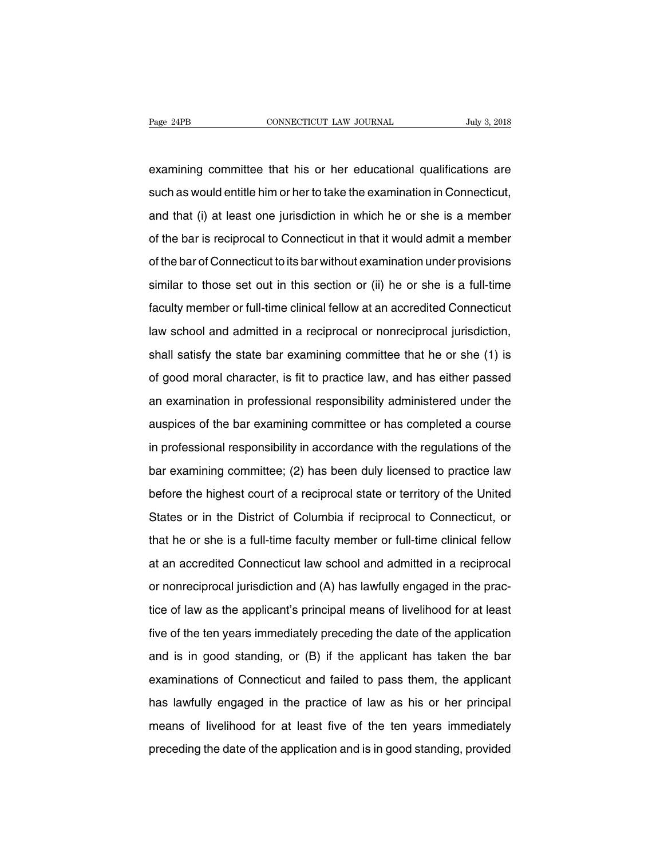Page 24PB CONNECTICUT LAW JOURNAL July 3, 2018<br>examining committee that his or her educational qualifications are<br>such as would entitle him or her to take the examination in Connecticut, Page 24PB CONNECTICUT LAW JOURNAL July 3, 2018<br>examining committee that his or her educational qualifications are<br>such as would entitle him or her to take the examination in Connecticut,<br>and that (i) at least one jurisdict examining committee that his or her educational qualifications are<br>such as would entitle him or her to take the examination in Connecticut,<br>and that (i) at least one jurisdiction in which he or she is a member<br>of the bar i examining committee that his or her educational qualifications are<br>such as would entitle him or her to take the examination in Connecticut,<br>and that (i) at least one jurisdiction in which he or she is a member<br>of the bar i such as would entitle him or her to take the examination in Connecticut,<br>and that (i) at least one jurisdiction in which he or she is a member<br>of the bar is reciprocal to Connecticut in that it would admit a member<br>of the similar to the test one jurisdiction in which he or she is a member<br>of the bar is reciprocal to Connecticut in that it would admit a member<br>of the bar of Connecticut to its bar without examination under provisions<br>similar of the bar is reciprocal to Connecticut in that it would admit a member<br>of the bar of Connecticut to its bar without examination under provisions<br>similar to those set out in this section or (ii) he or she is a full-time<br>fa of the bar of Connecticut to its bar without examination under provisions<br>similar to those set out in this section or (ii) he or she is a full-time<br>faculty member or full-time clinical fellow at an accredited Connecticut<br>l similar to those set out in this section or (ii) he or she is a full-time<br>faculty member or full-time clinical fellow at an accredited Connecticut<br>law school and admitted in a reciprocal or nonreciprocal jurisdiction,<br>shal faculty member or full-time clinical fellow at an accredited Connecticut<br>law school and admitted in a reciprocal or nonreciprocal jurisdiction,<br>shall satisfy the state bar examining committee that he or she (1) is<br>of good law school and admitted in a reciprocal or nonreciprocal jurisdiction,<br>shall satisfy the state bar examining committee that he or she (1) is<br>of good moral character, is fit to practice law, and has either passed<br>an examina shall satisfy the state bar examining committee that he or she (1) is<br>of good moral character, is fit to practice law, and has either passed<br>an examination in professional responsibility administered under the<br>auspices of of good moral character, is fit to practice law, and has either passed<br>an examination in professional responsibility administered under the<br>auspices of the bar examining committee or has completed a course<br>in professional an examination in professional responsibility administered under the<br>auspices of the bar examining committee or has completed a course<br>in professional responsibility in accordance with the regulations of the<br>bar examining auspices of the bar examining committee or has completed a course<br>in professional responsibility in accordance with the regulations of the<br>bar examining committee; (2) has been duly licensed to practice law<br>before the high in professional responsibility in accordance with the regulations of the<br>bar examining committee; (2) has been duly licensed to practice law<br>before the highest court of a reciprocal state or territory of the United<br>States bar examining committee; (2) has been duly licensed to practice law<br>before the highest court of a reciprocal state or territory of the United<br>States or in the District of Columbia if reciprocal to Connecticut, or<br>that he o before the highest court of a reciprocal state or territory of the United<br>States or in the District of Columbia if reciprocal to Connecticut, or<br>that he or she is a full-time faculty member or full-time clinical fellow<br>at States or in the District of Columbia if reciprocal to Connecticut, or<br>that he or she is a full-time faculty member or full-time clinical fellow<br>at an accredited Connecticut law school and admitted in a reciprocal<br>or nonre that he or she is a full-time faculty member or full-time clinical fellow<br>at an accredited Connecticut law school and admitted in a reciprocal<br>or nonreciprocal jurisdiction and (A) has lawfully engaged in the prac-<br>tice of at an accredited Connecticut law school and admitted in a reciprocal<br>or nonreciprocal jurisdiction and (A) has lawfully engaged in the prac-<br>tice of law as the applicant's principal means of livelihood for at least<br>five of or nonreciprocal jurisdiction and (A) has lawfully engaged in the practice of law as the applicant's principal means of livelihood for at least five of the ten years immediately preceding the date of the application and is tice of law as the applicant's principal means of livelihood for at least<br>five of the ten years immediately preceding the date of the application<br>and is in good standing, or (B) if the applicant has taken the bar<br>examinati five of the ten years immediately preceding the date of the application<br>and is in good standing, or (B) if the applicant has taken the bar<br>examinations of Connecticut and failed to pass them, the applicant<br>has lawfully eng and is in good standing, or (B) if the applicant has taken the bar<br>examinations of Connecticut and failed to pass them, the applicant<br>has lawfully engaged in the practice of law as his or her principal<br>means of livelihood examinations of Connecticut and failed to pass them, the applicant<br>has lawfully engaged in the practice of law as his or her principal<br>means of livelihood for at least five of the ten years immediately<br>preceding the date o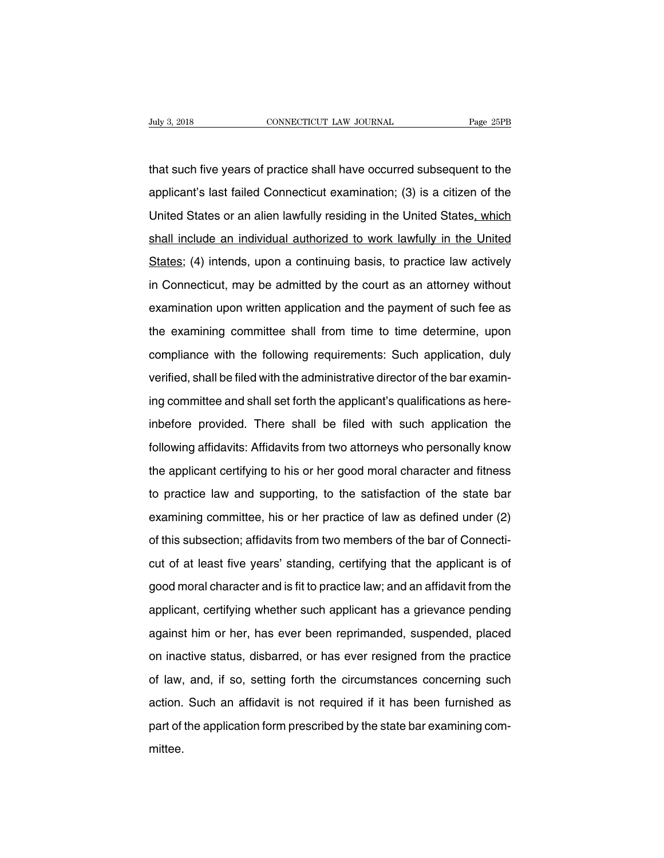That such five years of practice shall have occurred subsequent to the<br>applicant's last failed Connecticut examination; (3) is a citizen of the Fage 25PB<br>that such five years of practice shall have occurred subsequent to the<br>applicant's last failed Connecticut examination; (3) is a citizen of the<br>United States or an alien lawfully residing in the United States<u>, w</u> that such five years of practice shall have occurred subsequent to the<br>applicant's last failed Connecticut examination; (3) is a citizen of the<br>United States or an alien lawfully residing in the United States, which<br>shall that such five years of practice shall have occurred subsequent to the<br>applicant's last failed Connecticut examination; (3) is a citizen of the<br>United States or an alien lawfully residing in the United States, which<br>shall applicant's last failed Connecticut examination; (3) is a citizen of the<br>United States or an alien lawfully residing in the United States, which<br>shall include an individual authorized to work lawfully in the United<br>States; United States or an alien lawfully residing in the United States, which<br>shall include an individual authorized to work lawfully in the United<br>States; (4) intends, upon a continuing basis, to practice law actively<br>in Connec shall include an individual authorized to work lawfully in the United<br>States; (4) intends, upon a continuing basis, to practice law actively<br>in Connecticut, may be admitted by the court as an attorney without<br>examination u States; (4) intends, upon a continuing basis, to practice law actively<br>in Connecticut, may be admitted by the court as an attorney without<br>examination upon written application and the payment of such fee as<br>the examining c examination upon written application and the payment of such fee as<br>the examining committee shall from time to time determine, upon<br>compliance with the following requirements: Such application, duly<br>verified, shall be file examination upon written application and the payment of such fee as<br>the examining committee shall from time to time determine, upon<br>compliance with the following requirements: Such application, duly<br>verified, shall be file the examining committee shall from time to time determine, upon<br>compliance with the following requirements: Such application, duly<br>verified, shall be filed with the administrative director of the bar examin-<br>ing committee compliance with the following requirements: Such application, duly<br>verified, shall be filed with the administrative director of the bar examin-<br>ing committee and shall set forth the applicant's qualifications as here-<br>inbe Following affidavits: Affidavits from two attorneys who personally know the applicant is qualifications as here-<br>inbefore provided. There shall be filed with such application the<br>following affidavits: Affidavits from two a ing committee and shall set forth the applicant's qualifications as here-<br>inbefore provided. There shall be filed with such application the<br>following affidavits: Affidavits from two attorneys who personally know<br>the applic inbefore provided. There shall be filed with such application the following affidavits: Affidavits from two attorneys who personally know the applicant certifying to his or her good moral character and fitness to practice following affidavits: Affidavits from two attorneys who personally know<br>the applicant certifying to his or her good moral character and fitness<br>to practice law and supporting, to the satisfaction of the state bar<br>examining the applicant certifying to his or her good moral character and fitness<br>to practice law and supporting, to the satisfaction of the state bar<br>examining committee, his or her practice of law as defined under (2)<br>of this subs to practice law and supporting, to the satisfaction of the state bar<br>examining committee, his or her practice of law as defined under (2)<br>of this subsection; affidavits from two members of the bar of Connecti-<br>cut of at le examining committee, his or her practice of law as defined under (2)<br>of this subsection; affidavits from two members of the bar of Connecti-<br>cut of at least five years' standing, certifying that the applicant is of<br>good mo of this subsection; affidavits from two members of the bar of Connecticut of at least five years' standing, certifying that the applicant is of good moral character and is fit to practice law; and an affidavit from the app cut of at least five years' standing, certifying that the applicant is of good moral character and is fit to practice law; and an affidavit from the applicant, certifying whether such applicant has a grievance pending agai good moral character and is fit to practice law; and an affidavit from the<br>applicant, certifying whether such applicant has a grievance pending<br>against him or her, has ever been reprimanded, suspended, placed<br>on inactive s applicant, certifying whether such applicant has a grievance pending<br>against him or her, has ever been reprimanded, suspended, placed<br>on inactive status, disbarred, or has ever resigned from the practice<br>of law, and, if so against him or her, has ever been reprimanded, suspended, placed<br>on inactive status, disbarred, or has ever resigned from the practice<br>of law, and, if so, setting forth the circumstances concerning such<br>action. Such an aff part of the status, disbarred, or has ever resigned from the practice<br>of law, and, if so, setting forth the circumstances concerning such<br>action. Such an affidavit is not required if it has been furnished as<br>part of the ap mittee.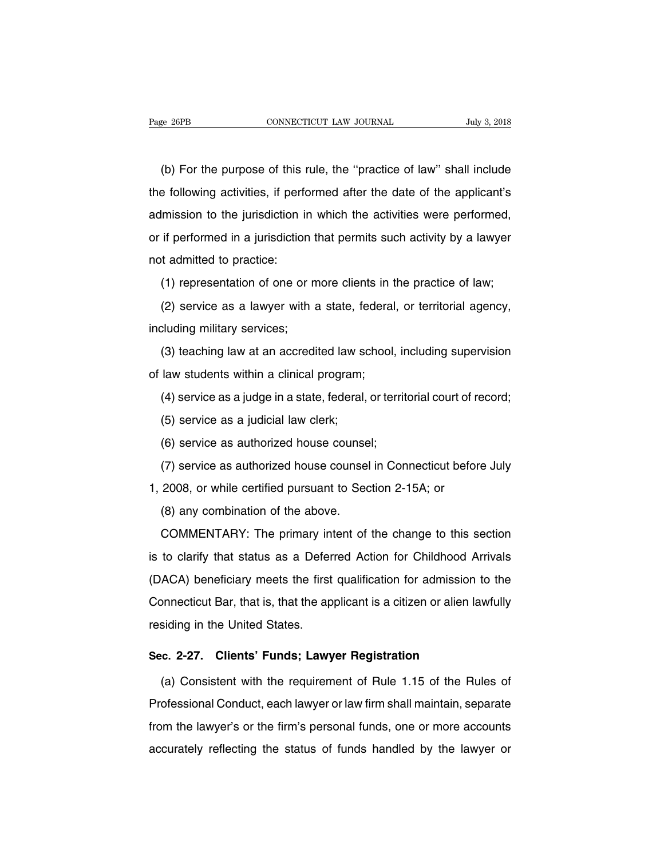EXET THE CONNECTICUT LAW JOURNAL THE SAME THE PURPOSE OF THE PURPOSE OF THE PURPOSE OF LAW' SHALL INCLUDE<br>
The purpose of this rule, the "practice of law" shall include<br>
The following activities, if performed after the dat The following activities, if performed after the date of the applicant's<br>admission to the jurisdiction in which the activities were performed, (b) For the purpose of this rule, the "practice of law" shall include<br>the following activities, if performed after the date of the applicant's<br>admission to the jurisdiction in which the activities were performed,<br>or if per (b) For the purpose of this rule, the "practice of law" shall include the following activities, if performed after the date of the applicant's admission to the jurisdiction in which the activities were performed, or if per the following activities, if performed in a jurisdiction in<br>or if performed in a jurisdiction<br>not admitted to practice:<br>(1) representation of one or Imission to the jurisdiction in which the activities were performed,<br>if performed in a jurisdiction that permits such activity by a lawyer<br>of admitted to practice:<br>(1) representation of one or more clients in the practice if performed in a jurisdiction that permits such activity by a lawyer<br>t admitted to practice:<br>(1) representation of one or more clients in the practice of law;<br>(2) service as a lawyer with a state, federal, or territorial

including military services;<br>(1) representation of one or m<br>(2) service as a lawyer with a<br>including military services;<br>(3) teaching law at an accredi (1) representation of one or more clients in the practice of law;<br>(2) service as a lawyer with a state, federal, or territorial agency,<br>cluding military services;<br>(3) teaching law at an accredited law school, including sup (1) representation of one of more shorts in (2)<br>(2) service as a lawyer with a state, federal<br>including military services;<br>(3) teaching law at an accredited law school,<br>of law students within a clinical program;<br>(4) servic

call service as a fample in a state, federal, or territorial agency,<br>(3) teaching law at an accredited law school, including supervision<br>law students within a clinical program;<br>(4) service as a judge in a state, federal, (3) teaching law at an accredited law so<br>law students within a clinical program;<br>(4) service as a judge in a state, federal,<br>(5) service as a judicial law clerk;<br>(6) service as a uthorized house counse (e) teading ian at an accreance ian censel; if<br>law students within a clinical program;<br>(4) service as a judge in a state, federal, or territ<br>(5) service as a judicial law clerk;<br>(6) service as authorized house counsel;<br>(7)

(4) service as a judge in a state, federal, or territorial court of record;<br>(5) service as a judicial law clerk;<br>(6) service as authorized house counsel;<br>(7) service as authorized house counsel in Connecticut before July<br>2

(1) service as a judicial law clerk;<br>
(6) service as a judicial law clerk;<br>
(7) service as authorized house counsel;<br>
(7) service as authorized house counsel in Connecticut befor<br>
1, 2008, or while certified pursuant to S (5) service as a judicial law clerk;<br>
(6) service as authorized house counsel;<br>
(7) service as authorized house counsel in Connecticut before July<br>
1, 2008, or while certified pursuant to Section 2-15A; or<br>
(8) any combin

(7) service as authorized house counsel in Connecticut before July<br>2008, or while certified pursuant to Section 2-15A; or<br>(8) any combination of the above.<br>COMMENTARY: The primary intent of the change to this section<br>to cl 1, 2008, or while certified pursuant to Section 2-15A; or<br>
(8) any combination of the above.<br>
COMMENTARY: The primary intent of the change to this section<br>
is to clarify that status as a Deferred Action for Childhood Arriv (8) any combination of the above.<br>
COMMENTARY: The primary intent of the change to this section<br>
is to clarify that status as a Deferred Action for Childhood Arrivals<br>
(DACA) beneficiary meets the first qualification for COMMENTARY: The primary intent of the change to this section<br>is to clarify that status as a Deferred Action for Childhood Arrivals<br>(DACA) beneficiary meets the first qualification for admission to the<br>Connecticut Bar, that is to clarify that status as a Defer<br>(DACA) beneficiary meets the first<br>Connecticut Bar, that is, that the ap<br>residing in the United States. (DACA) beneficiary meets the first qualification for admission to<br>
Connecticut Bar, that is, that the applicant is a citizen or alien lav<br>
residing in the United States.<br> **Sec. 2-27. Clients' Funds; Lawyer Registration**<br>
( onnecticut Bar, that is, that the applicant is a citizen or alien lawfully<br>siding in the United States.<br>c. 2-27. Clients' Funds; Lawyer Registration<br>(a) Consistent with the requirement of Rule 1.15 of the Rules of<br>ofession

residing in the United States.<br>
Sec. 2-27. Clients' Funds; Lawyer Registration<br>
(a) Consistent with the requirement of Rule 1.15 of the Rules of<br>
Professional Conduct, each lawyer or law firm shall maintain, separate<br>
from Sec. 2-27. Clients' Funds; Lawyer Registration<br>
(a) Consistent with the requirement of Rule 1.15 of the Rules of<br>
Professional Conduct, each lawyer or law firm shall maintain, separate<br>
from the lawyer's or the firm's pers (a) Consistent with the requirement of Rule 1.15 of the Rules of<br>Professional Conduct, each lawyer or law firm shall maintain, separate<br>from the lawyer's or the firm's personal funds, one or more accounts<br>accurately reflec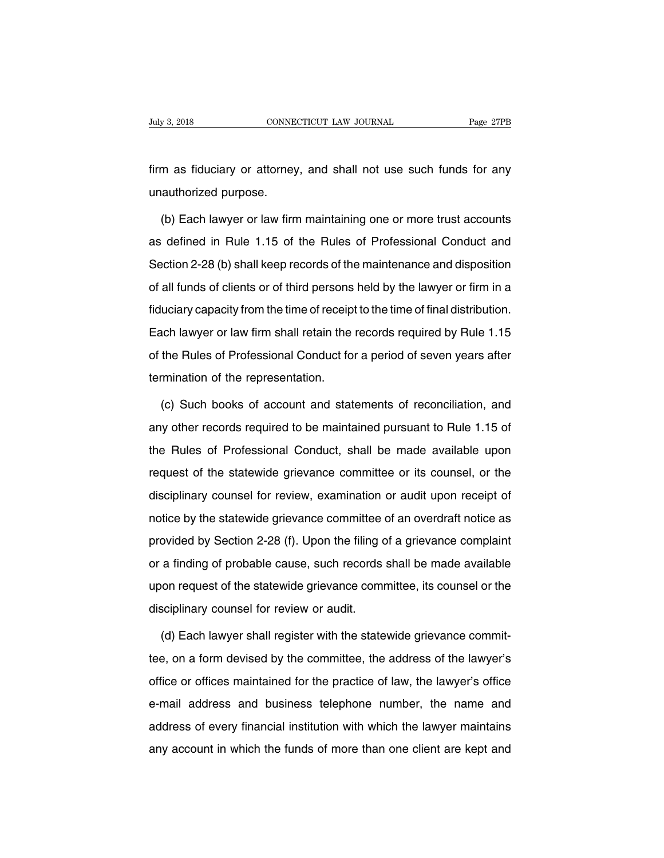Firm as fiduciary or attorney, and shall not use such funds for any unauthorized purpose. July 3, 2018<br>
firm as fiduciary or attorney<br>
unauthorized purpose.<br>
(b) Each lawver or law firm

m as fiduciary or attorney, and shall not use such funds for any<br>authorized purpose.<br>(b) Each lawyer or law firm maintaining one or more trust accounts<br>defined in Rule 1.15 of the Rules of Professional Conduct and firm as fiduciary or attorney, and shall not use such funds for any<br>unauthorized purpose.<br>(b) Each lawyer or law firm maintaining one or more trust accounts<br>as defined in Rule 1.15 of the Rules of Professional Conduct and<br> unauthorized purpose.<br>
(b) Each lawyer or law firm maintaining one or more trust accounts<br>
as defined in Rule 1.15 of the Rules of Professional Conduct and<br>
Section 2-28 (b) shall keep records of the maintenance and dispos (b) Each lawyer or law firm maintaining one or more trust accounts<br>as defined in Rule 1.15 of the Rules of Professional Conduct and<br>Section 2-28 (b) shall keep records of the maintenance and disposition<br>of all funds of cli fight and the Hules of Professional Conduct and<br>Section 2-28 (b) shall keep records of the maintenance and disposition<br>of all funds of clients or of third persons held by the lawyer or firm in a<br>fiduciary capacity from the Section 2-28 (b) shall keep records of the maintenance and disposition<br>of all funds of clients or of third persons held by the lawyer or firm in a<br>fiduciary capacity from the time of receipt to the time of final distributi of all funds of clients or of third persons held by the lawyer or firm in a fiduciary capacity from the time of receipt to the time of final distribution.<br>Each lawyer or law firm shall retain the records required by Rule 1 tiduciary capacity from the time of receip<br>Each lawyer or law firm shall retain the<br>of the Rules of Professional Conduct fo<br>termination of the representation.<br>(c) Such books of account and stat (c) acts acts of Professional Conduct for a period of seven years after<br>the Rules of Professional Conduct for a period of seven years after<br>rmination of the representation.<br>(c) Such books of account and statements of recon

of the Rules of Professional Conduct for a period of seven years after<br>termination of the representation.<br>(c) Such books of account and statements of reconciliation, and<br>any other records required to be maintained pursuant termination of the representation.<br>
(c) Such books of account and statements of reconciliation, and<br>
any other records required to be maintained pursuant to Rule 1.15 of<br>
the Rules of Professional Conduct, shall be made av (c) Such books of account and statements of reconciliation, and<br>any other records required to be maintained pursuant to Rule 1.15 of<br>the Rules of Professional Conduct, shall be made available upon<br>request of the statewide (e) duch books of account and statements of reconomation, and<br>any other records required to be maintained pursuant to Rule 1.15 of<br>the Rules of Professional Conduct, shall be made available upon<br>request of the statewide gr the Rules of Professional Conduct, shall be made available upon<br>request of the statewide grievance committee or its counsel, or the<br>disciplinary counsel for review, examination or audit upon receipt of<br>notice by the statew request of the statewide grievance committee or its counsel, or the disciplinary counsel for review, examination or audit upon receipt of notice by the statewide grievance committee of an overdraft notice as provided by Se disciplinary counsel for review, examination or audit upon receipt of<br>notice by the statewide grievance committee of an overdraft notice as<br>provided by Section 2-28 (f). Upon the filing of a grievance complaint<br>or a findin notice by the statewide grievance committee of an overdraft notice as<br>provided by Section 2-28 (f). Upon the filing of a grievance complaint<br>or a finding of probable cause, such records shall be made available<br>upon request provided by Section 2-28 (f). Upon the filing cor a finding of probable cause, such records<br>upon request of the statewide grievance comm<br>disciplinary counsel for review or audit.<br>(d) Each lawver shall register with the sta (a) a finding of probable cause, such records shall be made available<br>on request of the statewide grievance committee, its counsel or the<br>sciplinary counsel for review or audit.<br>(d) Each lawyer shall register with the stat

the disciplinary counsel for review or audit.<br>
(d) Each lawyer shall register with the statewide grievance commit-<br>
tee, on a form devised by the committee, the address of the lawyer's<br>
office or offices maintained for the disciplinary counsel for review or audit.<br>
(d) Each lawyer shall register with the statewide grievance commit-<br>
tee, on a form devised by the committee, the address of the lawyer's<br>
office or offices maintained for the pra (d) Each lawyer shall register with the statewide grievance commit-<br>tee, on a form devised by the committee, the address of the lawyer's<br>office or offices maintained for the practice of law, the lawyer's office<br>e-mail addr (a) Laon lawyor onal register with the statemas gheralities semilited the action of the lawyer's office or offices maintained for the practice of law, the lawyer's office e-mail address and business telephone number, the n any account in which the funds of more than one client are kept and address of every financial institution with which the lawyer maintains any account in which the funds of more than one client are kept and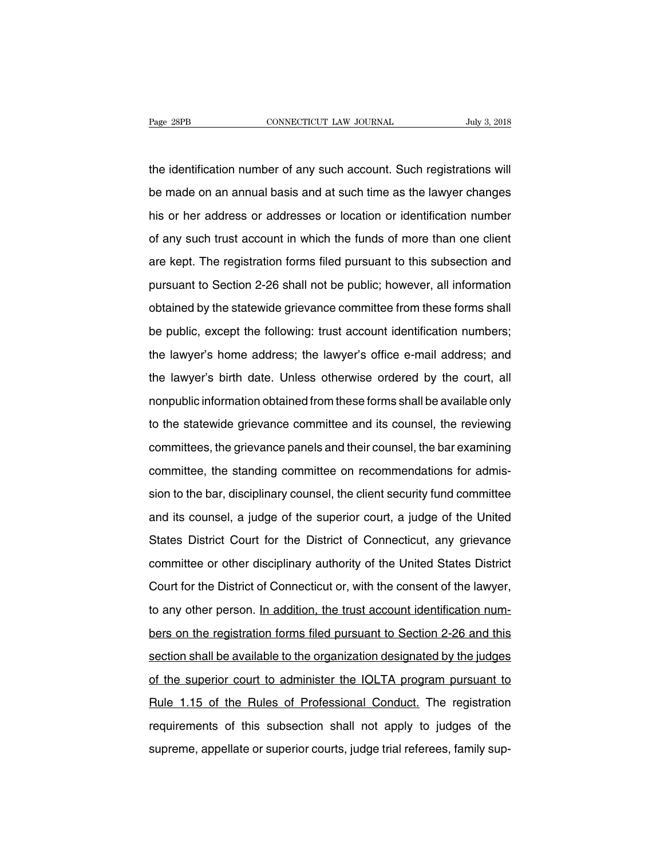The identification number of any such account. Such registrations will<br>the identification number of any such account. Such registrations will<br>be made on an annual basis and at such time as the lawyer changes Page 28PB CONNECTICUT LAW JOURNAL July 3, 2018<br>the identification number of any such account. Such registrations will<br>be made on an annual basis and at such time as the lawyer changes<br>his or her address or addresses or loc the identification number of any such account. Such registrations will<br>be made on an annual basis and at such time as the lawyer changes<br>his or her address or addresses or location or identification number<br>of any such trus the identification number of any such account. Such registrations will<br>be made on an annual basis and at such time as the lawyer changes<br>his or her address or addresses or location or identification number<br>of any such trus be made on an annual basis and at such time as the lawyer changes<br>his or her address or addresses or location or identification number<br>of any such trust account in which the funds of more than one client<br>are kept. The regi pursuant of the addresses or location or identification number<br>of any such trust account in which the funds of more than one client<br>are kept. The registration forms filed pursuant to this subsection and<br>pursuant to Section of any such trust account in which the funds of more than one client<br>are kept. The registration forms filed pursuant to this subsection and<br>pursuant to Section 2-26 shall not be public; however, all information<br>obtained by are kept. The registration forms filed pursuant to this subsection and<br>pursuant to Section 2-26 shall not be public; however, all information<br>obtained by the statewide grievance committee from these forms shall<br>be public, pursuant to Section 2-26 shall not be public; however, all information<br>obtained by the statewide grievance committee from these forms shall<br>be public, except the following: trust account identification numbers;<br>the lawyer' obtained by the statewide grievance committee from these forms shall<br>be public, except the following: trust account identification numbers;<br>the lawyer's home address; the lawyer's office e-mail address; and<br>the lawyer's bi be public, except the following: trust account identification numbers;<br>the lawyer's home address; the lawyer's office e-mail address; and<br>the lawyer's birth date. Unless otherwise ordered by the court, all<br>nonpublic inform the lawyer's home address; the lawyer's office e-mail address; and<br>the lawyer's birth date. Unless otherwise ordered by the court, all<br>nonpublic information obtained from these forms shall be available only<br>to the statewid the lawyer's birth date. Unless otherwise ordered by the court, all<br>nonpublic information obtained from these forms shall be available only<br>to the statewide grievance committee and its counsel, the reviewing<br>committees, th nonpublic information obtained from these forms shall be available only<br>to the statewide grievance committee and its counsel, the reviewing<br>committees, the grievance panels and their counsel, the bar examining<br>committee, t is to the statewide grievance committee and its counsel, the reviewing<br>committees, the grievance panels and their counsel, the bar examining<br>committee, the standing committee on recommendations for admis-<br>sion to the bar, committees, the grievance panels and their counsel, the bar examining<br>committee, the standing committee on recommendations for admis-<br>sion to the bar, disciplinary counsel, the client security fund committee<br>and its counse committee, the standing committee on recommendations for admission to the bar, disciplinary counsel, the client security fund committee and its counsel, a judge of the superior court, a judge of the United States District sion to the bar, disciplinary counsel, the client security fund committee<br>and its counsel, a judge of the superior court, a judge of the United<br>States District Court for the District of Connecticut, any grievance<br>committee and its counsel, a judge of the superior court, a judge of the United<br>States District Court for the District of Connecticut, any grievance<br>committee or other disciplinary authority of the United States District<br>Court for t States District Court for the District of Connecticut, any grievance<br>committee or other disciplinary authority of the United States District<br>Court for the District of Connecticut or, with the consent of the lawyer,<br>to any committee or other disciplinary authority of the United States District<br>Court for the District of Connecticut or, with the consent of the lawyer,<br>to any other person. In addition, the trust account identification num-<br>bers Court for the District of Connecticut or, with the consent of the lawyer,<br>to any other person. In addition, the trust account identification num-<br>bers on the registration forms filed pursuant to Section 2-26 and this<br>secti to any other person. In addition, the trust account identification num-<br>bers on the registration forms filed pursuant to Section 2-26 and this<br>section shall be available to the organization designated by the judges<br>of the bers on the registration forms filed pursuant to Section 2-26 and this<br>section shall be available to the organization designated by the judges<br>of the superior court to administer the IOLTA program pursuant to<br>Rule 1.15 of section shall be available to the organization designated by the judges<br>of the superior court to administer the IOLTA program pursuant to<br>Rule 1.15 of the Rules of Professional Conduct. The registration<br>requirements of thi of the superior court to administer the IOLTA program pursuant to<br>Rule 1.15 of the Rules of Professional Conduct. The registration<br>requirements of this subsection shall not apply to judges of the<br>supreme, appellate or supe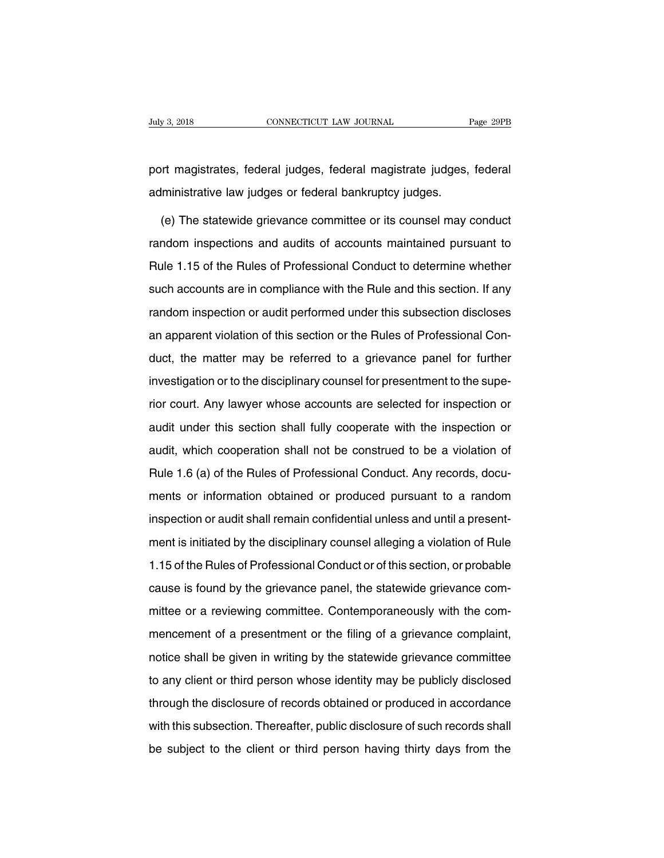puly 3, 2018<br>
port magistrates, federal judges, federal magistrate judges, federal<br>
administrative law judges or federal bankruptcy judges. administrative law judges, federal magistrate judges, daministrative law judges or federal bankruptcy judges.<br>The state is counsel magistrative law judges or federal bankruptcy judges.<br>(e) The state wide grievance committe

ort magistrates, federal judges, federal magistrate judges, federal<br>Iministrative law judges or federal bankruptcy judges.<br>(e) The statewide grievance committee or its counsel may conduct<br>Indom inspections and audits of ac port magistrates, federal judges, federal magistrate judges, federal<br>administrative law judges or federal bankruptcy judges.<br>(e) The statewide grievance committee or its counsel may conduct<br>random inspections and audits of administrative law judges or federal bankruptcy judges.<br>
(e) The statewide grievance committee or its counsel may conduct<br>
random inspections and audits of accounts maintained pursuant to<br>
Rule 1.15 of the Rules of Profess (e) The statewide grievance committee or its counsel may conduct<br>random inspections and audits of accounts maintained pursuant to<br>Rule 1.15 of the Rules of Professional Conduct to determine whether<br>such accounts are in com random inspections and audits of accounts maintained pursuant to<br>Rule 1.15 of the Rules of Professional Conduct to determine whether<br>such accounts are in compliance with the Rule and this section. If any<br>random inspection random impediant and datate or decounte maintained purcelent to<br>Rule 1.15 of the Rules of Professional Conduct to determine whether<br>such accounts are in compliance with the Rule and this section. If any<br>random inspection o First The end of and the control of the matter of a grieval control is such accounts are in compliance with the Rule and this section. If any random inspection or audit performed under this subsection discloses an apparent Franchin accounts are in complements intrinse that the coordinating random inspection or audit performed under this subsection discloses<br>an apparent violation of this section or the Rules of Professional Con-<br>duct, the mat rancemine<br>peasant violation of this section or the Rules of Professional Con-<br>duct, the matter may be referred to a grievance panel for further<br>investigation or to the disciplinary counsel for presentment to the supe-<br>rior an approach a state of this section is an experience panel for further<br>investigation or to the disciplinary counsel for presentment to the supe-<br>rior court. Any lawyer whose accounts are selected for inspection or<br>audit un audit, which cooperation shall fully cooperate with the superior court. Any lawyer whose accounts are selected for inspection or audit under this section shall fully cooperate with the inspection or audit, which cooperatio rior court. Any lawyer whose accounts are selected for inspection or<br>audit under this section shall fully cooperate with the inspection or<br>audit, which cooperation shall not be construed to be a violation of<br>Rule 1.6 (a) o ment ceans hall y cooperation of marger information or<br>audit, which cooperation shall not be construed to be a violation of<br>Rule 1.6 (a) of the Rules of Professional Conduct. Any records, docu-<br>ments or information obtaine audit, which cooperation shall not be construed to be a violation of<br>Rule 1.6 (a) of the Rules of Professional Conduct. Any records, docu-<br>ments or information obtained or produced pursuant to a random<br>inspection or audit ment is initiated by the Rules of Professional Conduct. Any records, documents or information obtained or produced pursuant to a random inspection or audit shall remain confidential unless and until a presentment is initia 1.15 of the Rules of Professional Conducted pursuant to a random<br>inspection or audit shall remain confidential unless and until a present-<br>ment is initiated by the disciplinary counsel alleging a violation of Rule<br>1.15 of inspection or audit shall remain confidential unless and until a present-<br>ment is initiated by the disciplinary counsel alleging a violation of Rule<br>1.15 of the Rules of Professional Conduct or of this section, or probable ment is initiated by the disciplinary counsel alleging a violation of Rule<br>1.15 of the Rules of Professional Conduct or of this section, or probable<br>cause is found by the grievance panel, the statewide grievance com-<br>mitte mence minates by the disciplinal y counser alloging a measurement of this<br>1.15 of the Rules of Professional Conduct or of this section, or probable<br>cause is found by the grievance panel, the statewide grievance com-<br>mittee notice shall by the grievance panel, the statewide grievance com-<br>mittee or a reviewing committee. Contemporaneously with the com-<br>mencement of a presentment or the filing of a grievance complaint,<br>notice shall be given in the content or the given any the statemeter of the com-<br>mencement of a presentment or the filing of a grievance complaint,<br>notice shall be given in writing by the statewide grievance committee<br>to any client or third person mencement of a presentment or the filing of a grievance complaint,<br>notice shall be given in writing by the statewide grievance committee<br>to any client or third person whose identity may be publicly disclosed<br>through the di menteement of a procent and antigration. The terming of a given ance committee<br>to any client or third person whose identity may be publicly disclosed<br>through the disclosure of records obtained or produced in accordance<br>wit be subject to the client or third person whose identity may be publicly disclosed<br>through the disclosure of records obtained or produced in accordance<br>with this subsection. Thereafter, public disclosure of such records sha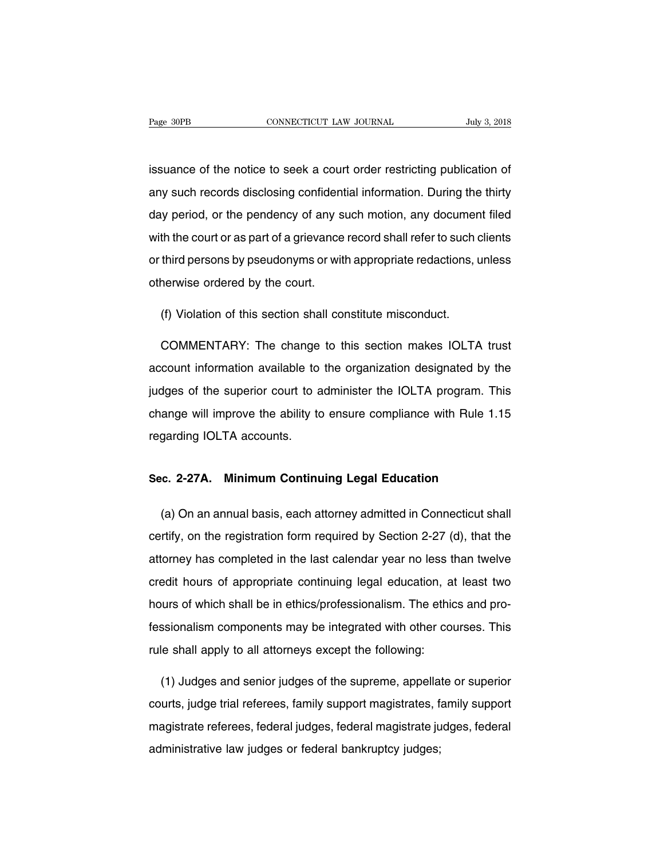Page 30PB<br>
connectricut LAW JOURNAL<br>
issuance of the notice to seek a court order restricting publication of<br>
any such records disclosing confidential information. During the thirty Fage 30PB CONNECTICUT LAW JOURNAL July 3, 2018<br>issuance of the notice to seek a court order restricting publication of<br>any such records disclosing confidential information. During the thirty<br>day period, or the pendency of issuance of the notice to seek a court order restricting publication of<br>any such records disclosing confidential information. During the thirty<br>day period, or the pendency of any such motion, any document filed<br>with the co issuance of the notice to seek a court order restricting publication of<br>any such records disclosing confidential information. During the thirty<br>day period, or the pendency of any such motion, any document filed<br>with the co any such records disclosing confidential information. During the thirty<br>day period, or the pendency of any such motion, any document filed<br>with the court or as part of a grievance record shall refer to such clients<br>or thir day period, or the pendency of any s<br>with the court or as part of a grievance<br>or third persons by pseudonyms or wit<br>otherwise ordered by the court. th the court or as part of a grievance record shall refer to such of<br>third persons by pseudonyms or with appropriate redactions, unerwise ordered by the court.<br>(f) Violation of this section shall constitute misconduct.

third persons by pseudonyms or with appropriate redactions, unless<br>nerwise ordered by the court.<br>(f) Violation of this section shall constitute misconduct.<br>COMMENTARY: The change to this section makes IOLTA trust<br>count inf otherwise ordered by the court.<br>
(f) Violation of this section shall constitute misconduct.<br>
COMMENTARY: The change to this section makes IOLTA trust<br>
account information available to the organization designated by the<br>
ju (f) Violation of this section shall constitute misconduct.<br>COMMENTARY: The change to this section makes IOLTA trust<br>account information available to the organization designated by the<br>judges of the superior court to admini COMMENTARY: The change to this section makes IOLTA trust<br>account information available to the organization designated by the<br>judges of the superior court to administer the IOLTA program. This<br>change will improve the abilit domination available to<br>account information available to<br>change will improve the ability to<br>regarding IOLTA accounts. quages of the superior court to administer the IOLTA program. The<br>change will improve the ability to ensure compliance with Rule 1.1<br>regarding IOLTA accounts.<br>Sec. 2-27A. Minimum Continuing Legal Education

garding IOLTA accounts.<br> **E. 2-27A. Minimum Continuing Legal Education**<br>
(a) On an annual basis, each attorney admitted in Connecticut shall<br>
rtify, on the registration form required by Section 2-27 (d), that the Sec. 2-27A. Minimum Continuing Legal Education<br>(a) On an annual basis, each attorney admitted in Connecticut shall<br>certify, on the registration form required by Section 2-27 (d), that the<br>attorney has completed in the last Sec. 2-27A. Minimum Continuing Legal Education<br>
(a) On an annual basis, each attorney admitted in Connecticut shall<br>
certify, on the registration form required by Section 2-27 (d), that the<br>
attorney has completed in the l (a) On an annual basis, each attorney admitted in Connecticut shall<br>certify, on the registration form required by Section 2-27 (d), that the<br>attorney has completed in the last calendar year no less than twelve<br>credit hours (a) On an annual basis, each attorney admitted in Connecticut shall certify, on the registration form required by Section 2-27 (d), that the attorney has completed in the last calendar year no less than twelve credit hour attorney has completed in the last calendar year no less than twelve<br>credit hours of appropriate continuing legal education, at least two<br>hours of which shall be in ethics/professionalism. The ethics and pro-<br>fessionalism credit hours of appropriate continuing legal education, a<br>hours of which shall be in ethics/professionalism. The ethic<br>fessionalism components may be integrated with other cor<br>rule shall apply to all attorneys except the f ours of which shall be in ethics/professionalism. The ethics and pro-<br>ssionalism components may be integrated with other courses. This<br>le shall apply to all attorneys except the following:<br>(1) Judges and senior judges of t

fessionalism components may be integrated with other courses. This<br>rule shall apply to all attorneys except the following:<br>(1) Judges and senior judges of the supreme, appellate or superior<br>courts, judge trial referees, fa rule shall apply to all attorneys except the following:<br>
(1) Judges and senior judges of the supreme, appellate or superior<br>
courts, judge trial referees, family support magistrates, family support<br>
magistrate referees, fe (1) Judges and senior judges of the supreme, appella<br>courts, judge trial referees, family support magistrates, f<br>magistrate referees, federal judges, federal magistrate ju<br>administrative law judges or federal bankruptcy ju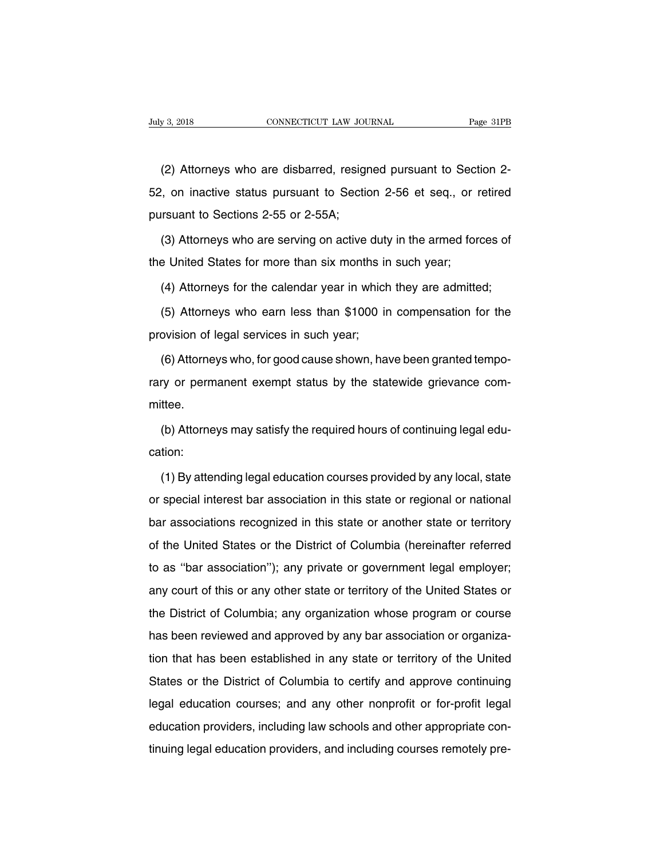(2) Attorneys who are disbarred, resigned pursuant to Section 2-<br>(2) Attorneys who are disbarred, resigned pursuant to Section 2-<br>(3) on inactive status pursuant to Section 2-56 et seq., or retired 52, July 3, 2018 CONNECTICUT LAW JOURNAL Page 31PB<br>
(2) Attorneys who are disbarred, resigned pursuant to Section 2-<br>
52, on inactive status pursuant to Section 2-56 et seq., or retired<br>
pursuant to Sections 2-55 or 2-55A; (2) Attorneys who are disbarred, resign<br>
52, on inactive status pursuant to Sections<br>
pursuant to Sections 2-55 or 2-55A;<br>
(3) Attorneys who are serving on active (2) Attorneys who are disbarred, resigned pursuant to Section 2-<br>  $\alpha$ , on inactive status pursuant to Section 2-56 et seq., or retired<br>
in the armed forces of<br>
(3) Attorneys who are serving on active duty in the armed fo 52, on inactive status pursuant to Section 2-56 et seq., or r<br>pursuant to Sections 2-55 or 2-55A;<br>(3) Attorneys who are serving on active duty in the armed for<br>the United States for more than six months in such year;<br>(4)

Irsuant to Sections 2-55 or 2-55A;<br>
(3) Attorneys who are serving on active duty in the armed forces of<br>
e United States for more than six months in such year;<br>
(4) Attorneys for the calendar year in which they are admitte

(3) Attorneys who are serving on active duty in the armed forces of<br>e United States for more than six months in such year;<br>(4) Attorneys for the calendar year in which they are admitted;<br>(5) Attorneys who earn less than \$1 the United States for more than six months in<br>
(4) Attorneys for the calendar year in which<br>
(5) Attorneys who earn less than \$1000 in<br>
provision of legal services in such year;<br>
(6) Attorneys who, for good cause shown, ha

(4) Attorneys for the calendar year in which they are admitted;<br>(5) Attorneys who earn less than \$1000 in compensation for the<br>ovision of legal services in such year;<br>(6) Attorneys who, for good cause shown, have been gran (5) Attorneys who earn less than \$1000 in compensation for the provision of legal services in such year;<br>(6) Attorneys who, for good cause shown, have been granted tempo-<br>rary or permanent exempt status by the statewide gr mittee. (6) Attorneys who, for good cause shown, have been granted tempo-<br>ry or permanent exempt status by the statewide grievance com-<br>ttee.<br>(b) Attorneys may satisfy the required hours of continuing legal edu-<br>tion:

cation:

ttee.<br>
(b) Attorneys may satisfy the required hours of continuing legal edu-<br>
tion:<br>
(1) By attending legal education courses provided by any local, state<br>
special interest bar association in this state or regional or nati (b) Attorneys may satisfy the required hours of continuing legal edu-<br>cation:<br>(1) By attending legal education courses provided by any local, state<br>or special interest bar association in this state or regional or national<br> cation:<br>
(1) By attending legal education courses provided by any local, state<br>
or special interest bar association in this state or regional or national<br>
bar associations recognized in this state or another state or terri (1) By attending legal education courses provided by any local, state<br>or special interest bar association in this state or regional or national<br>bar associations recognized in this state or another state or territory<br>of the They alternary legal education coulded provided by any local, etable or special interest bar association in this state or regional or national bar associations recognized in this state or another state or territory of the bar associations recognized in this state or another state or territory<br>of the United States or the District of Columbia (hereinafter referred<br>to as "bar association"); any private or government legal employer;<br>any court o but descellations recognized in this state of different clate of termsty<br>of the United States or the District of Columbia (hereinafter referred<br>to as "bar association"); any private or government legal employer;<br>any court of the United States or the District of Columbia (hereinafter referred<br>to as "bar association"); any private or government legal employer;<br>any court of this or any other state or territory of the United States or<br>the Distr that has been reviewed and approved by any state or territory of the United States or<br>the District of Columbia; any organization whose program or course<br>has been reviewed and approved by any bar association or organiza-<br>ti The District of Columbia; any organization whose program or course<br>has been reviewed and approved by any bar association or organiza-<br>tion that has been established in any state or territory of the United<br>States or the Dis Intertuation of Solution, any organization whose pregram or educe<br>has been reviewed and approved by any bar association or organiza-<br>tion that has been established in any state or territory of the United<br>States or the Dist rias secritories and approved by any san assessiation of eiganization that has been established in any state or territory of the United States or the District of Columbia to certify and approve continuing legal education c States or the District of Columbia to certify and approve continuing<br>legal education courses; and any other nonprofit or for-profit legal<br>education providers, including law schools and other appropriate con-<br>tinuing legal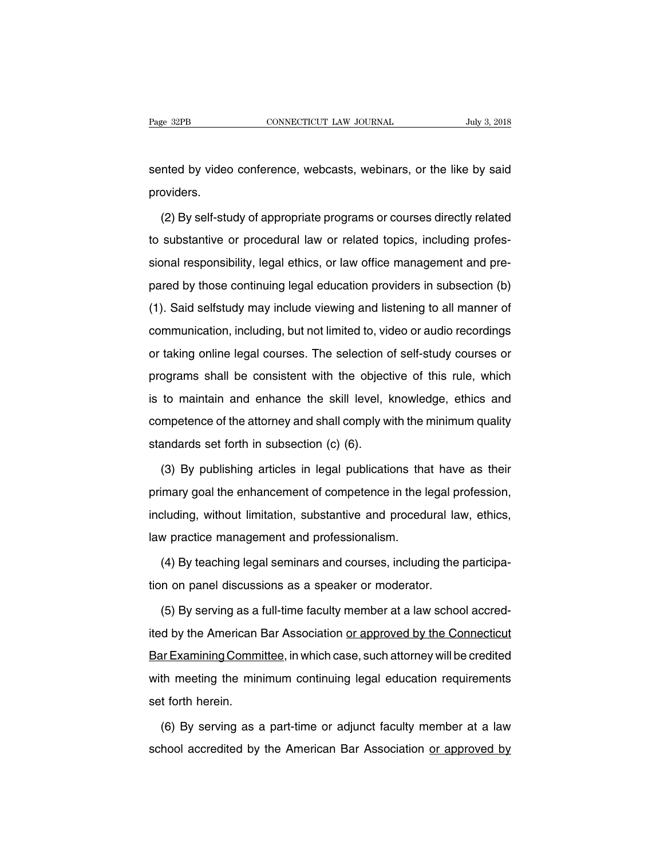Page 32PB CONNECTICUT LAW JOURNAL July 3, 2018<br>Sented by video conference, webcasts, webinars, or the like by said<br>providers. providers.

nted by video conference, webcasts, webinars, or the like by said<br>oviders.<br>(2) By self-study of appropriate programs or courses directly related<br>substantive or procedural law or related topics, including professented by video conference, webcasts, webinars, or the like by said<br>providers.<br>(2) By self-study of appropriate programs or courses directly related<br>to substantive or procedural law or related topics, including profes-<br>sio providers.<br>
(2) By self-study of appropriate programs or courses directly related<br>
to substantive or procedural law or related topics, including profes-<br>
sional responsibility, legal ethics, or law office management and pr (2) By self-study of appropriate programs or courses directly related<br>to substantive or procedural law or related topics, including profes-<br>sional responsibility, legal ethics, or law office management and pre-<br>pared by th ( $\Box$ ) By son staty or appropriate programs or scaless already related to substantive or procedural law or related topics, including professional responsibility, legal ethics, or law office management and prepared by thos communication, including, including to history including processional responsibility, legal ethics, or law office management and pre-<br>pared by those continuing legal education providers in subsection (b)<br>(1). Said selfstud pared by those continuing legal education providers in subsection (b)<br>(1). Said selfstudy may include viewing and listening to all manner of<br>communication, including, but not limited to, video or audio recordings<br>or taking provided by these sontaining legal education provided in subsection (b)<br>
(1). Said selfstudy may include viewing and listening to all manner of<br>
communication, including, but not limited to, video or audio recordings<br>
or t communication, including, but not limited to, video or audio recordings<br>or taking online legal courses. The selection of self-study courses or<br>programs shall be consistent with the objective of this rule, which<br>is to maint or taking online legal courses. The selection of self-study courses or<br>programs shall be consistent with the objective of this rule, which<br>is to maintain and enhance the skill level, knowledge, ethics and<br>competence of the or taking online legal courses. The selection of self-study courses or<br>programs shall be consistent with the objective of this rule, which<br>is to maintain and enhance the skill level, knowledge, ethics and<br>competence of the to maintain and enhance the skill level, knowledge, ethics and<br>mpetence of the attorney and shall comply with the minimum quality<br>andards set forth in subsection (c) (6).<br>(3) By publishing articles in legal publications th

competence of the attorney and shall comply with the minimum quality<br>standards set forth in subsection (c) (6).<br>(3) By publishing articles in legal publications that have as their<br>primary goal the enhancement of competenc standards set forth in subsection (c) (6).<br>
(3) By publishing articles in legal publications that have as their<br>
primary goal the enhancement of competence in the legal profession,<br>
including, without limitation, substanti (3) By publishing articles in legal publications the primary goal the enhancement of competence in the  $\mathbb R$  including, without limitation, substantive and procedulaw practice management and professionalism.<br>(4) By teach (1) By teaching in the legal profession,<br>cluding, without limitation, substantive and procedural law, ethics,<br>w practice management and professionalism.<br>(4) By teaching legal seminars and courses, including the participa-<br> including, without limitation, substantive and procedural laver<br>law practice management and professionalism.<br>(4) By teaching legal seminars and courses, including the<br>tion on panel discussions as a speaker or moderator.<br>(5

w practice management and professionalism.<br>(4) By teaching legal seminars and courses, including the participa-<br>n on panel discussions as a speaker or moderator.<br>(5) By serving as a full-time faculty member at a law school (4) By teaching legal seminars and courses, including the participation on panel discussions as a speaker or moderator.<br>
(5) By serving as a full-time faculty member at a law school accredited by the American Bar Associati The union on panel discussions as a speaker or moderator.<br>
(5) By serving as a full-time faculty member at a law school accredited by the American Bar Association or approved by the Connecticut<br>
Bar Examining Committee, in (5) By serving as a full-time faculty member at a law school accredited by the American Bar Association or approved by the Connecticut Bar Examining Committee, in which case, such attorney will be credited with meeting the  $(0, 2)$  setving as a<br>ited by the American I<br>Bar Examining Comm<br>with meeting the min<br>set forth herein.<br>(6) By serving as a It Examining Committee, in which case, such attorney will be credited<br>th meeting the minimum continuing legal education requirements<br>t forth herein.<br>(6) By serving as a part-time or adjunct faculty member at a law<br>hool acc with meeting the minimum continuing legal education requirements<br>set forth herein.<br>(6) By serving as a part-time or adjunct faculty member at a law<br>school accredited by the American Bar Association <u>or approved by</u>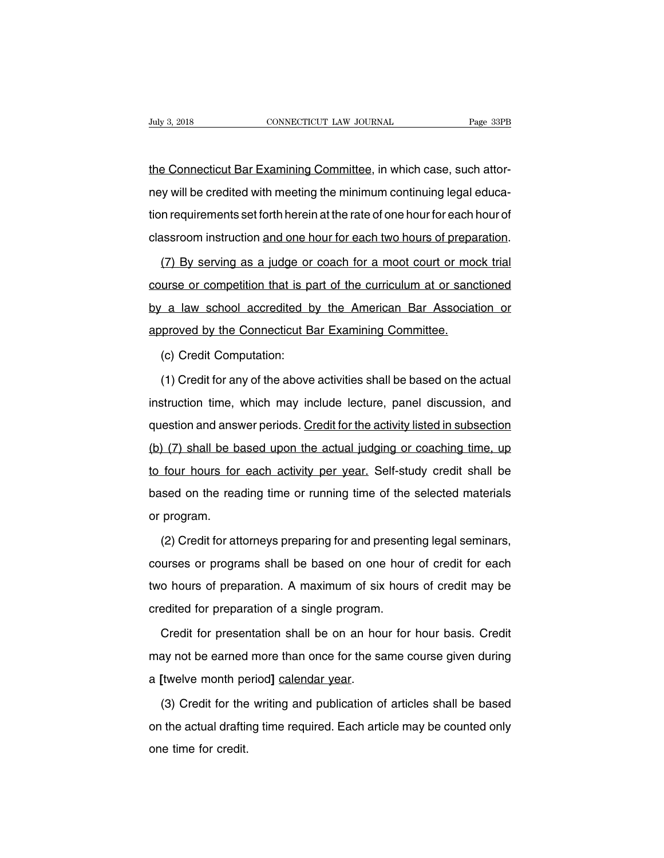Tuly 3, 2018<br>CONNECTICUT LAW JOURNAL Page 33PB<br>the Connecticut Bar Examining Committee, in which case, such attor-<br>ney will be credited with meeting the minimum continuing legal educa-Duly 3, 2018 CONNECTICUT LAW JOURNAL Page 33PB<br>
the Connecticut Bar Examining Committee, in which case, such attor-<br>
ney will be credited with meeting the minimum continuing legal educa-<br>
tion requirements set forth herein the Connecticut Bar Examining Committee, in which case, such attor-<br>ney will be credited with meeting the minimum continuing legal educa-<br>tion requirements set forth herein at the rate of one hour for each hour of<br>classroo the Connecticut Bar Examining Committee, in which case, such attor-<br>ney will be credited with meeting the minimum continuing legal educa-<br>tion requirements set forth herein at the rate of one hour for each hour of<br>classroo (17) By serving as a judge or coach for a moot court or mock trial urse or competition that is part of the curriculum at or sanctioned urse or competition that is part of the curriculum at or sanctioned

contained tion requirements set forth herein at the rate of one hour for each hour of<br>classroom instruction and one hour for each two hours of preparation.<br>(7) By serving as a judge or coach for a moot court or mock trial<br> classroom instruction and one hour for each two hours of preparation.<br>
(7) By serving as a judge or coach for a moot court or mock trial<br>
course or competition that is part of the curriculum at or sanctioned<br>
by a law scho (7) By serving as a judge or coach for a moot court or mod<br>course or competition that is part of the curriculum at or sand<br>by a law school accredited by the American Bar Associat<br>approved by the Connecticut Bar Examining C The State of Competition that is pair and the State of the Connecticut B<br>(c) Credit Computation:<br>(1) Credit for any of the above (2) a law school accredited by the American Bar Association or<br>proved by the Connecticut Bar Examining Committee.<br>(c) Credit Computation:<br>(1) Credit for any of the above activities shall be based on the actual<br>struction ti

instruction time, which may include lecture, panel discussion, and<br>question and answer periods. Credit for the activities shall be based on the actual<br>question time, which may include lecture, panel discussion, and<br>questio (c) Credit Computation:<br>
(1) Credit for any of the above activities shall be based on the actual<br>
instruction time, which may include lecture, panel discussion, and<br>
question and answer periods. Credit for the activity lis (1) Credit for any of the above activities shall be based on the actual instruction time, which may include lecture, panel discussion, and question and answer periods. Credit for the activity listed in subsection (b) (7) s (1) Socal for any of the above activities shall be based of the action.<br>
instruction time, which may include lecture, panel discussion, and<br>
question and answer periods. Credit for the activity listed in subsection<br>
(b) (7 question and answer periods. Credit for the activity listed in subsection<br>(b) (7) shall be based upon the actual judging or coaching time, up<br>to four hours for each activity per year. Self-study credit shall be<br>based on th question and answer periods. Credit for the activity listed in subsection<br>
(b) (7) shall be based upon the actual judging or coaching time, up<br>
to four hours for each activity per year. Self-study credit shall be<br>
based on Four hours for each activity per year. Self-study credit shall be<br>sed on the reading time or running time of the selected materials<br>program.<br>(2) Credit for attorneys preparing for and presenting legal seminars,<br>urses or pr

based on the reading time or running time of the selected materials<br>or program.<br>(2) Credit for attorneys preparing for and presenting legal seminars,<br>courses or programs shall be based on one hour of credit for each<br>two ho or program.<br>
(2) Credit for attorneys preparing for and presenting legal seminars,<br>
courses or programs shall be based on one hour of credit for each<br>
two hours of preparation. A maximum of six hours of credit may be<br>
cred (2) Credit for attorneys preparing for and present<br>courses or programs shall be based on one hour<br>two hours of preparation. A maximum of six hour<br>credited for preparation of a single program.<br>Credit for presentation shall The set of preparation of the based on one hour of credit for each<br>o hours of preparation. A maximum of six hours of credit may be<br>edited for preparation of a single program.<br>Credit for presentation shall be on an hour for

two hours of preparation. A maximum of six hours of credit may be<br>credited for preparation of a single program.<br>Credit for presentation shall be on an hour for hour basis. Credit<br>may not be earned more than once for the sa credited for preparation of a single program.<br>Credit for presentation shall be on an hot<br>may not be earned more than once for the sa<br>a [twelve month period] <u>calendar year</u>.<br>(3) Credit for the writing and publication o Credit for presentation shall be on an hour for hour basis. Credit<br>ay not be earned more than once for the same course given during<br>[twelve month period] calendar year.<br>(3) Credit for the writing and publication of article

may not be earned more than once for the same course given during<br>a [twelve month period] calendar year.<br>(3) Credit for the writing and publication of articles shall be based<br>on the actual drafting time required. Each arti a [twelve month pe<br>(3) Credit for the<br>on the actual draftir<br>one time for credit.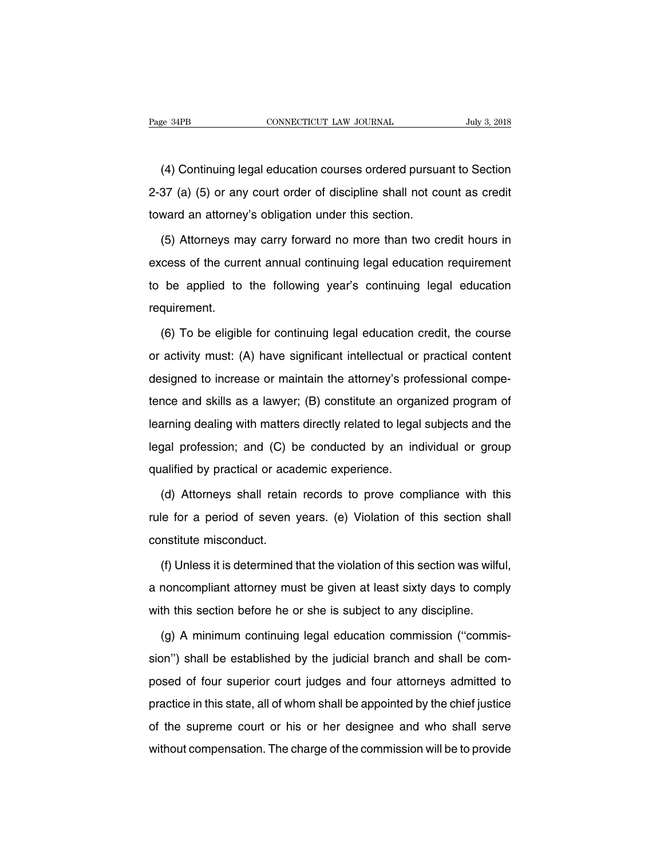EXEMBERTHE CONNECTICUT LAW JOURNAL July 3, 2018<br>
(4) Continuing legal education courses ordered pursuant to Section<br>
(37 (a) (5) or any court order of discipline shall not count as credit Page 34PB CONNECTICUT LAW JOURNAL July 3, 2018<br>
(4) Continuing legal education courses ordered pursuant to Section<br>
2-37 (a) (5) or any court order of discipline shall not count as credit<br>
toward an attorney's obligation u (4) Continuing legal education courses ordered pursua<br>2-37 (a) (5) or any court order of discipline shall not co<br>toward an attorney's obligation under this section.<br>(5) Attorneys may carry forward no more than two cr (4) Continuing legal education courses ordered pursuant to Section<br>37 (a) (5) or any court order of discipline shall not count as credit<br>ward an attorney's obligation under this section.<br>(5) Attorneys may carry forward no

2-37 (a) (5) or any court order of discipline shall not count as credit<br>toward an attorney's obligation under this section.<br>(5) Attorneys may carry forward no more than two credit hours in<br>excess of the current annual cont toward an attorney's obligation under this section.<br>
(5) Attorneys may carry forward no more than two credit hours in<br>
excess of the current annual continuing legal education requirement<br>
to be applied to the following yea requirement. (6) To be eligible for continuing legal education requirement<br>
(6) To be eligible for continuing legal education credit, the course<br>
activity must: (A) have significant intellectual or practical content

to be applied to the following year's continuing legal education<br>requirement.<br>(6) To be eligible for continuing legal education credit, the course<br>or activity must: (A) have significant intellectual or practical content<br>de requirement.<br>
(6) To be eligible for continuing legal education credit, the course<br>
or activity must: (A) have significant intellectual or practical content<br>
designed to increase or maintain the attorney's professional com (6) To be eligible for continuing legal education credit, the course<br>or activity must: (A) have significant intellectual or practical content<br>designed to increase or maintain the attorney's professional compe-<br>tence and sk (c) To be englibe for commaning legal causation of eart, the course<br>or activity must: (A) have significant intellectual or practical content<br>designed to increase or maintain the attorney's professional compe-<br>tence and ski designed to increase or maintain the attorney's professional competence and skills as a lawyer; (B) constitute an organized program of learning dealing with matters directly related to legal subjects and the legal professi designed to increase or maintain the attenty of proteince and skills as a lawyer; (B) constitute an orgal<br>learning dealing with matters directly related to legal<br>legal profession; and (C) be conducted by an inc<br>qualified b arning dealing with matters directly related to legal subjects and the<br>gal profession; and (C) be conducted by an individual or group<br>alified by practical or academic experience.<br>(d) Attorneys shall retain records to prove

regal profession; and (C) be conducted by an individual or group<br>qualified by practical or academic experience.<br>(d) Attorneys shall retain records to prove compliance with this<br>rule for a period of seven years. (e) Violati qualified by practical or acam<br>
(d) Attorneys shall retain<br>
rule for a period of seven<br>
constitute misconduct.<br>
(f) Unless it is determined (d) Attorneys shall retain records to prove compliance with this<br>le for a period of seven years. (e) Violation of this section shall<br>nstitute misconduct.<br>(f) Unless it is determined that the violation of this section was w

rule for a period of seven years. (e) Violation of this section shall<br>constitute misconduct.<br>(f) Unless it is determined that the violation of this section was wilful,<br>a noncompliant attorney must be given at least sixty d constitute misconduct.<br>
(f) Unless it is determined that the violation of this section was wilfu<br>
a noncompliant attorney must be given at least sixty days to compl<br>
with this section before he or she is subject to any dis (f) Unless it is determined that the violation of this section was wilful,<br>noncompliant attorney must be given at least sixty days to comply<br>th this section before he or she is subject to any discipline.<br>(g) A minimum cont

a noncompliant attorney must be given at least sixty days to comply<br>with this section before he or she is subject to any discipline.<br>(g) A minimum continuing legal education commission ("commis-<br>sion") shall be established with this section before he or she is subject to any discipline.<br>
(g) A minimum continuing legal education commission ("commis-<br>
sion") shall be established by the judicial branch and shall be com-<br>
posed of four superior (g) A minimum continuing legal education commission ("commis-<br>sion") shall be established by the judicial branch and shall be com-<br>posed of four superior court judges and four attorneys admitted to<br>practice in this state, sion") shall be established by the judicial branch and shall be com-<br>posed of four superior court judges and four attorneys admitted to<br>practice in this state, all of whom shall be appointed by the chief justice<br>of the su posed of four superior court judges and four attorneys admitted to<br>practice in this state, all of whom shall be appointed by the chief justice<br>of the supreme court or his or her designee and who shall serve<br>without compens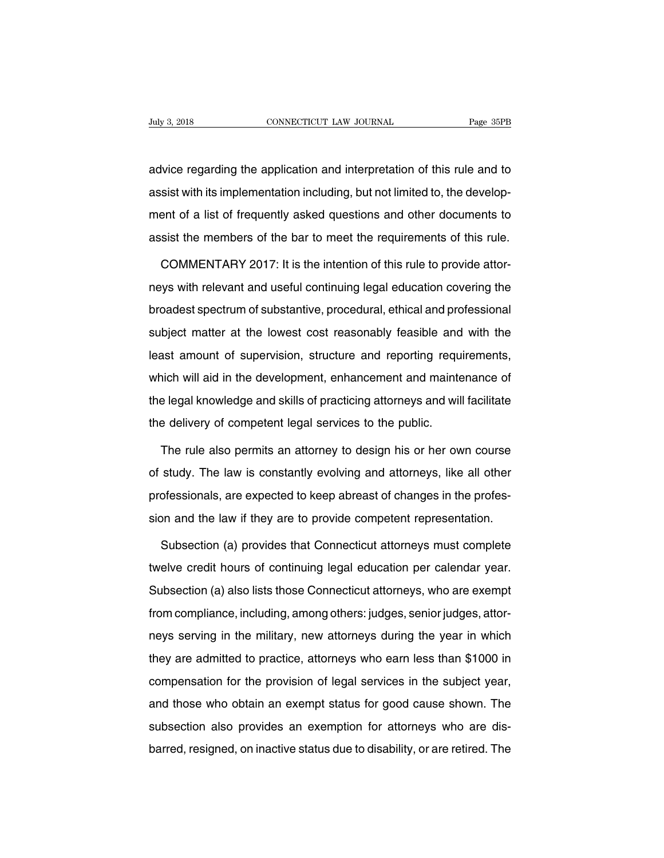Addy 3, 2018<br>
advice regarding the application and interpretation of this rule and to<br>
assist with its implementation including, but not limited to, the developand July 3, 2018<br>
and Vice regarding the application and interpretation of this rule and to<br>
dassist with its implementation including, but not limited to, the develop-<br>
ment of a list of frequently asked questions and oth advice regarding the application and interpretation of this rule and to<br>assist with its implementation including, but not limited to, the develop-<br>ment of a list of frequently asked questions and other documents to<br>assist advice regarding the application and interpretation of this rule and to<br>assist with its implementation including, but not limited to, the develop-<br>ment of a list of frequently asked questions and other documents to<br>assist sist with its implementation including, but not limited to, the developent of a list of frequently asked questions and other documents to sist the members of the bar to meet the requirements of this rule.<br>COMMENTARY 2017:

ment of a list of frequently asked questions and other documents to<br>assist the members of the bar to meet the requirements of this rule.<br>COMMENTARY 2017: It is the intention of this rule to provide attor-<br>neys with relevan assist the members of the bar to meet the requirements of this rule.<br>COMMENTARY 2017: It is the intention of this rule to provide attor-<br>neys with relevant and useful continuing legal education covering the<br>broadest spectr COMMENTARY 2017: It is the intention of this rule to provide attor-<br>neys with relevant and useful continuing legal education covering the<br>broadest spectrum of substantive, procedural, ethical and professional<br>subject matte Least amount of substantive, procedural, ethical and professional subject matter at the lowest cost reasonably feasible and with the least amount of supervision, structure and reporting requirements, which will aid in the which will aid in the development, enhancement and maintenance of the legal knowledge and skills of practicing attorneys and with the legal knowledge and skills of practicing attorneys and will facilitate subject matter at the lowest cost reasonably feasible and with the<br>least amount of supervision, structure and reporting requirements,<br>which will aid in the development, enhancement and maintenance of<br>the legal knowledge an the delivery at the lowest sest reasonally reashib and<br>least amount of supervision, structure and reporting requ<br>which will aid in the development, enhancement and mainte<br>the legal knowledge and skills of practicing attorn inch will aid in the development, enhancement and maintenance of<br>
e legal knowledge and skills of practicing attorneys and will facilitate<br>
e delivery of competent legal services to the public.<br>
The rule also permits an at

the legal knowledge and skills of practicing attorneys and will facilitate<br>the delivery of competent legal services to the public.<br>The rule also permits an attorney to design his or her own course<br>of study. The law is cons the delivery of competent legal services to the public.<br>The rule also permits an attorney to design his or her own course<br>of study. The law is constantly evolving and attorneys, like all other<br>professionals, are expected t The rule also permits an attorney to design his or her own course<br>of study. The law is constantly evolving and attorneys, like all other<br>professionals, are expected to keep abreast of changes in the profes-<br>sion and the la study. The law is constantly evolving and attorneys, like all other<br>ofessionals, are expected to keep abreast of changes in the profes-<br>on and the law if they are to provide competent representation.<br>Subsection (a) provide

professionals, are expected to keep abreast of changes in the profession and the law if they are to provide competent representation.<br>Subsection (a) provides that Connecticut attorneys must complete<br>twelve credit hours of sion and the law if they are to provide competent representation.<br>Subsection (a) provides that Connecticut attorneys must complete<br>twelve credit hours of continuing legal education per calendar year.<br>Subsection (a) also li Subsection (a) provides that Connecticut attorneys must complete<br>twelve credit hours of continuing legal education per calendar year.<br>Subsection (a) also lists those Connecticut attorneys, who are exempt<br>from compliance, i Expedience of the military and the military and the military entire military exting the exempt<br>subsection (a) also lists those Connecticut attorneys, who are exempt<br>from compliance, including, among others: judges, senior Subsection (a) also lists those Connecticut attorneys, who are exempt<br>from compliance, including, among others: judges, senior judges, attor-<br>neys serving in the military, new attorneys during the year in which<br>they are ad caboochom (a) also hold hold second alternatys, who are stornft<br>from compliance, including, among others: judges, senior judges, attor-<br>neys serving in the military, new attorneys during the year in which<br>they are admitted meys serving in the military, new attorneys during the year in which<br>they are admitted to practice, attorneys who earn less than \$1000 in<br>compensation for the provision of legal services in the subject year,<br>and those who subsection also practice, attorneys who earn less than \$1000 in compensation for the provision of legal services in the subject year, and those who obtain an exempt status for good cause shown. The subsection also provides barred, resigned, on inactive status due to disability, or are retired. The subsection also provides an exemption for attorneys who are disbarred, resigned, on inactive status due to disability, or are retired. The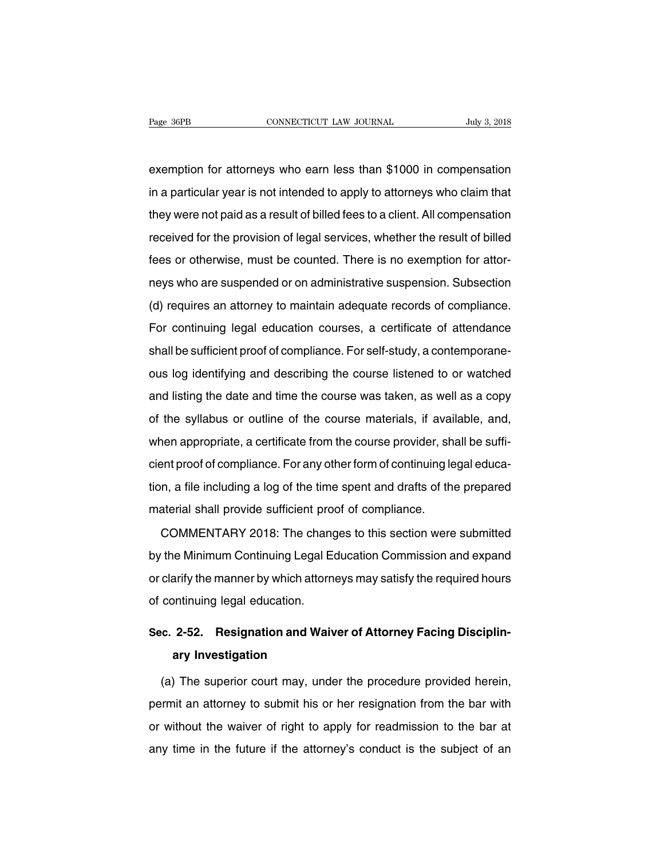Page 36PB<br>
exemption for attorneys who earn less than \$1000 in compensation<br>
in a particular year is not intended to apply to attorneys who claim that Fage 36PB CONNECTICUT LAW JOURNAL July 3, 2018<br>exemption for attorneys who earn less than \$1000 in compensation<br>in a particular year is not intended to apply to attorneys who claim that<br>they were not paid as a result of bi exemption for attorneys who earn less than \$1000 in compensation<br>in a particular year is not intended to apply to attorneys who claim that<br>they were not paid as a result of billed fees to a client. All compensation<br>receive exemption for attorneys who earn less than \$1000 in compensation<br>in a particular year is not intended to apply to attorneys who claim that<br>they were not paid as a result of billed fees to a client. All compensation<br>receive fracture of the basic train issues that the componented.<br>In a particular year is not intended to apply to attorneys who claim that<br>they were not paid as a result of billed fees to a client. All compensation<br>received for th they were not paid as a result of billed fees to a client. All compensation<br>received for the provision of legal services, whether the result of billed<br>fees or otherwise, must be counted. There is no exemption for attor-<br>ne received for the provision of legal services to a short. The componeation<br>received for the provision of legal services, whether the result of billed<br>fees or otherwise, must be counted. There is no exemption for attor-<br>neys For contenuise, must be counted. There is no exemption for attor-<br>heys who are suspended or on administrative suspension. Subsection<br>(d) requires an attorney to maintain adequate records of compliance.<br>For continuing legal shall be sufficient proof of compliance. For self-study, a contemporance.<br>For continuing legal education courses, a certificate of attendance<br>shall be sufficient proof of compliance. For self-study, a contemporane-<br>ous log (d) requires an attorney to maintain adequate records of compliance.<br>For continuing legal education courses, a certificate of attendance<br>shall be sufficient proof of compliance. For self-study, a contemporane-<br>ous log iden For continuing legal education courses, a certificate of attendance<br>shall be sufficient proof of compliance. For self-study, a contemporane-<br>ous log identifying and describing the course listened to or watched<br>and listing of solutining logal substation solitios), a solution of alternative<br>shall be sufficient proof of compliance. For self-study, a contemporane-<br>ous log identifying and describing the course listened to or watched<br>and listing onal be dandent proof of domphaned. The course listened to or watched<br>and listing the date and time the course was taken, as well as a copy<br>of the syllabus or outline of the course materials, if available, and,<br>when approp and listing the date and time the course was taken, as well as a copy<br>of the syllabus or outline of the course materials, if available, and,<br>when appropriate, a certificate from the course provider, shall be suffi-<br>cient p of the syllabus or outline of the course materials, if available, and,<br>when appropriate, a certificate from the course provider, shall be suffi-<br>cient proof of compliance. For any other form of continuing legal educa-<br>tion when appropriate, a certificate from the course provider, shall provide sufficient proof of compliance. For any other form of continuing lead tion, a file including a log of the time spent and drafts of the material shall Example, a serification and solve provider, shall be during<br>the proof of compliance. For any other form of continuing legal educa-<br>n, a file including a log of the time spent and drafts of the prepared<br>aterial shall provid

by the Minimum Continuing and Minimum Continuing Legal Education, a file including a log of the time spent and drafts of the prepared<br>material shall provide sufficient proof of compliance.<br>COMMENTARY 2018: The changes to t naterial shall provide sufficient proof of compliance.<br>COMMENTARY 2018: The changes to this section were submitted<br>by the Minimum Continuing Legal Education Commission and expand<br>or clarify the manner by which attorneys ma material crial provide dalilectin pre<br>
COMMENTARY 2018: The chang<br>
by the Minimum Continuing Legal E<br>
or clarify the manner by which attorn<br>
of continuing legal education. by the Minimum Continuing Legal Education Commission and expand<br>or clarify the manner by which attorneys may satisfy the required hours<br>of continuing legal education.<br>**Sec. 2-52. Resignation and Waiver of Attorney Facing D** Firary the manner by which attorn<br>
untinuing legal education.<br> **2-52. Resignation and Waivary Investigation**<br>
The superior court may, under

(a) The superior court may, under the procedure provided herein,<br>
the superior court may, under the procedure provided herein,<br>
the superior court may, under the procedure provided herein,<br>
the superior court may, under th Sec. 2-52. Resignation and Waiver of Attorney Facing Disciplin-<br>ary Investigation<br>(a) The superior court may, under the procedure provided herein,<br>permit an attorney to submit his or her resignation from the bar with<br>or wi ary Investigation<br>(a) The superior court may, under the procedure provided herein,<br>permit an attorney to submit his or her resignation from the bar with<br>or without the waiver of right to apply for readmission to the bar at (a) The superior court may, under the procedure provided herein, permit an attorney to submit his or her resignation from the bar with or without the waiver of right to apply for readmission to the bar at any time in the f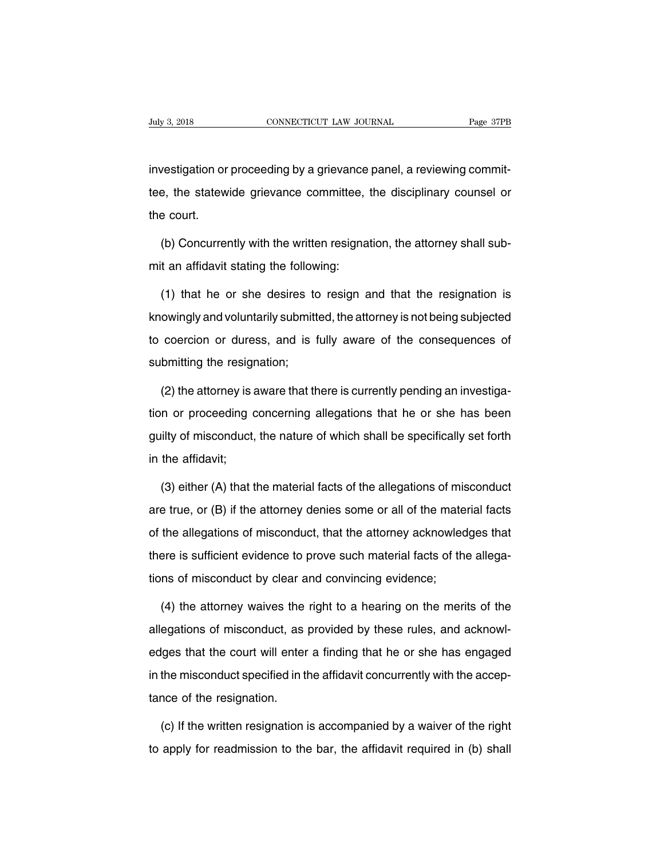Iuly 3, 2018<br>Investigation or proceeding by a grievance panel, a reviewing commit-<br>Investigation or proceeding by a grievance panel, a reviewing commit-<br>tee, the statewide grievance committee, the disciplinary counsel or the state of the statewide grievance committee, the statewide grievance committee, the disciplinary counsel or<br>the court. investigation or<br>tee, the statew<br>the court.<br>(b) Concurre vestigation or proceeding by a grievance panel, a reviewing commit-<br>
be, the statewide grievance committee, the disciplinary counsel or<br>
be court.<br>
(b) Concurrently with the written resignation, the attorney shall sub-<br>
t tee, the statewide grievance committee,<br>the court.<br>(b) Concurrently with the written resigna<br>mit an affidavit stating the following:<br>(1) that he or she desires to resign a

e court.<br>
(b) Concurrently with the written resignation, the attorney shall sub-<br>
t an affidavit stating the following:<br>
(1) that he or she desires to resign and that the resignation is<br>
owingly and voluntarily submitted, knowingly with the written resignation, the attorney shall sub-<br>mit an affidavit stating the following:<br>(1) that he or she desires to resign and that the resignation is<br>knowingly and voluntarily submitted, the attorney is mit an affidavit stating the following:<br>
(1) that he or she desires to resign and that the resignation is<br>
knowingly and voluntarily submitted, the attorney is not being subjected<br>
to coercion or duress, and is fully aware (1) that he or she desires to<br>knowingly and voluntarily submitting to coercion or duress, and is f<br>submitting the resignation;<br>(2) the attorney is aware that the knowingly and voluntarily submitted, the attorney is not being subjected<br>to coercion or duress, and is fully aware of the consequences of<br>submitting the resignation;<br>(2) the attorney is aware that there is currently pendin

to coercion or duress, and is fully aware of the consequences of<br>submitting the resignation;<br>(2) the attorney is aware that there is currently pending an investiga-<br>tion or proceeding concerning allegations that he or she submitting the resignation;<br>
(2) the attorney is aware that there is currently pending an investiga-<br>
tion or proceeding concerning allegations that he or she has been<br>
guilty of misconduct, the nature of which shall be sp (2) the attorney is a<br>tion or proceeding c<br>guilty of misconduct,<br>in the affidavit;<br>(3) either (A) that t (3) either (A) that the material facts of the allegations of misconduct, the material facts of the specifically set forth<br>the affidavit;<br>(3) either (A) that the material facts of the allegations of misconduct<br>e true, or (B

guilty of misconduct, the nature of which shall be specifically set forth<br>in the affidavit;<br>(3) either (A) that the material facts of the allegations of misconduct<br>are true, or (B) if the attorney denies some or all of the in the affidavit;<br>(3) either (A) that the material facts of the allegations of misconduct<br>are true, or (B) if the attorney denies some or all of the material facts<br>of the allegations of misconduct, that the attorney acknow (3) either (A) that the material facts of the allegations of misconduct are true, or (B) if the attorney denies some or all of the material facts of the allegations of misconduct, that the attorney acknowledges that there are true, or (B) if the attorney denies some or all of the mate<br>of the allegations of misconduct, that the attorney acknowled<br>there is sufficient evidence to prove such material facts of the<br>tions of misconduct by clear a the allegations of misconduct, that the attorney acknowledges that<br>ere is sufficient evidence to prove such material facts of the allega-<br>ns of misconduct by clear and convincing evidence;<br>(4) the attorney waives the right

there is sufficient evidence to prove such material facts of the allegations of misconduct by clear and convincing evidence;<br>(4) the attorney waives the right to a hearing on the merits of the<br>allegations of misconduct, as tions of misconduct by clear and convincing evidence;<br>
(4) the attorney waives the right to a hearing on the merits of the<br>
allegations of misconduct, as provided by these rules, and acknowl-<br>
edges that the court will ent (4) the attorney waives the right to a hearing on the merits of the allegations of misconduct, as provided by these rules, and acknowledges that the court will enter a finding that he or she has engaged in the misconduct s (1) are alterney narree are<br>allegations of misconduct, as<br>edges that the court will enter<br>in the misconduct specified in t<br>tance of the resignation. lges that the court will enter a finding that he or she has engaged<br>the misconduct specified in the affidavit concurrently with the accep-<br>nce of the resignation.<br>(c) If the written resignation is accompanied by a waiver o in the misconduct specified in the affidavit concurrently with the acceptance of the resignation.<br>
(c) If the written resignation is accompanied by a waiver of the right<br>
to apply for readmission to the bar, the affidavit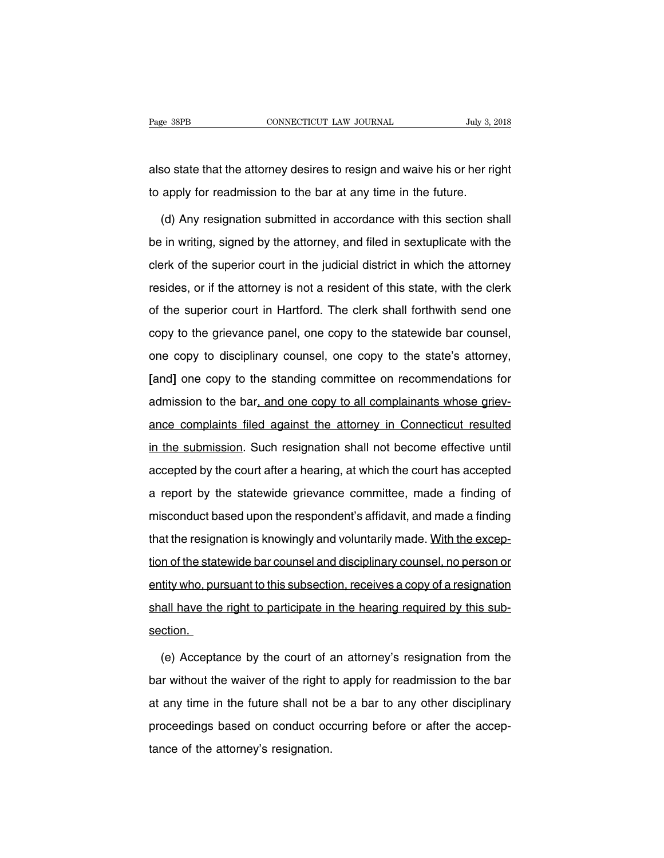Page 38PB<br>
CONNECTICUT LAW JOURNAL<br>
also state that the attorney desires to resign and waive his or her right<br>
to apply for readmission to the bar at any time in the future. The Bage 38PB<br>
The apply for readmission to the bar at any time in the future.<br>
The future of apply for readmission to the bar at any time in the future.<br>
(d) Any resignation submitted in accordance with this section show

So state that the attorney desires to resign and waive his or her right<br>apply for readmission to the bar at any time in the future.<br>(d) Any resignation submitted in accordance with this section shall<br>in writing, signed by also state that the attorney desires to resign and waive his or her right<br>to apply for readmission to the bar at any time in the future.<br>(d) Any resignation submitted in accordance with this section shall<br>be in writing, si to apply for readmission to the bar at any time in the future.<br>
(d) Any resignation submitted in accordance with this section shall<br>
be in writing, signed by the attorney, and filed in sextuplicate with the<br>
clerk of the s (d) Any resignation submitted in accordance with this section shall<br>be in writing, signed by the attorney, and filed in sextuplicate with the<br>clerk of the superior court in the judicial district in which the attorney<br>resid of the superior court in the judicial district in which the attorney<br>resides, or if the attorney is not a resident of this state, with the clerk<br>of the superior court in Hartford. The clerk shall forthwith send one<br>copy to collar whing, eighed by the attenties), and the arrocatipheate with the clerk clerk of the superior court in the judicial district in which the attorney resides, or if the attorney is not a resident of this state, with the resides, or if the attorney is not a resident of this state, with the clerk<br>of the superior court in Hartford. The clerk shall forthwith send one<br>copy to the grievance panel, one copy to the statewide bar counsel,<br>one copy **Example 12 on the superior court in Hartford.** The clerk shall forthwith send one copy to the grievance panel, one copy to the statewide bar counsel, one copy to disciplinary counsel, one copy to the state's attorney, [an copy to the grievance panel, one copy to the statewide bar counsel, one copy to disciplinary counsel, one copy to the state's attorney, [and] one copy to the standing committee on recommendations for admission to the bar, copy to the ghordine pairs, one copy to the statemed set counter,<br>one copy to disciplinary counsel, one copy to the state's attorney,<br>[and] one copy to the standing committee on recommendations for<br>admission to the bar, an and] one copy to the standing committee on recommendations for admission to the bar, and one copy to all complainants whose grievance complaints filed against the attorney in Connecticut resulted in the submission. Such re accepted by the court after a hearing and the complainants whose griev-<br>ance complaints filed against the attorney in Connecticut resulted<br>in the submission. Such resignation shall not become effective until<br>accepted by th aanneerent to the stat<u><sub>l</sub> and one stap<sub>l</sub> to an semplantaine three grieven</u><br>ance complaints filed against the attorney in Connecticut resulted<br>in the submission. Such resignation shall not become effective until<br>accepted in the submission. Such resignation shall not become effective until<br>accepted by the court after a hearing, at which the court has accepted<br>a report by the statewide grievance committee, made a finding of<br>misconduct based in the submission. Such resignation shall not become effective until accepted by the court after a hearing, at which the court has accepted a report by the statewide grievance committee, made a finding of misconduct based a report by the statewide grievance committee, made a finding of<br>misconduct based upon the respondent's affidavit, and made a finding<br>that the resignation is knowingly and voluntarily made. With the excep-<br>tion of the stat entity who and the respondent's affidavit, and made a finding<br>that the resignation is knowingly and voluntarily made. With the excep-<br>tion of the statewide bar counsel and disciplinary counsel, no person or<br>entity who, pur shall have the right to participate in the hearing counsel. With the exception of the statewide bar counsel and disciplinary counsel, no person or entity who, pursuant to this subsection, receives a copy of a resignation s section. (e) the court of this subsection, receives a copy of a resignation<br>all have the right to participate in the hearing required by this sub-<br>ction.<br>(e) Acceptance by the court of an attorney's resignation from the<br>tr without

shall have the right to participate in the hearing required by this subsection.<br>Section.<br>(e) Acceptance by the court of an attorney's resignation from the bar without the waiver of the right to apply for readmission to the section.<br>
(e) Acceptance by the court of an attorney's resignation from the<br>
bar without the waiver of the right to apply for readmission to the bar<br>
at any time in the future shall not be a bar to any other disciplinary<br> (e) Acceptance by the court of an attorney's resignation from the<br>bar without the waiver of the right to apply for readmission to the bar<br>at any time in the future shall not be a bar to any other disciplinary<br>proceedings b the value of the right that any time in the future shall not proceedings based on conduct octance of the attorney's resignation.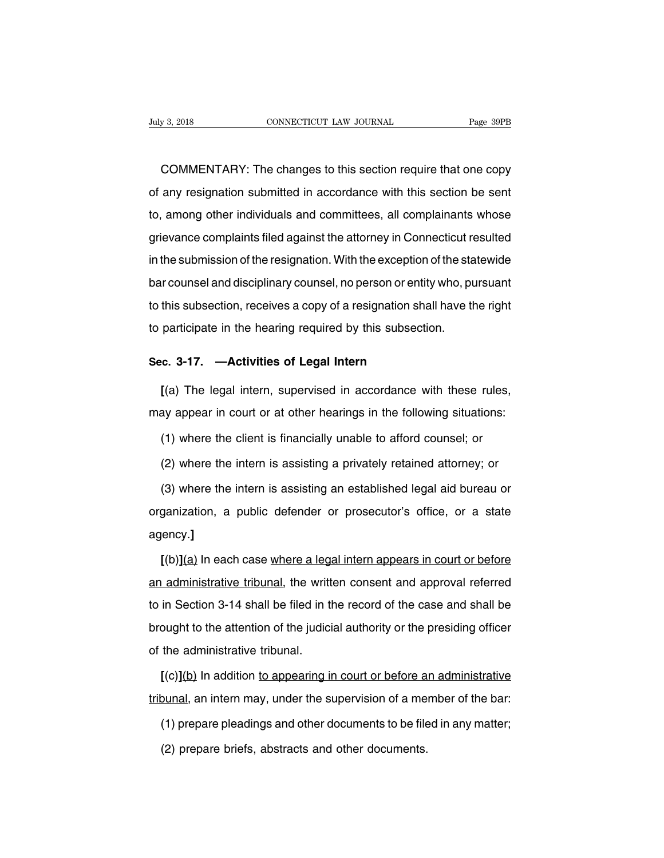EXECTE THE CONNECTICUT CONNECTICUT LAW JOURNAL Trage 39PB<br>COMMENTARY: The changes to this section require that one copy<br>any resignation submitted in accordance with this section be sent July 3, 2018 CONNECTICUT LAW JOURNAL Page 39PB<br>
COMMENTARY: The changes to this section require that one copy<br>
of any resignation submitted in accordance with this section be sent<br>
to, among other individuals and committee COMMENTARY: The changes to this section require that one copy<br>of any resignation submitted in accordance with this section be sent<br>to, among other individuals and committees, all complainants whose<br>grievance complaints fil COMMENTARY: The changes to this section require that one copy<br>of any resignation submitted in accordance with this section be sent<br>to, among other individuals and committees, all complainants whose<br>grievance complaints fil In the submitted in accordance with this section be sent<br>to, among other individuals and committees, all complainants whose<br>grievance complaints filed against the attorney in Connecticut resulted<br>in the submission of the r ber any reeignation easimited in accordance with this economics control.<br>to, among other individuals and committees, all complainants whose<br>grievance complaints filed against the attorney in Connecticut resulted<br>in the sub to, among other individuate and committed, an complainante whose<br>grievance complaints filed against the attorney in Connecticut resulted<br>in the submission of the resignation. With the exception of the statewide<br>bar counsel in the submission of the resignation. With the exception of the stabar counsel and disciplinary counsel, no person or entity who, puto this subsection, receives a copy of a resignation shall have the participate in the hea bar counsel and disciplinary counsel, no person or entity<br>to this subsection, receives a copy of a resignation sha<br>to participate in the hearing required by this subsectic<br>**Sec. 3-17. —Activities of Legal Intern**<br> $f(a)$  The

this subsection, receives a copy of a resignation shall have the right<br>participate in the hearing required by this subsection.<br>**Example:** C. 3-17. —Activities of Legal Intern<br>[(a) The legal intern, supervised in accordance to participate in the hearing required by this subsection.<br>
Sec. 3-17. —Activities of Legal Intern<br>
[(a) The legal intern, supervised in accordance with these rules,<br>
may appear in court or at other hearings in the followi (a) The legal intern, supervised in accordance with these rules,<br>(a) The legal intern, supervised in accordance with these rules,<br>ay appear in court or at other hearings in the following situations:<br>(1) where the client is [(a) The legal intern, supervised in accordance with these rules,<br>ay appear in court or at other hearings in the following situations:<br>(1) where the client is financially unable to afford counsel; or<br>(2) where the intern

(1) where the client is financially unable to afford counsel; or<br>
(2) where the intern is assisting a privately retained attorney; or<br>
(3) where the intern is assisting an established legal aid bureau or<br>
ganization, a pub (1) where the client is financially unable to afford counsel; or (2) where the intern is assisting a privately retained attorney; or (3) where the intern is assisting an established legal aid bureau or organization, a publ agency.**]** (3) where the intern is assisting an established legal aid bureau or<br>ganization, a public defender or prosecutor's office, or a state<br>ency.]<br> $[(b)](a)$  In each case where a legal intern appears in court or before<br>administra

organization, a public defender or prosecutor's office, or a state<br>agency.]<br>[(b)](a) In each case where a legal intern appears in court or before<br>an administrative tribunal, the written consent and approval referred<br>to in agency.]<br>
[(b)](a) In each case where a legal intern appears in court or before<br>
an administrative tribunal, the written consent and approval referred<br>
to in Section 3-14 shall be filed in the record of the case and shall  $[(b)](a)$  In each case where a legal intern appears in court or before<br>an administrative tribunal, the written consent and approval referred<br>to in Section 3-14 shall be filed in the record of the case and shall be<br>brought an administrative tribunal, the writt<br>to in Section 3-14 shall be filed in the brought to the attention of the judici<br>of the administrative tribunal.<br> $[(c)](b)$  In addition to appearing in **EXECUTE:** in Section 3-14 shall be filed in the record of the case and shall be ought to the attention of the judicial authority or the presiding officer the administrative tribunal.<br> **[(c)](b)** In addition to appearing i brought to the attention of the judicial authority or the presiding officer<br>of the administrative tribunal.<br>
[(c)](b) In addition to appearing in court or before an administrative<br>
tribunal, an intern may, under the superv

the administrative tribunal.<br>
[(c)](b) In addition to appearing in court or before an administrative<br>
punal, an intern may, under the supervision of a member of the bar:<br>
(1) prepare pleadings and other documents to be fil  $[(c)](\underline{b})$  In addition <u>to appearing in court or before as</u><br>punal, an intern may, under the supervision of a me<br>(1) prepare pleadings and other documents to be file<br>(2) prepare briefs, abstracts and other documents.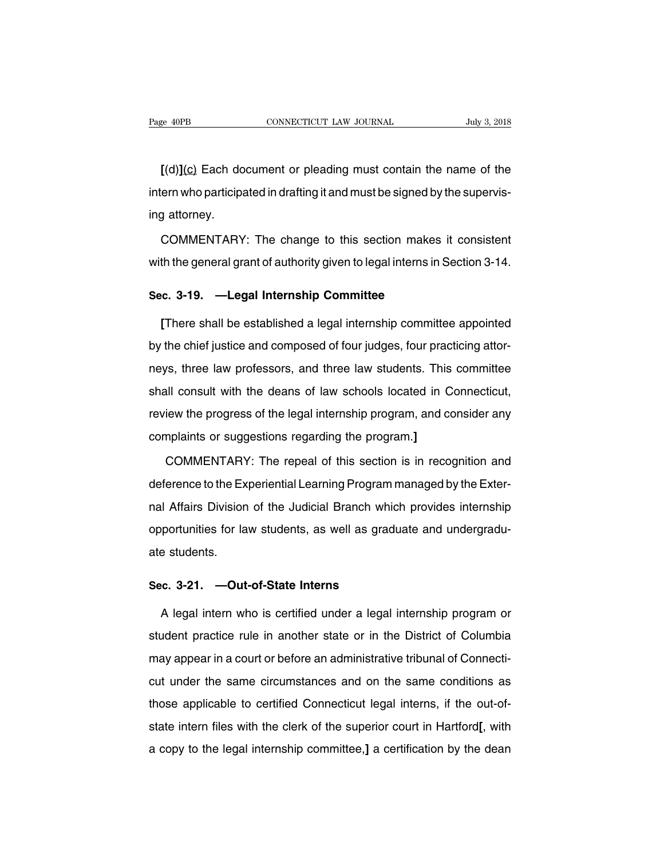**EXECUTE:** THE MUSTEM CONNECTICUT LAW JOURNAL THE MUST SERVING THE MUST SEARCH OF THE DAMAGED CONNECTICUT LAW JOURNAL THE MUST SEARCH CONTAINS IN THE PARTY OF THE MUST SERVING FOR THE MUST SERVING FOR THE MUST SERVING FOR Fage 40PB CONNECTICUT LAW JOURNAL July 3, 2018<br>
[(d)](c) Each document or pleading must contain the name of the<br>
intern who participated in drafting it and must be signed by the supervis-<br>
ing attorney. [(d)]<u>(c)</u> Each do<br>intern who participa<br>ing attorney.<br>COMMENTARY [(d)](c) Each document or pleading must contain the name of the<br>ern who participated in drafting it and must be signed by the supervis-<br>g attorney.<br>COMMENTARY: The change to this section makes it consistent<br>th the general intern who participated in drafting it and must be signed by the supervis-<br>ing attorney.<br>COMMENTARY: The change to this section makes it consistent<br>with the general grant of authority given to legal interns in Section 3-14

ing attorney.<br>
COMMENTARY: The change to this section makes<br>
with the general grant of authority given to legal interns in S<br> **Sec. 3-19. —Legal Internship Committee**<br>
There shall be established a legal internship committe

COMMENTARY: The change to this section makes it consistent<br>th the general grant of authority given to legal interns in Section 3-14.<br>c. 3-19. —**Legal Internship Committee**<br>[There shall be established a legal internship com with the general grant of authority given to legal interns in Section 3-14.<br> **Sec. 3-19.** —**Legal Internship Committee**<br>
[There shall be established a legal internship committee appointed<br>
by the chief justice and composed Sec. 3-19. —Legal Internship Committee<br>
[There shall be established a legal internship committee appointed<br>
by the chief justice and composed of four judges, four practicing attor-<br>
neys, three law professors, and three la [There shall be established a legal internship committee appointed<br>by the chief justice and composed of four judges, four practicing attor-<br>neys, three law professors, and three law students. This committee<br>shall consult w by the chief justice and composed of four judges, four practicing attor-<br>neys, three law professors, and three law students. This committee<br>shall consult with the deans of law schools located in Connecticut,<br>review the pro Ey the sincripations and composed or iour jacgos, iour place meys, three law professors, and three law students. This shall consult with the deans of law schools located in C review the progress of the legal internship pro Ill consult with the deans of law schools located in Connecticut,<br>iew the progress of the legal internship program, and consider any<br>mplaints or suggestions regarding the program.]<br>COMMENTARY: The repeal of this section is

review the progress of the legal internship program, and consider any<br>complaints or suggestions regarding the program.]<br>COMMENTARY: The repeal of this section is in recognition and<br>deference to the Experiential Learning Pr complaints or suggestions regarding the program.]<br>COMMENTARY: The repeal of this section is in recognition and<br>deference to the Experiential Learning Program managed by the Exter-<br>nal Affairs Division of the Judicial Branc COMMENTARY: The repeal of this section is in recognition and<br>deference to the Experiential Learning Program managed by the Exter-<br>nal Affairs Division of the Judicial Branch which provides internship<br>opportunities for law deference to the Ex<br>nal Affairs Division<br>opportunities for la<br>ate students. Inal Affairs Division of the Judicial Branch whic<br>
opportunities for law students, as well as gradu<br>
ate students.<br>
Sec. 3-21. —Out-of-State Interns<br>
A legal intern who is certified under a legal i

portunities for law students, as well as graduate and undergradu-<br>
a students.<br> **c. 3-21. —Out-of-State Interns**<br>
A legal intern who is certified under a legal internship program or<br>
udent practice rule in another state or students.<br>
Sec. 3-21. —Out-of-State Interns<br>
A legal intern who is certified under a legal internship program or<br>
student practice rule in another state or in the District of Columbia<br>
may appear in a court or before an ad Sec. 3-21. —Out-of-State Interns<br>A legal intern who is certified under a legal internship program or<br>student practice rule in another state or in the District of Columbia<br>may appear in a court or before an administrative t A legal intern who is certified under a legal internship program or<br>student practice rule in another state or in the District of Columbia<br>may appear in a court or before an administrative tribunal of Connecti-<br>cut under th It is those applicable to certified Connecticut legal internsity of the Summary appear in a court or before an administrative tribunal of Connecticut under the same circumstances and on the same conditions as those applica state internal and a court or before an administrative tribunal of Connecticut under the same circumstances and on the same conditions as those applicable to certified Connecticut legal interns, if the out-of-state intern a copy to the legal internship committee,<sup>]</sup> a certification by the dean<br>a copy to the legal internship committee,<sup>]</sup> a certification by the dean<br>a copy to the legal internship committee,<sup>]</sup> a certification by the dean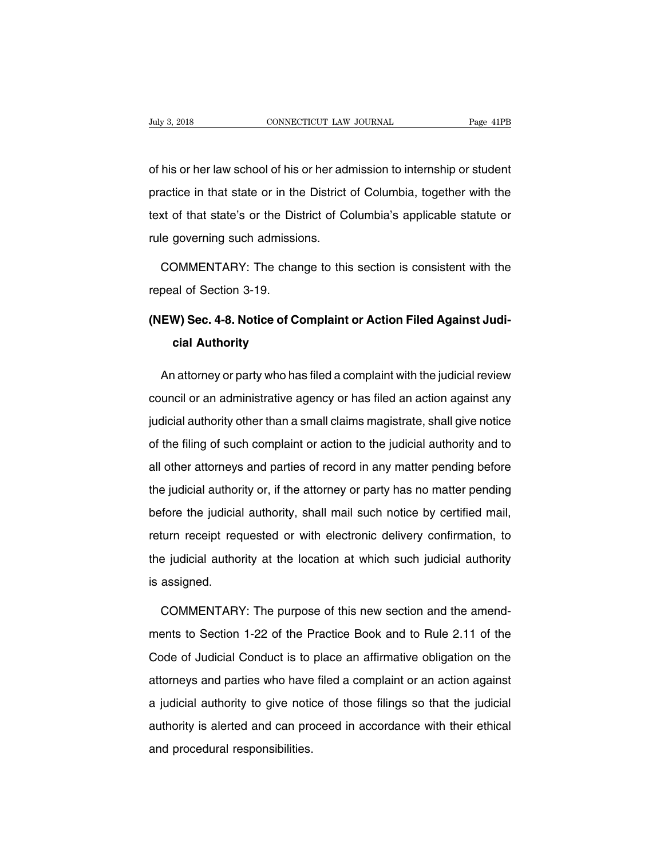Vuly 3, 2018<br>
of his or her law school of his or her admission to internship or student<br>
practice in that state or in the District of Columbia, together with the produce in that state or in the District of Columbia, together with the dext of that state's or the District of Columbia, together with the dext of that state's or the District of Columbia's applicable statute or of his or her law school of his or her admission to internship or student<br>practice in that state or in the District of Columbia, together with the<br>text of that state's or the District of Columbia's applicable statute or<br>ru of his or her law school of his or her administer in that state or in the District<br>text of that state's or the District of Cor<br>trule governing such admissions. actice in that state or in the District of Columbia, together with the<br>xt of that state's or the District of Columbia's applicable statute or<br>le governing such admissions.<br>COMMENTARY: The change to this section is consiste text of that state's or the Dis<br>rule governing such admissic<br>COMMENTARY: The char<br>repeal of Section 3-19.<br>(NEW) Sec. 4-8. Notice of C

## rule governing such admissions.<br>
COMMENTARY: The change to this section is consistent with the<br>
repeal of Section 3-19.<br> **(NEW) Sec. 4-8. Notice of Complaint or Action Filed Against Judi-**<br> **cial Authority COMMENTARY: The change of Section 3-19.<br>
<b>cial Authority**<br> **cial Authority**

peal of Section 3-19.<br>**EW) Sec. 4-8. Notice of Complaint or Action Filed Against Judi-**<br>**cial Authority**<br>An attorney or party who has filed a complaint with the judicial review<br>uncil or an administrative agency or has file (NEW) Sec. 4-8. Notice of Complaint or Action Filed Against Judicial Authority<br>cial Authority<br>An attorney or party who has filed a complaint with the judicial review<br>council or an administrative agency or has filed an acti cial Authority<br>An attorney or party who has filed a complaint with the judicial review<br>council or an administrative agency or has filed an action against any<br>judicial authority other than a small claims magistrate, shall g An attorney or party who has filed a complaint with the judicial review<br>council or an administrative agency or has filed an action against any<br>judicial authority other than a small claims magistrate, shall give notice<br>of t randiesing or party time incerties a complement intrinsic judicial and council or an administrative agency or has filed an action against any judicial authority other than a small claims magistrate, shall give notice of th judicial authority other than a small claims magistrate, shall give notice<br>of the filing of such complaint or action to the judicial authority and to<br>all other attorneys and parties of record in any matter pending before<br>t before the filing of such complaint or action to the judicial authority and to all other attorneys and parties of record in any matter pending before the judicial authority or, if the attorney or party has no matter pendin refultion and particle or with electronic delivery and before<br>the judicial authority or, if the attorney or party has no matter pending<br>before the judicial authority, shall mail such notice by certified mail,<br>return receip the judicial authority or, if the attorney or party has no matter pending<br>before the judicial authority, shall mail such notice by certified mail,<br>return receipt requested or with electronic delivery confirmation, to<br>the j is judicial during<br>before the judicial<br>return receipt req<br>the judicial autho<br>is assigned. turn receipt requested or with electronic delivery confirmation, to<br>e judicial authority at the location at which such judicial authority<br>assigned.<br>COMMENTARY: The purpose of this new section and the amend-<br>ents to Section

the judicial authority at the location at which such judicial authority<br>is assigned.<br>COMMENTARY: The purpose of this new section and the amend-<br>ments to Section 1-22 of the Practice Book and to Rule 2.11 of the<br>Code of Jud is assigned.<br>COMMENTARY: The purpose of this new section and the amend-<br>ments to Section 1-22 of the Practice Book and to Rule 2.11 of the<br>Code of Judicial Conduct is to place an affirmative obligation on the<br>attorneys and COMMENTARY: The purpose of this new section and the amend-<br>ments to Section 1-22 of the Practice Book and to Rule 2.11 of the<br>Code of Judicial Conduct is to place an affirmative obligation on the<br>attorneys and parties who ments to Section 1-22 of the Practice Book and to Rule 2.11 of the Code of Judicial Conduct is to place an affirmative obligation on the attorneys and parties who have filed a complaint or an action against a judicial auth authority is alerted and can proceed in accordance with their ethical<br>authority is alerted and can proceed in accordance with their ethical<br>authority is alerted and can proceed in accordance with their ethical<br>and procedur attorneys and parties who have<br>a judicial authority to give notid<br>authority is alerted and can pro<br>and procedural responsibilities.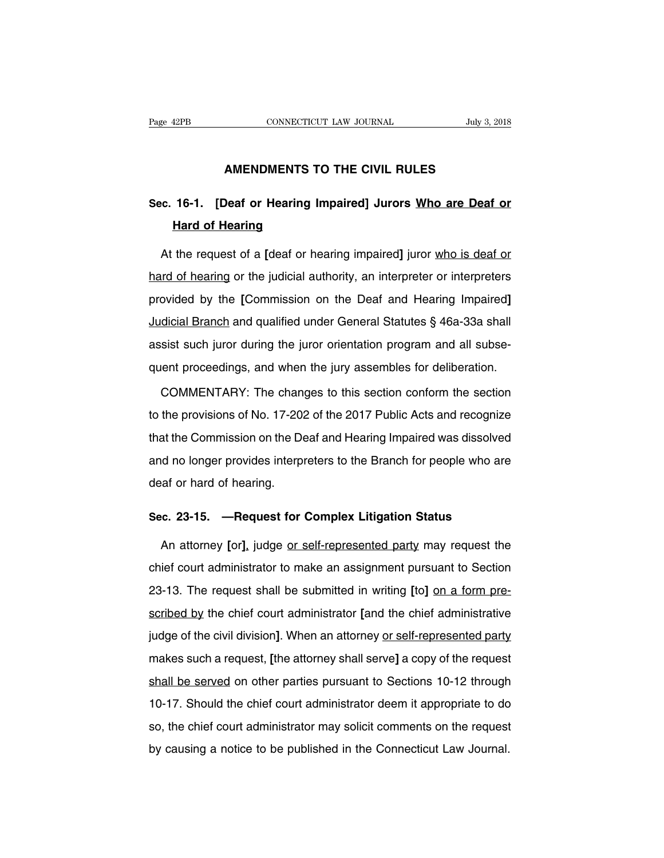# **CONNECTICUT LAW JOURNAL** July 3, 2014<br> **AMENDMENTS TO THE CIVIL RULES**

## Page 42PB CONNECTICUT LAW JOURNAL July 3, 2018<br> **AMENDMENTS TO THE CIVIL RULES**<br>
Sec. 16-1. [Deaf or Hearing Impaired] Jurors <u>Who are Deaf or</u><br>
Hard of Hearing **AMENDMENTS TO**<br>**16-1.** [Deaf or Hearing Im<br>**Hard of Hearing**<br>the request of a Ideaf or hea

AMENDMENTS TO THE CIVIL RULES<br>c. 16-1. [Deaf or Hearing Impaired] Jurors <u>Who are Deaf or</u><br>Hard of Hearing<br>At the request of a [deaf or hearing impaired] juror <u>who is deaf or</u><br>interpreters or interpreters Sec. 16-1. [Deaf or Hearing Impaired] Jurors Who are Deaf or<br>Hard of Hearing<br>At the request of a [deaf or hearing impaired] juror who is deaf or<br>hard of hearing or the judicial authority, an interpreter or interpreters<br>pro Hard of Hearing<br>At the request of a [deaf or hearing impaired] juror who is deaf or<br>hard of hearing or the judicial authority, an interpreter or interpreters<br>provided by the [Commission on the Deaf and Hearing Impaired]<br>Ju At the request of a [deaf or hearing impaired] juror who is deaf or<br>hard of hearing or the judicial authority, an interpreter or interpreters<br>provided by the [Commission on the Deaf and Hearing Impaired]<br>Judicial Branch an hard of hearing or the judicial authority, an interpreter or interpreters<br>provided by the [Commission on the Deaf and Hearing Impaired]<br>Judicial Branch and qualified under General Statutes § 46a-33a shall<br>assist such juror provided by the [Commission on the Deaf and Hearing Impaired]<br>Judicial Branch and qualified under General Statutes § 46a-33a shall<br>assist such juror during the juror orientation program and all subse-<br>quent proceedings, an dicial Branch and qualified under General Statutes § 46a-33a shall<br>sist such juror during the juror orientation program and all subse-<br>ent proceedings, and when the jury assembles for deliberation.<br>COMMENTARY: The changes

assist such juror during the juror orientation program and all subse-<br>quent proceedings, and when the jury assembles for deliberation.<br>COMMENTARY: The changes to this section conform the section<br>to the provisions of No. 17 quent proceedings, and when the jury assembles for deliberation.<br>COMMENTARY: The changes to this section conform the section<br>to the provisions of No. 17-202 of the 2017 Public Acts and recognize<br>that the Commission on the COMMENTARY: The changes to this section conform the section<br>to the provisions of No. 17-202 of the 2017 Public Acts and recognize<br>that the Commission on the Deaf and Hearing Impaired was dissolved<br>and no longer provides in to the provisions of No. 17-20;<br>that the Commission on the De<br>and no longer provides interpreted<br>deaf or hard of hearing. In that the Commission on the Deaf and Hearing Impaired was dissolved<br>
and no longer provides interpreters to the Branch for people who are<br>
deaf or hard of hearing.<br>
Sec. 23-15. —**Request for Complex Litigation Status**<br>
A

d no longer provides interpreters to the Branch for people who are<br>af or hard of hearing.<br>**c. 23-15.** —**Request for Complex Litigation Status**<br>An attorney [or], judge <u>or self-represented party</u> may request the<br>ief court a deat or hard of hearing.<br>Sec. 23-15. — Request for Complex Litigation Status<br>An attorney [or], judge <u>or self-represented party</u> may request the<br>chief court administrator to make an assignment pursuant to Section<br>23-13. Th Sec. 23-15. —Request for Complex Litigation Status<br>An attorney [or], judge <u>or self-represented party</u> may request the<br>chief court administrator to make an assignment pursuant to Section<br>23-13. The request shall be submitt An attorney [or], judge <u>or self-represented party</u> may request the chief court administrator to make an assignment pursuant to Section 23-13. The request shall be submitted in writing [to] <u>on a form prescribed by</u> the ch Form attention party the chief court administrator to make an assignment pursuant to Section<br>23-13. The request shall be submitted in writing [to] on a form pre-<br>scribed by the chief court administrator [and the chief admi 23-13. The request shall be submitted in writing [to] on a form prescribed by the chief court administrator [and the chief administrative judge of the civil division]. When an attorney <u>or self-represented party</u> makes suc scribed by the chief court administrator [and the chief administrative<br>judge of the civil division]. When an attorney <u>or self-represented party</u><br>makes such a request, [the attorney shall serve] a copy of the request<br>shall judge of the civil division]. When an attorney <u>or self-represented party</u><br>makes such a request, [the attorney shall serve] a copy of the request<br>shall be served on other parties pursuant to Sections 10-12 through<br>10-17. S makes such a request, [the attorney shall serve] a copy of the request<br>shall be served on other parties pursuant to Sections 10-12 through<br>10-17. Should the chief court administrator deem it appropriate to do<br>so, the chief shall be served on other parties pursuant to Sections 10-12 through<br>10-17. Should the chief court administrator deem it appropriate to do<br>so, the chief court administrator may solicit comments on the request<br>by causing a n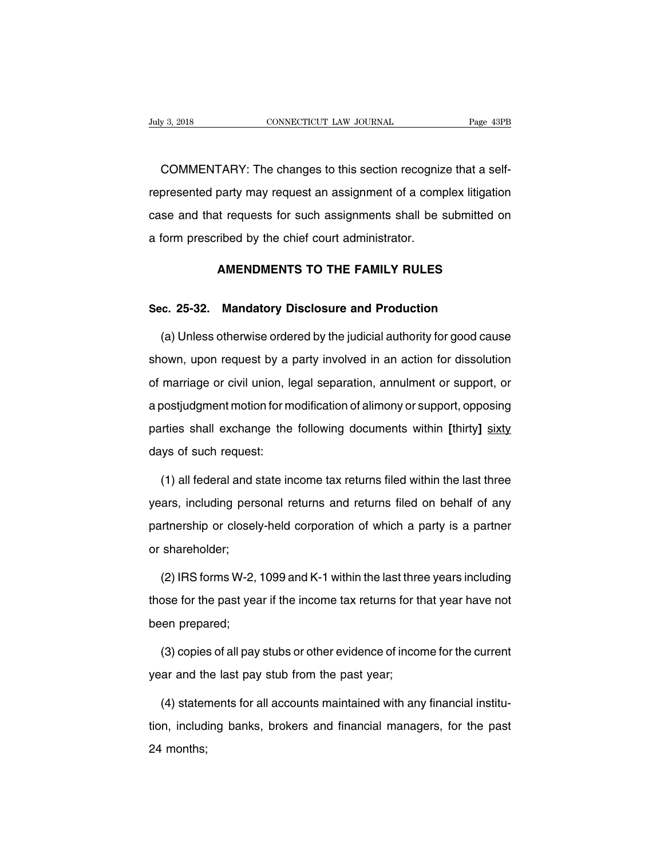EXECTE THE CONNECTICUT CONSECTION CONNECTICUT CONSERVAL THE CONSECTICUT CONSERVATION CONSERVED THE CONSERVIT CONSERVED FOR SEPTING THE CONSERVED THE CONSERVED FOR SEPTING A SEPTING A SEPTING A SEPTING A SEPTING A SEPTING A Fage 43PB<br>COMMENTARY: The changes to this section recognize that a self-<br>represented party may request an assignment of a complex litigation<br>case and that requests for such assignments shall be submitted on COMMENTARY: The changes to this section recognize that a self-<br>represented party may request an assignment of a complex litigation<br>case and that requests for such assignments shall be submitted on<br>a form prescribed by the COMMENTARY: The changes to this section recogniz<br>represented party may request an assignment of a comp<br>case and that requests for such assignments shall be s<br>a form prescribed by the chief court administrator. party may request an assignment of a complex litigation<br>to requests for such assignments shall be submitted on<br>ribed by the chief court administrator.<br>**AMENDMENTS TO THE FAMILY RULES SEC.** 25-32. Mandatory Disclosure and Production<br> **Sec. 25-32. Mandatory Disclosure and Production**<br>
(a) Unless otherwise ordered by the judicial authority for good caus

AMENDMENTS TO THE FAMILY RULES<br>
(a) Unless otherwise ordered by the judicial authority for good cause<br>
(a) Unless otherwise ordered by the judicial authority for good cause<br>
own, upon request by a party involved in an acti Sec. 25-32. Mandatory Disclosure and Production<br>
(a) Unless otherwise ordered by the judicial authority for good cause<br>
shown, upon request by a party involved in an action for dissolution<br>
of marriage or civil union, lega Sec. 25-32. Mandatory Disclosure and Production<br>
(a) Unless otherwise ordered by the judicial authority for good cause<br>
shown, upon request by a party involved in an action for dissolution<br>
of marriage or civil union, lega (a) Unless otherwise ordered by the judicial authority for good cause<br>shown, upon request by a party involved in an action for dissolution<br>of marriage or civil union, legal separation, annulment or support, or<br>a postjudgme shown, upon request by a party involved in an action for dissolution<br>of marriage or civil union, legal separation, annulment or support, or<br>a postjudgment motion for modification of alimony or support, opposing<br>parties sha of marriage or civil union, leapostjudgment motion for m<br>parties shall exchange the<br>days of such request:<br>(1) all federal and state in (1) all federal and state income tax returns filed on behalf of any<br>(1) all federal and state income tax returns filed within the last three<br>(1) all federal and state income tax returns filed within the last three<br>ars, inc

parties shall exchange the following documents within [thirty] sixty<br>days of such request:<br>(1) all federal and state income tax returns filed within the last three<br>years, including personal returns and returns filed on beh days of such request:<br>
(1) all federal and state income tax returns filed within the last three<br>
years, including personal returns and returns filed on behalf of any<br>
partnership or closely-held corporation of which a part (1) all federal and s<br>years, including pers<br>partnership or closely<br>or shareholder;<br>(2) IRS forms W-2 ars, including personal returns and returns filed on behalf of any<br>urtnership or closely-held corporation of which a party is a partner<br>shareholder;<br>(2) IRS forms W-2, 1099 and K-1 within the last three years including<br>ose

partnership or closely-held corporation of which a party is a partner<br>or shareholder;<br>(2) IRS forms W-2, 1099 and K-1 within the last three years including<br>those for the past year if the income tax returns for that year ha or shareholder;<br>
(2) IRS forms W-2,<br>
those for the past year<br>
been prepared;<br>
(3) copies of all pay (2) IRS forms W-2, 1099 and K-1 within the last three years including<br>ose for the past year if the income tax returns for that year have not<br>en prepared;<br>(3) copies of all pay stubs or other evidence of income for the curr those for the past year if the income tax returns for the<br>been prepared;<br>(3) copies of all pay stubs or other evidence of incor<br>year and the last pay stub from the past year;<br>(4) statements for all accounts maintained with

(3) copies of all pay stubs or other evidence of income for the current<br>ar and the last pay stub from the past year;<br>(4) statements for all accounts maintained with any financial institu-<br>n, including banks, brokers and fi

(3) copies of all pay stubs or other evidence of income for the current<br>year and the last pay stub from the past year;<br>(4) statements for all accounts maintained with any financial institu-<br>tion, including banks, brokers a year and th<br>(4) stater<br>tion, includ<br>24 months;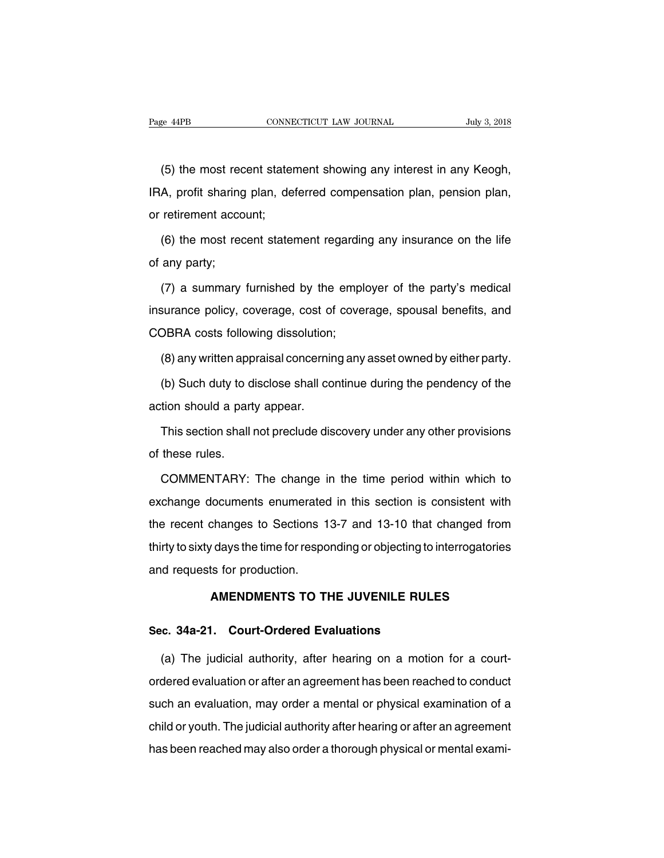<sup>e</sup> <sup>44PB</sup> CONNECTICUT LAW JOURNAL July 3, 2018<br>(5) the most recent statement showing any interest in any Keogh,<br>A, profit sharing plan, deferred compensation plan, pension plan, Page 44PB CONNECTICUT LAW JOURNAL July 3, 2018<br>
(5) the most recent statement showing any interest in any Keogh,<br>
IRA, profit sharing plan, deferred compensation plan, pension plan,<br>
or retirement account; (5) the most recent stater<br>IRA, profit sharing plan, de<br>or retirement account;<br>(6) the most recent stater (5) the most recent statement showing any interest in any Keogh,<br>A, profit sharing plan, deferred compensation plan, pension plan,<br>retirement account;<br>(6) the most recent statement regarding any insurance on the life<br>any p IRA, profit sharing<br>or retirement acco<br>(6) the most rec<br>of any party;<br>(7) a summary

retirement account;<br>(6) the most recent statement regarding any insurance on the life<br>any party;<br>(7) a summary furnished by the employer of the party's medical<br>surance policy, coverage, cost of coverage, spousal benefits, (6) the most recent statement regarding any insurance on the life<br>of any party;<br>(7) a summary furnished by the employer of the party's medical<br>insurance policy, coverage, cost of coverage, spousal benefits, and<br>COBRA costs of any party;<br>
(7) a summary furnished by the emplin<br>
insurance policy, coverage, cost of cove<br>
COBRA costs following dissolution;<br>
(8) any written appraisal concerning any (7) a summary furnished by the employer of the party's medical<br>surance policy, coverage, cost of coverage, spousal benefits, and<br>DBRA costs following dissolution;<br>(8) any written appraisal concerning any asset owned by eit surance policy, coverage, cost of coverage, spousal benefits, and<br>DBRA costs following dissolution;<br>(8) any written appraisal concerning any asset owned by either party.<br>(b) Such duty to disclose shall continue during the

COBRA costs following dissolution;<br>
(8) any written appraisal concerning any asset owned by either party.<br>
(b) Such duty to disclose shall continue during the pendency of the<br>
action should a party appear.<br>
This section sh (8) any written appraisal concerning any asset owned by either party.<br>(b) Such duty to disclose shall continue during the pendency of the<br>tion should a party appear.<br>This section shall not preclude discovery under any othe (b) Such duty to d<br>action should a part<br>This section shall<br>of these rules.<br>COMMENTARY:

tion should a party appear.<br>This section shall not preclude discovery under any other provisions<br>these rules.<br>COMMENTARY: The change in the time period within which to<br>change documents enumerated in this section is consist This section shall not preclude discovery under any other provisions<br>of these rules.<br>COMMENTARY: The change in the time period within which to<br>exchange documents enumerated in this section is consistent with<br>the recent cha of these rules.<br>
COMMENTARY: The change in the time period within which to<br>
exchange documents enumerated in this section is consistent with<br>
the recent changes to Sections 13-7 and 13-10 that changed from<br>
thirty to sixty COMMENTARY: The change in the time period within which to exchange documents enumerated in this section is consistent with the recent changes to Sections 13-7 and 13-10 that changed from thirty to sixty days the time for r COMMENTARY: The change in the time period within which to<br>exchange documents enumerated in this section is consistent with<br>the recent changes to Sections 13-7 and 13-10 that changed from<br>thirty to sixty days the time for r changes to Sections 13-7 and 13-10 that changed from<br>
v days the time for responding or objecting to interrogatories<br>
ts for production.<br> **AMENDMENTS TO THE JUVENILE RULES Sec. 34a-21. Court-Ordered Evaluations**<br>The indicate of production.<br>**Sec. 34a-21. Court-Ordered Evaluations**<br>(a) The indicial authority after bearing on a motion

(a) Tequests for production.<br> **AMENDMENTS TO THE JUVENILE RULES**<br> **c. 34a-21. Court-Ordered Evaluations**<br>
(a) The judicial authority, after hearing on a motion for a court-<br>
dered evaluation or after an agreement has been AMENDMENTS TO THE JUVENILE RULES<br>Sec. 34a-21. Court-Ordered Evaluations<br>(a) The judicial authority, after hearing on a motion for a court-<br>ordered evaluation or after an agreement has been reached to conduct<br>such an evalua Sec. 34a-21. Court-Ordered Evaluations<br>
(a) The judicial authority, after hearing on a motion for a court-<br>
ordered evaluation or after an agreement has been reached to conduct<br>
such an evaluation, may order a mental or ph (a) The judicial authority, after hearing on a motion for a court-<br>ordered evaluation or after an agreement has been reached to conduct<br>such an evaluation, may order a mental or physical examination of a<br>child or youth. Th has been reached may also order a thorough physical or mental examination of a child or youth. The judicial authority after hearing or after an agreement has been reached may also order a thorough physical or mental exami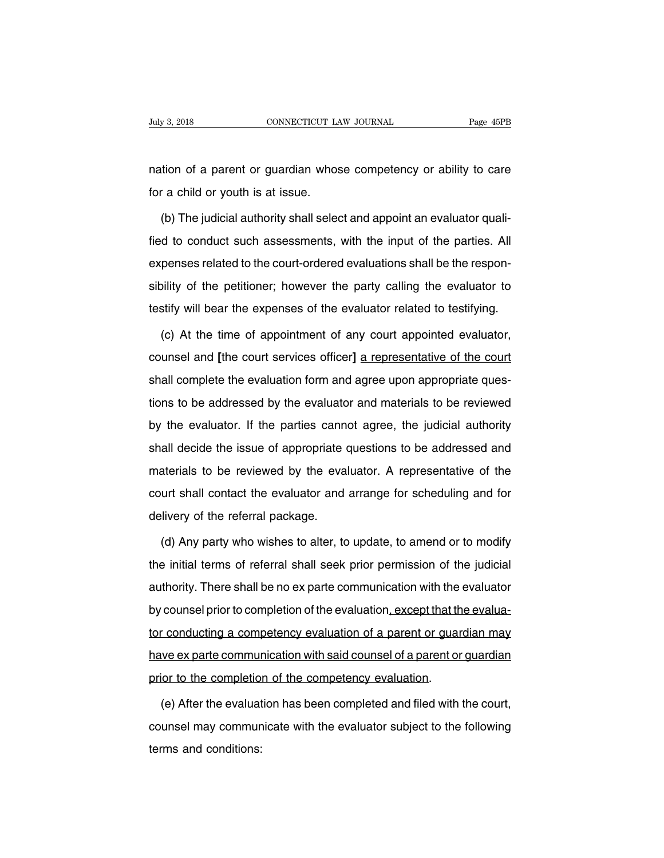Figure 3, 2018<br>
nation of a parent or guardian whose competency or ability to care<br>
for a child or youth is at issue. For a connect of a connect of a parent or guardian whose<br>for a child or youth is at issue.<br>(b) The judicial authority shall seled

(b) the judicial authority shall select and appoint an evaluator quali-<br>(b) The judicial authority shall select and appoint an evaluator quali-<br>d to conduct such assessments, with the input of the parties. All mation of a parent or guardian whose competency or ability to care<br>for a child or youth is at issue.<br>(b) The judicial authority shall select and appoint an evaluator quali-<br>fied to conduct such assessments, with the input for a child or youth is at issue.<br>
(b) The judicial authority shall select and appoint an evaluator quali-<br>
fied to conduct such assessments, with the input of the parties. All<br>
expenses related to the court-ordered evalua (b) The judicial authority shall select and appoint an evaluator quali-<br>fied to conduct such assessments, with the input of the parties. All<br>expenses related to the court-ordered evaluations shall be the respon-<br>sibility o (b) The jadiotal dationly shall belock and appoint an evaluation qualities fied to conduct such assessments, with the input of the parties. All expenses related to the court-ordered evaluations shall be the responsibility penses related to the court-ordered evaluations shall be the respon-<br>bility of the petitioner; however the party calling the evaluator to<br>stify will bear the expenses of the evaluator related to testifying.<br>(c) At the time

sibility of the petitioner; however the party calling the evaluator to<br>testify will bear the expenses of the evaluator related to testifying.<br>(c) At the time of appointment of any court appointed evaluator,<br>counsel and [th testify will bear the expenses of the evaluator related to testifying.<br>
(c) At the time of appointment of any court appointed evaluator,<br>
counsel and [the court services officer] <u>a representative of the court</u><br>
shall comp (c) At the time of appointment of any court appointed evaluator,<br>counsel and [the court services officer] a representative of the court<br>shall complete the evaluation form and agree upon appropriate ques-<br>tions to be addres counsel and [the court services officer] a representative of the court<br>shall complete the evaluation form and agree upon appropriate ques-<br>tions to be addressed by the evaluator and materials to be reviewed<br>by the evaluato shall complete the evaluation form and agree upon appropriate questions to be addressed by the evaluator and materials to be reviewed<br>by the evaluator. If the parties cannot agree, the judicial authority<br>shall decide the i materials to be addressed by the evaluator and materials to be reviewed<br>by the evaluator. If the parties cannot agree, the judicial authority<br>shall decide the issue of appropriate questions to be addressed and<br>materials to by the evaluator. If the parties cannot agree, the judicial authority<br>shall decide the issue of appropriate questions to be addressed and<br>materials to be reviewed by the evaluator. A representative of the<br>court shall conta by the evaluation. It the parties sum<br>shall decide the issue of appropriate (<br>materials to be reviewed by the eva<br>court shall contact the evaluator and<br>delivery of the referral package.<br>(d) Any party who wishes to alter, t Exterials to be reviewed by the evaluator. A representative of the<br>urt shall contact the evaluator and arrange for scheduling and for<br>livery of the referral package.<br>(d) Any party who wishes to alter, to update, to amend o

the initial terms of referral package.<br>
(d) Any party who wishes to alter, to update, to amend or to modify<br>
the initial terms of referral shall seek prior permission of the judicial<br>
authority. There shall be no ex parte delivery of the referral package.<br>
(d) Any party who wishes to alter, to update, to amend or to modify<br>
the initial terms of referral shall seek prior permission of the judicial<br>
authority. There shall be no ex parte commu (d) Any party who wishes to alter, to update, to amend or to modify<br>the initial terms of referral shall seek prior permission of the judicial<br>authority. There shall be no ex parte communication with the evaluator<br>by counse (a) Any party who wished to ditert, to apdate, to different of the judicial<br>the initial terms of referral shall seek prior permission of the judicial<br>authority. There shall be no ex parte communication with the evaluator<br>b authority. There shall be no ex parte communication with the evaluator<br>by counsel prior to completion of the evaluation, except that the evalua-<br>tor conducting a competency evaluation of a parent or guardian may<br>have ex pa by counsel prior to completion of the evaluation, except that the conducting a competency evaluation of a parent or guar<br>have ex parte communication with said counsel of a parent or<br>prior to the completion of the competenc The expart of completency evaluation of a parent or guardian may<br>ve exparte communication with said counsel of a parent or guardian<br>ior to the completion of the competency evaluation.<br>(e) After the evaluation has been comp

have ex parte communication with said counsel of a parent or guardian<br>prior to the completion of the competency evaluation.<br>(e) After the evaluation has been completed and filed with the court,<br>counsel may communicate with prior to the completio<br>
(e) After the evaluat<br>
counsel may commur<br>
terms and conditions: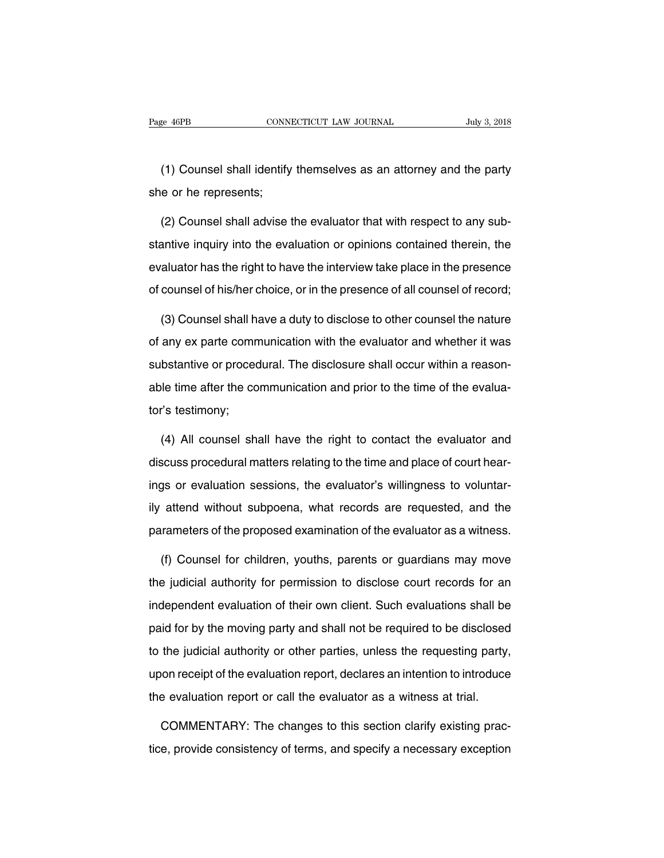EXEMBERT CONNECTICUT LAW JOURNAL THAT SUBSEX 1998 July 3, 2018<br>
(1) Counsel shall identify themselves as an attorney and the party<br>
(1) Counsel shall identify themselves as an attorney and the party Page 46PB CONNI<br>
(1) Counsel shall identify<br>
she or he represents;<br>
(2) Counsel shall advise t

(1) Counsel shall identify themselves as an attorney and the party<br>e or he represents;<br>(2) Counsel shall advise the evaluator that with respect to any sub-<br>antive inquiry into the evaluation or opinions contained therein, (1) Counsel shall identify themselves as an attorney and the party<br>she or he represents;<br>(2) Counsel shall advise the evaluator that with respect to any sub-<br>stantive inquiry into the evaluation or opinions contained there she or he represents;<br>(2) Counsel shall advise the evaluator that with respect to any sub-<br>stantive inquiry into the evaluation or opinions contained therein, the<br>evaluator has the right to have the interview take place in (2) Counsel shall advise the evaluator that with respect to any substantive inquiry into the evaluation or opinions contained therein, the evaluator has the right to have the interview take place in the presence of counsel antive inquiry into the evaluation or opinions contained therein, the aluator has the right to have the interview take place in the presence counsel of his/her choice, or in the presence of all counsel of record;<br>(3) Couns

evaluator has the right to have the interview take place in the presence<br>of counsel of his/her choice, or in the presence of all counsel of record;<br>(3) Counsel shall have a duty to disclose to other counsel the nature<br>of a of counsel of his/her choice, or in the presence of all counsel of record;<br>(3) Counsel shall have a duty to disclose to other counsel the nature<br>of any ex parte communication with the evaluator and whether it was<br>substanti (3) Counsel shall have a duty to disclose to other counsel the nature<br>of any ex parte communication with the evaluator and whether it was<br>substantive or procedural. The disclosure shall occur within a reason-<br>able time aft of any ex parte comm<br>substantive or proced<br>able time after the co<br>tor's testimony; bstantive or procedural. The disclosure shall occur within a reason-<br>le time after the communication and prior to the time of the evalua-<br>
is testimony;<br>
(4) All counsel shall have the right to contact the evaluator and<br>
s

discuss procedural matters relating to the time of the evaluator's testimony;<br>(4) All counsel shall have the right to contact the evaluator and<br>discuss procedural matters relating to the time and place of court hear-<br>ings tor's testimony;<br>(4) All counsel shall have the right to contact the evaluator and<br>discuss procedural matters relating to the time and place of court hear-<br>ings or evaluation sessions, the evaluator's willingness to volunt (4) All counsel shall have the right to contact the evaluator and<br>discuss procedural matters relating to the time and place of court hear-<br>ings or evaluation sessions, the evaluator's willingness to voluntar-<br>ily attend wi discuss procedural matters relating to the time and place of court hearings or evaluation sessions, the evaluator's willingness to voluntarily attend without subpoena, what records are requested, and the parameters of the (f) gs or evaluation sessions, the evaluator's willingness to voluntar-<br>attend without subpoena, what records are requested, and the<br>rameters of the proposed examination of the evaluator as a witness.<br>(f) Counsel for child

ily attend without subpoena, what records are requested, and the<br>parameters of the proposed examination of the evaluator as a witness.<br>(f) Counsel for children, youths, parents or guardians may move<br>the judicial authority parameters of the proposed examination of the evaluator as a witness.<br>
(f) Counsel for children, youths, parents or guardians may move<br>
the judicial authority for permission to disclose court records for an<br>
independent ev (f) Counsel for children, youths, parents or guardians may move<br>the judicial authority for permission to disclose court records for an<br>independent evaluation of their own client. Such evaluations shall be<br>paid for by the m the judicial authority for permission to disclose court records for an independent evaluation of their own client. Such evaluations shall be paid for by the moving party and shall not be required to be disclosed to the jud independent evaluation of their own client. Such evaluations shall be<br>paid for by the moving party and shall not be required to be disclosed<br>to the judicial authority or other parties, unless the requesting party,<br>upon rec masponsion cranadion of their chin client calch cranadions chan be<br>paid for by the moving party and shall not be required to be disclosed<br>to the judicial authority or other parties, unless the requesting party<br>upon receipt the judicial authority or other parties, unless the requesting party,<br>on receipt of the evaluation report, declares an intention to introduce<br>e evaluation report or call the evaluator as a witness at trial.<br>COMMENTARY: The upon receipt of the evaluation report, declares an intention to introduce<br>the evaluation report or call the evaluator as a witness at trial.<br>COMMENTARY: The changes to this section clarify existing prac-<br>tice, provide cons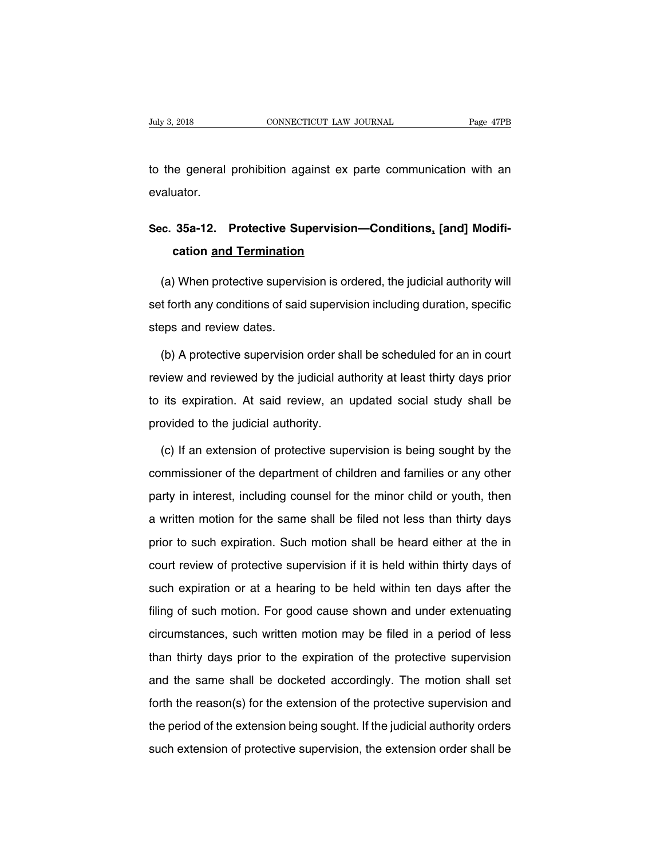The Games Connect Correct Care Journal Trage 47PB<br>to the general prohibition against ex parte communication with an<br>evaluator. evaluator.

## **Sec. 35a-12. Protective Supervision—Conditions, [and] Modifi-**<br> **Sec. 35a-12. Protective Supervision—Conditions, [and] Modifi-**<br> **Conditions Cand Condition cation and Termination and Termination**<br> **cation <u>and Termination</u><br>
Cation <u>and Termination</u><br>
Cation and Termination**

andator.<br> **c. 35a-12. Protective Supervision—Conditions, [and] Modifi-**<br>
(a) When protective supervision is ordered, the judicial authority will<br>
t forth any conditions of said supervision including duration, specific Sec. 35a-12. Protective Supervision—Conditions, [and] Modification and Termination<br>
(a) When protective supervision is ordered, the judicial authority will<br>
set forth any conditions of said supervision including duration, cation and Termination<br>
(a) When protective supervised forth any conditions of said<br>
steps and review dates.<br>
(b) A protective supervision (a) When protective supervision is ordered, the judicial authority will<br>t forth any conditions of said supervision including duration, specific<br>eps and review dates.<br>(b) A protective supervision order shall be scheduled fo

review and review dates.<br>
(b) A protective supervision order shall be scheduled for an in court<br>
review and reviewed by the judicial authority at least thirty days prior<br>
to its expiration. At said review, an updated socia steps and review dates.<br>
(b) A protective supervision order shall be scheduled for an in court<br>
review and reviewed by the judicial authority at least thirty days prior<br>
to its expiration. At said review, an updated social (b) A protective supervision order share<br>view and reviewed by the judicial auto its expiration. At said review, an uprovided to the judicial authority.<br>(c) If an extension of protective super view and reviewed by the judicial authority at least thirty days prior<br>its expiration. At said review, an updated social study shall be<br>ovided to the judicial authority.<br>(c) If an extension of protective supervision is bei

to its expiration. At said review, an updated social study shall be<br>provided to the judicial authority.<br>(c) If an extension of protective supervision is being sought by the<br>commissioner of the department of children and fa provided to the judicial authority.<br>
(c) If an extension of protective supervision is being sought by the<br>
commissioner of the department of children and families or any other<br>
party in interest, including counsel for the (c) If an extension of protective supervision is being sought by the commissioner of the department of children and families or any other party in interest, including counsel for the minor child or youth, then a written mo commissioner of the department of children and families or any other<br>party in interest, including counsel for the minor child or youth, then<br>a written motion for the same shall be filed not less than thirty days<br>prior to s party in interest, including counsel for the minor child or youth, then<br>a written motion for the same shall be filed not less than thirty days<br>prior to such expiration. Such motion shall be heard either at the in<br>court rev a written motion for the same shall be filed not less than thirty days<br>prior to such expiration. Such motion shall be heard either at the in<br>court review of protective supervision if it is held within thirty days of<br>such e filing of such expiration. Such motion shall be heard either at the in<br>court review of protective supervision if it is held within thirty days of<br>such expiration or at a hearing to be held within ten days after the<br>filing court review of protective supervision if it is held within thirty days of<br>such expiration or at a hearing to be held within ten days after the<br>filing of such motion. For good cause shown and under extenuating<br>circumstance such expiration or at a hearing to be held within ten days after the<br>filing of such motion. For good cause shown and under extenuating<br>circumstances, such written motion may be filed in a period of less<br>than thirty days pr filing of such motion. For good cause shown and under extenuating<br>circumstances, such written motion may be filed in a period of less<br>than thirty days prior to the expiration of the protective supervision<br>and the same shal forth the reason worker in the extension may be filed in a period of less<br>than thirty days prior to the expiration of the protective supervision<br>and the same shall be docketed accordingly. The motion shall set<br>forth the re than thirty days prior to the expiration of the protective supervision<br>and the same shall be docketed accordingly. The motion shall set<br>forth the reason(s) for the extension of the protective supervision and<br>the period of such extension of the protective supervision and the same shall be docketed accordingly. The motion shall set<br>forth the reason(s) for the extension of the protective supervision and<br>the period of the extension being sought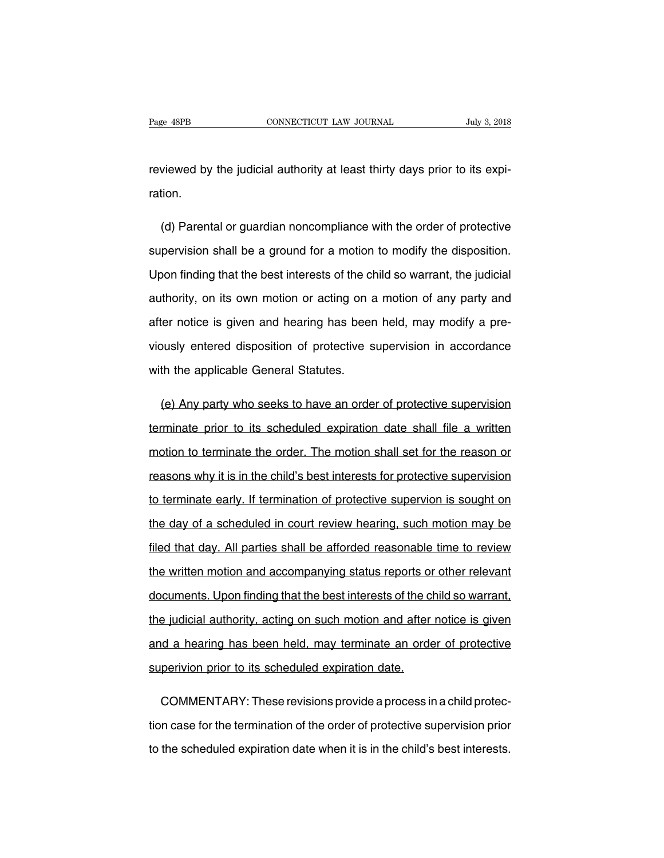Page 48PB<br>
CONNECTICUT LAW JOURNAL July 3, 2018<br>
reviewed by the judicial authority at least thirty days prior to its expi-<br>
ration. ration.

viewed by the judicial authority at least thirty days prior to its expi-<br>tion.<br>(d) Parental or guardian noncompliance with the order of protective<br>pervision shall be a ground for a motion to modify the disposition. reviewed by the judicial authority at least thirty days prior to its expiration.<br>
(d) Parental or guardian noncompliance with the order of protective<br>
supervision shall be a ground for a motion to modify the disposition.<br> ration.<br>
(d) Parental or guardian noncompliance with the order of protective<br>
supervision shall be a ground for a motion to modify the disposition.<br>
Upon finding that the best interests of the child so warrant, the judicia (d) Parental or guardian noncompliance with the order of protective<br>supervision shall be a ground for a motion to modify the disposition.<br>Upon finding that the best interests of the child so warrant, the judicial<br>authority supervision shall be a ground for a motion to modify the disposition.<br>Upon finding that the best interests of the child so warrant, the judicial<br>authority, on its own motion or acting on a motion of any party and<br>after not Upon finding that the best interests of the child so warrant, the judicial<br>authority, on its own motion or acting on a motion of any party and<br>after notice is given and hearing has been held, may modify a pre-<br>viously ente authority, on its own motion or acting on a<br>after notice is given and hearing has beer<br>viously entered disposition of protective s<br>with the applicable General Statutes. (e) the ratio of protective supervision in accordance<br>th the applicable General Statutes.<br>(e) Any party who seeks to have an order of protective supervision<br>minate prior to its scheduled expiration date shall file a writte

triangly entered disposition of protective supervision in accordance<br>with the applicable General Statutes.<br>(e) Any party who seeks to have an order of protective supervision<br>terminate prior to its scheduled expiration date with the applicable General Statutes.<br>
(e) Any party who seeks to have an order of protective supervision<br>
terminate prior to its scheduled expiration date shall file a written<br>
motion to terminate the order. The motion sh (e) Any party who seeks to have an order of protective supervision<br>terminate prior to its scheduled expiration date shall file a written<br>motion to terminate the order. The motion shall set for the reason or<br>reasons why it terminate prior to its scheduled expiration date shall file a written<br>motion to terminate the order. The motion shall set for the reason or<br>reasons why it is in the child's best interests for protective supervision<br>to term motion to terminate the order. The motion shall set for the reason or<br>reasons why it is in the child's best interests for protective supervision<br>to terminate early. If termination of protective supervion is sought on<br>the d reasons why it is in the child's best interests for protective supervision<br>to terminate early. If termination of protective supervion is sought on<br>the day of a scheduled in court review hearing, such motion may be<br>filed th to terminate early. If termination of protective supervion is sought on<br>the day of a scheduled in court review hearing, such motion may be<br>filed that day. All parties shall be afforded reasonable time to review<br>the written the day of a scheduled in court review hearing, such motion may be<br>filed that day. All parties shall be afforded reasonable time to review<br>the written motion and accompanying status reports or other relevant<br>documents. Upo filed that day. All parties shall be afforded reasonable time to review<br>the written motion and accompanying status reports or other relevant<br>documents. Upon finding that the best interests of the child so warrant,<br>the judi the written motion and accompanying status reports or other relevant<br>documents. Upon finding that the best interests of the child so warrant,<br>the judicial authority, acting on such motion and after notice is given<br>and a he superivion prior inding that the best interests of the conduction and after the judicial authority, acting on such motion and after and a hearing has been held, may terminate an order superivion prior to its scheduled expi e judicial authority, acting on such motion and after notice is given<br>d a hearing has been held, may terminate an order of protective<br>perivion prior to its scheduled expiration date.<br>COMMENTARY: These revisions provide a p

and a hearing has been held, may terminate an order of protective<br>superivion prior to its scheduled expiration date.<br>COMMENTARY: These revisions provide a process in a child protec-<br>tion case for the termination of the ord superivion prior to its scheduled expiration date.<br>COMMENTARY: These revisions provide a process in a child protection case for the termination of the order of protective supervision prior<br>to the scheduled expiration date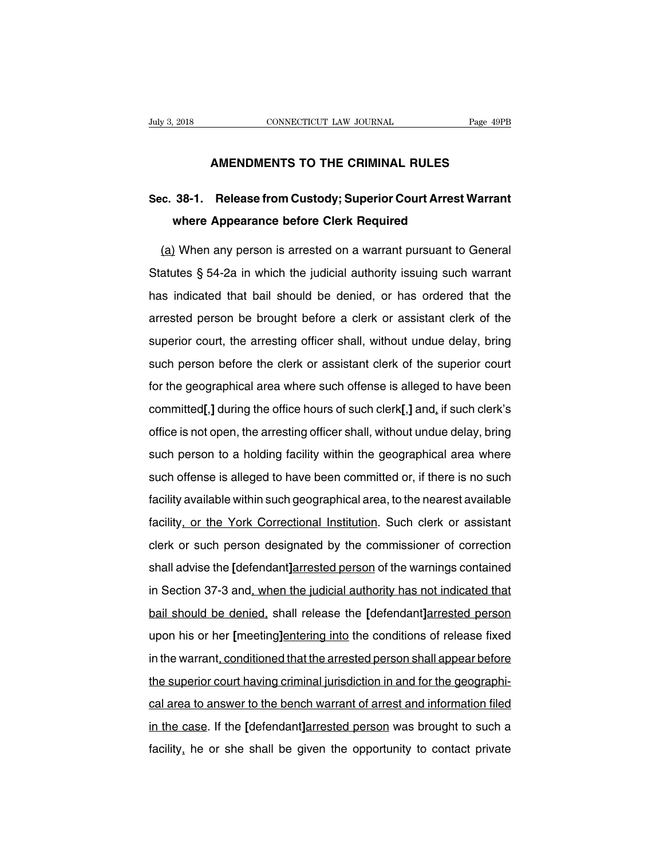# **CONNECTICUT LAW JOURNAL** Page 49PB<br> **AMENDMENTS TO THE CRIMINAL RULES**

## **Suly 3, 2018** CONNECTICUT LAW JOURNAL Page 49PB<br> **AMENDMENTS TO THE CRIMINAL RULES**<br> **Sec. 38-1. Release from Custody; Superior Court Arrest Warrant**<br>
where Appearance before Clerk Required **AMENDMENTS TO THE CRIMINAL RULES<br>38-1. Release from Custody; Superior Court Arrest W<br>where Appearance before Clerk Required<br>When any person is arrested on a warrant pursuant to G**

AMENDMENTS TO THE CRIMINAL RULES<br>C. 38-1. Release from Custody; Superior Court Arrest Warrant<br>where Appearance before Clerk Required<br>(a) When any person is arrested on a warrant pursuant to General<br>atutes § 54-2a in which Sec. 38-1. Release from Custody; Superior Court Arrest Warrant<br>where Appearance before Clerk Required<br>(a) When any person is arrested on a warrant pursuant to General<br>Statutes § 54-2a in which the judicial authority issuin where Appearance before Clerk Required<br>
(a) When any person is arrested on a warrant pursuant to General<br>
Statutes § 54-2a in which the judicial authority issuing such warrant<br>
has indicated that bail should be denied, or (a) When any person is arrested on a warrant pursuant to General<br>Statutes § 54-2a in which the judicial authority issuing such warrant<br>has indicated that bail should be denied, or has ordered that the<br>arrested person be br Statutes § 54-2a in which the judicial authority issuing such warrant<br>has indicated that bail should be denied, or has ordered that the<br>arrested person be brought before a clerk or assistant clerk of the<br>superior court, th betallied got Ed in which the judiolal dutionly ideally death warrant<br>has indicated that bail should be denied, or has ordered that the<br>arrested person be brought before a clerk or assistant clerk of the<br>superior court, th frace indicated that ball should be donied, of has stabled that the arrested person be brought before a clerk or assistant clerk of the superior court, the arresting officer shall, without undue delay, bring such person be superior court, the arresting officer shall, without undue delay, bring<br>such person before the clerk or assistant clerk of the superior court<br>for the geographical area where such offense is alleged to have been<br>committed[, such person before the clerk or assistant clerk of the superior court<br>for the geographical area where such offense is alleged to have been<br>committed[,] during the office hours of such clerk[,] and, if such clerk's<br>office i for the geographical area where such offense is alleged to have been<br>committed[,] during the office hours of such clerk[,] and, if such clerk's<br>office is not open, the arresting officer shall, without undue delay, bring<br>su such the geographical area where sach energy of alleged to have been<br>committed[,] during the office hours of such clerk[,] and, if such clerk's<br>office is not open, the arresting officer shall, without undue delay, bring<br>su office is not open, the arresting officer shall, without undue delay, bring<br>such person to a holding facility within the geographical area where<br>such offense is alleged to have been committed or, if there is no such<br>facili such person to a holding facility within the geographical area where<br>such offense is alleged to have been committed or, if there is no such<br>facility available within such geographical area, to the nearest available<br>facilit such offense is alleged to have been committed or, if there is no such<br>facility available within such geographical area, to the nearest available<br>facility, or the York Correctional Institution. Such clerk or assistant<br>cler Facility available within such geographical area, to the nearest available<br>facility, or the York Correctional Institution. Such clerk or assistant<br>clerk or such person designated by the commissioner of correction<br>shall adv facility, or the York Correctional Institution. Such clerk or assistant<br>clerk or such person designated by the commissioner of correction<br>shall advise the [defendant]arrested person of the warnings contained<br>in Section 37basing, or any test conceases in the denied, shall advise the **[**defendant]arrested person of the warnings contained<br>in Section 37-3 and, when the judicial authority has not indicated that<br>bail should be denied, shall rele shall advise the [defendant]arrested person of the warnings contained<br>in Section 37-3 and, when the judicial authority has not indicated that<br>bail should be denied, shall release the [defendant]arrested person<br>upon his or in Section 37-3 and, when the judicial authority has not indicated that<br>bail should be denied, shall release the [defendant]arrested person<br>upon his or her [meeting]entering into the conditions of release fixed<br>in the warr in Section 37-3 and, when the judicial authority has not indicated that<br>bail should be denied, shall release the [defendant]arrested person<br>upon his or her [meeting]entering into the conditions of release fixed<br>in the warr be different area to answer to the conditions of release fixed<br>in the warrant, conditioned that the arrested person shall appear before<br>the superior court having criminal jurisdiction in and for the geographi-<br>cal area to in the warrant, conditioned that the arrested person shall appear before<br>the superior court having criminal jurisdiction in and for the geographi-<br>cal area to answer to the bench warrant of arrest and information filed<br>in the superior court having criminal jurisdiction in and for the geographical area to answer to the bench warrant of arrest and information filed<br>in the case. If the [defendant]arrested person was brought to such a<br>facility,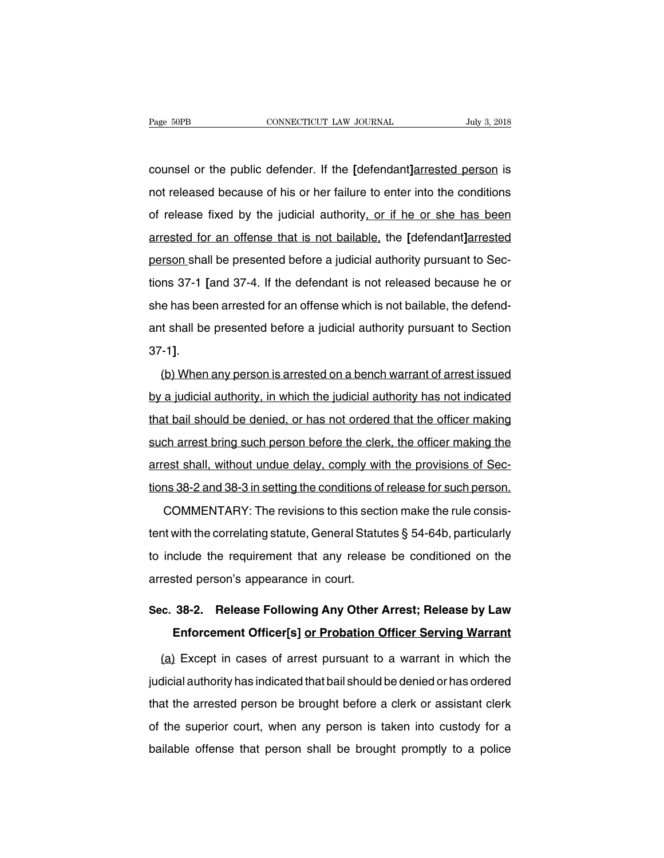counsel or the public defender. If the **[**defendant**]**arrested person is not released because of his or her failure to enter into the conditions<br>of released because of his or her failure to enter into the conditions<br>of release fixed by the judicial authority, or if he or she has been counsel or the public defender. If the [defendant]arrested person is<br>not released because of his or her failure to enter into the conditions<br>of release fixed by the judicial authority, or if he or she has been<br>arrested for counsel or the public defender. If the [defendant]<u>arrested person</u> is<br>not released because of his or her failure to enter into the conditions<br>of release fixed by the judicial authority<u>, or if he or she has been</u><br>arrested person shall be passes of his or her failure to enter into the conditions<br>of release fixed by the judicial authority, or if he or she has been<br>arrested for an offense that is not bailable, the [defendant]arrested<br>person sh for release fixed by the judicial authority, or if he or she has been<br>arrested for an offense that is not bailable, the [defendant]arrested<br>person shall be presented before a judicial authority pursuant to Sec-<br>tions 37-1 arrested for an offense that is not bailable, the [defendant]arrested<br>person shall be presented before a judicial authority pursuant to Sec-<br>tions 37-1 [and 37-4. If the defendant is not released because he or<br>she has been person shall be presented before a judicial authority pursuant to Sections 37-1 [and 37-4. If the defendant is not released because he or she has been arrested for an offense which is not bailable, the defendant shall be p She has been arrested for an offense which is not bailable, the defend-<br>ant shall be presented before a judicial authority pursuant to Section<br>37-1].<br>(b) When any person is arrested on a bench warrant of arrest issued<br>by a

by a judicial authority and the judicial authority pursuant to Section<br>37-1].<br>(b) When any person is arrested on a bench warrant of arrest issued<br>by a judicial authority, in which the judicial authority has not indicated<br>t that bail show person is arrested on a bench warrant of arrest issued<br>by a judicial authority, in which the judicial authority has not indicated<br>that bail should be denied, or has not ordered that the officer making<br>such a (b) When any person is arrested on a bench warrant of arrest issued<br>by a judicial authority, in which the judicial authority has not indicated<br>that bail should be denied, or has not ordered that the officer making<br>such arr by a judicial authority, in which the judicial authority has not indicated<br>that bail should be denied, or has not ordered that the officer making<br>such arrest bring such person before the clerk, the officer making the<br>arres by a jacketar during, in which are jacketar duringly had not indicated<br>that bail should be denied, or has not ordered that the officer making<br>such arrest shall, without undue delay, comply with the provisions of Sec-<br>tions ch arrest bring such person before the clerk, the officer making the<br>est shall, without undue delay, comply with the provisions of Sec-<br>ns 38-2 and 38-3 in setting the conditions of release for such person.<br>COMMENTARY: The

arrest shall, without undue delay, comply with the provisions of Sections 38-2 and 38-3 in setting the conditions of release for such person.<br>COMMENTARY: The revisions to this section make the rule consistent with the corr tions 38-2 and 38-3 in setting the conditions of release for such person.<br>COMMENTARY: The revisions to this section make the rule consis-<br>tent with the correlating statute, General Statutes § 54-64b, particularly<br>to includ COMMENTARY: The revisions to this section<br>tent with the correlating statute, General Statute<br>to include the requirement that any release<br>arrested person's appearance in court. **SEC. SEC.** The correlating statute, General Statutes § 54-64b, particularly<br>
to include the requirement that any release be conditioned on the<br>
arrested person's appearance in court.<br> **Sec. 38-2.** Release Following Any clude the requirement that any release be conditioned on the<br>sted person's appearance in court.<br>**38-2.** Release Following Any Other Arrest; Release by Law<br>Enforcement Officer[s] or Probation Officer Serving Warrant<br>(i) Exc

rested person's appearance in court.<br> **Except in Cases Following Any Other Arrest; Release by Law**<br> **Enforcement Officer[s] <u>or Probation Officer Serving Warrant</u><br>
<u>(a)</u> Except in cases of arrest pursuant to a warrant in w** Sec. 38-2. Release Following Any Other Arrest; Release by Law<br>Enforcement Officer[s] or Probation Officer Serving Warrant<br>(a) Except in cases of arrest pursuant to a warrant in which the<br>judicial authority has indicated th Enforcement Officer[s] or Probation Officer Serving Warrant<br>
(a) Except in cases of arrest pursuant to a warrant in which the<br>
judicial authority has indicated that bail should be denied or has ordered<br>
that the arrested p (a) Except in cases of arrest pursuant to a warrant in which the judicial authority has indicated that bail should be denied or has ordered that the arrested person be brought before a clerk or assistant clerk of the super judicial authority has indicated that bail should be denied or has ordered<br>that the arrested person be brought before a clerk or assistant clerk<br>of the superior court, when any person is taken into custody for a<br>bailable o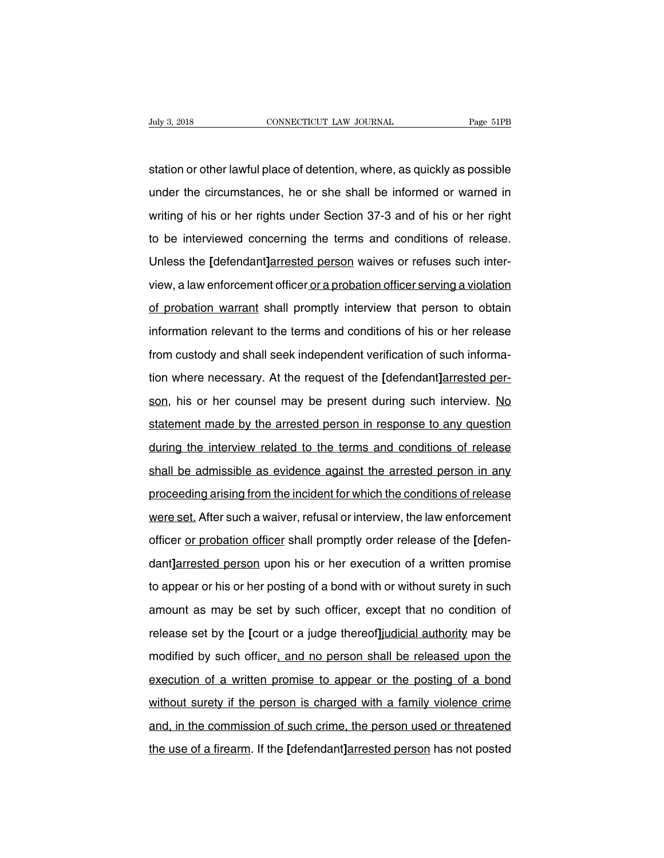Suly 3, 2018 CONNECTICUT LAW JOURNAL Page 51PB<br>Station or other lawful place of detention, where, as quickly as possible<br>under the circumstances, he or she shall be informed or warned in Under 3, 2018 CONNECTICUT LAW JOURNAL Page 51PB<br>station or other lawful place of detention, where, as quickly as possible<br>under the circumstances, he or she shall be informed or warned in<br>writing of his or her rights under station or other lawful place of detention, where, as quickly as possible<br>under the circumstances, he or she shall be informed or warned in<br>writing of his or her rights under Section 37-3 and of his or her right<br>to be inte station or other lawful place of detention, where, as quickly as possible<br>under the circumstances, he or she shall be informed or warned in<br>writing of his or her rights under Section 37-3 and of his or her right<br>to be inte station or other lawful place of detention, where, as quickly as possible<br>under the circumstances, he or she shall be informed or warned in<br>writing of his or her rights under Section 37-3 and of his or her right<br>to be inte writing of his or her rights under Section 37-3 and of his or her right<br>to be interviewed concerning the terms and conditions of release.<br>Unless the [defendant]arrested person waives or refuses such inter-<br>view, a law enfo to be interviewed concerning the terms and conditions of release.<br>Unless the [defendant]arrested person waives or refuses such inter-<br>view, a law enforcement officer or a probation officer serving a violation<br>of probation Unless the [defendant]arrested person waives or refuses such inter-<br>view, a law enforcement officer or a probation officer serving a violation<br>of probation warrant shall promptly interview that person to obtain<br>information From Community of the custody, a law enforcement officer or a probation officer serving a violation<br>of probation warrant shall promptly interview that person to obtain<br>information relevant to the terms and conditions of hi of probation warrant shall promptly interview that person to obtain<br>information relevant to the terms and conditions of his or her release<br>from custody and shall seek independent verification of such informa-<br>tion where ne information relevant to the terms and conditions of his or her release<br>from custody and shall seek independent verification of such informa-<br>tion where necessary. At the request of the [defendant]arrested per-<br>son, his or from custody and shall seek independent verification of such information where necessary. At the request of the [defendant]arrested person, his or her counsel may be present during such interview. No statement made by the tion where necessary. At the request of the [defendant]arrested person, his or her counsel may be present during such interview. No statement made by the arrested person in response to any question during the interview rel son, his or her counsel may be present during such interview. No<br>statement made by the arrested person in response to any question<br>during the interview related to the terms and conditions of release<br>shall be admissible as statement made by the arrested person in response to any question<br>during the interview related to the terms and conditions of release<br>shall be admissible as evidence against the arrested person in any<br>proceeding arising fr during the interview related to the terms and conditions of release<br>shall be admissible as evidence against the arrested person in any<br>proceeding arising from the incident for which the conditions of release<br>were set. Afte shall be admissible as evidence against the arrested person in any<br>proceeding arising from the incident for which the conditions of release<br>were set. After such a waiver, refusal or interview, the law enforcement<br>officer <u></u> proceeding arising from the incident for which the conditions of release<br>were set. After such a waiver, refusal or interview, the law enforcement<br>officer <u>or probation officer</u> shall promptly order release of the [defen-<br>d were set. After such a waiver, refusal or interview, the law enforcement<br>officer or probation officer shall promptly order release of the [defen-<br>dant]arrested person upon his or her execution of a written promise<br>to appea officer <u>or probation officer</u> shall promptly order release of the [defen-<br>dant]arrested person upon his or her execution of a written promise<br>to appear or his or her posting of a bond with or without surety in such<br>amount dant]arrested person upon his or her execution of a written promise<br>to appear or his or her posting of a bond with or without surety in such<br>amount as may be set by such officer, except that no condition of<br>release set by to appear or his or her posting of a bond with or without surety in such<br>amount as may be set by such officer, except that no condition of<br>release set by the [court or a judge thereof]judicial authority may be<br>modified by execution of release set by the [court or a judge thereof]judicial authority may be modified by such officer, and no person shall be released upon the execution of a written promise to appear or the posting of a bond witho release set by the [court or a judge thereof]judicial authority may be<br>modified by such officer, and no person shall be released upon the<br>execution of a written promise to appear or the posting of a bond<br>without surety if modified by such officer, and no person shall be released upon the<br>execution of a written promise to appear or the posting of a bond<br>without surety if the person is charged with a family violence crime<br>and, in the commissi execution of a written promise to appear or the posting of a bond<br>without surety if the person is charged with a family violence crime<br>and, in the commission of such crime, the person used or threatened<br>the use of a firear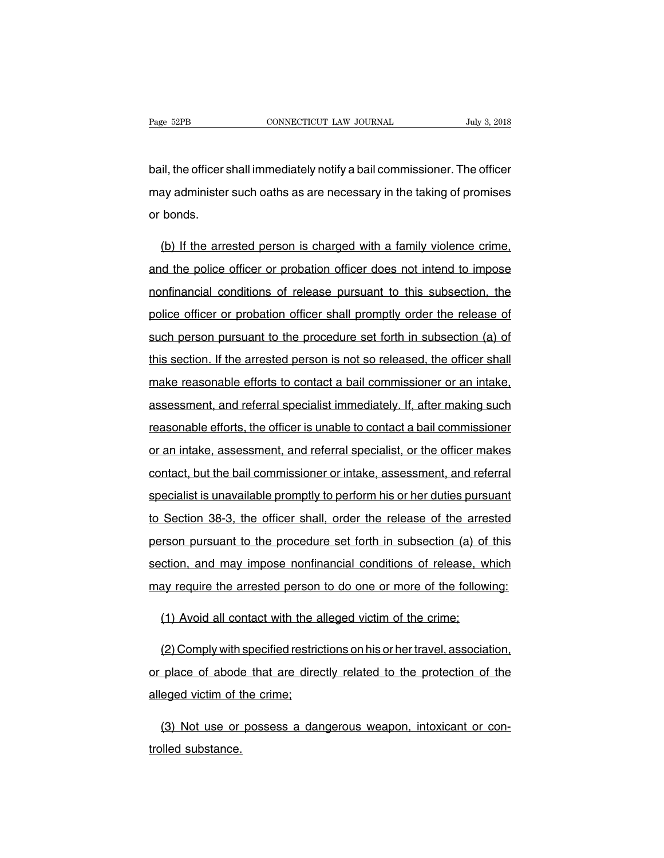Page 52PB<br>
connectricut LAW JOURNAL<br>
bail, the officer shall immediately notify a bail commissioner. The officer<br>
may administer such oaths as are necessary in the taking of promises Page 52PB CONNECTICUT LAW JOURNAL July 3, 2018<br>bail, the officer shall immediately notify a bail commissioner. The officer<br>may administer such oaths as are necessary in the taking of promises<br>or bonds. bail, the officer s<br>may administer<br>or bonds. il, the officer shall immediately notify a bail commissioner. The officer<br>ay administer such oaths as are necessary in the taking of promises<br>bonds.<br>(b) If the arrested person is charged with a family violence crime,<br>id th

may administer such oaths as are necessary in the taking of promises<br>or bonds.<br>(b) If the arrested person is charged with a family violence crime,<br>and the police officer or probation officer does not intend to impose<br>nonfi or bonds.<br>
(b) If the arrested person is charged with a family violence crime,<br>
and the police officer or probation officer does not intend to impose<br>
nonfinancial conditions of release pursuant to this subsection, the<br>
po (b) If the arrested person is charged with a family violence crime, and the police officer or probation officer does not intend to impose nonfinancial conditions of release pursuant to this subsection, the police officer o and the police officer or probation officer does not intend to impose<br>nonfinancial conditions of release pursuant to this subsection, the<br>police officer or probation officer shall promptly order the release of<br>such person the art are performed on probation officer and to this subsection, the police officer or probation officer shall promptly order the release of such person pursuant to the procedure set forth in subsection (a) of this secti make reasonable efforts to contact a bail promptly order the release of such person pursuant to the procedure set forth in subsection (a) of this section. If the arrested person is not so released, the officer shall make r such person pursuant to the procedure set forth in subsection (a) of<br>this section. If the arrested person is not so released, the officer shall<br>make reasonable efforts to contact a bail commissioner or an intake,<br>assessmen this section. If the arrested person is not so released, the officer shall<br>make reasonable efforts to contact a bail commissioner or an intake,<br>assessment, and referral specialist immediately. If, after making such<br>reasona make reasonable efforts to contact a bail commissioner or an intake,<br>assessment, and referral specialist immediately. If, after making such<br>reasonable efforts, the officer is unable to contact a bail commissioner<br>or an int contact of solid and commissioner or an intake, assessment, and referral specialist immediately. If, after making such reasonable efforts, the officer is unable to contact a bail commissioner or an intake, assessment, and reasonable efforts, the officer is unable to contact a bail commissioner<br>or an intake, assessment, and referral specialist, or the officer makes<br>contact, but the bail commissioner or intake, assessment, and referral<br>specia or an intake, assessment, and referral specialist, or the officer makes<br>contact, but the bail commissioner or intake, assessment, and referral<br>specialist is unavailable promptly to perform his or her duties pursuant<br>to Sec contact, but the bail commissioner or intake, assessment, and referral<br>specialist is unavailable promptly to perform his or her duties pursuant<br>to Section 38-3, the officer shall, order the release of the arrested<br>person p specialist is unavailable promptly to perform his or her duties pursuant<br>to Section 38-3, the officer shall, order the release of the arrested<br>person pursuant to the procedure set forth in subsection (a) of this<br>section, a to Section 38-3, the officer shall, order the release of the arrested<br>person pursuant to the procedure set forth in subsection (a) of this<br>section, and may impose nonfinancial conditions of release, which<br>may require the a From pursuant to the procedure set forth in subsection (a) of ction, and may impose nonfinancial conditions of release, we ay require the arrested person to do one or more of the follow (1) Avoid all contact with the alleg

ction, and may impose nontinancial conditions of release, which<br>ay require the arrested person to do one or more of the following:<br>(1) Avoid all contact with the alleged victim of the crime;<br>(2) Comply with specified restr may require the arrested person to do one or more of the following:<br>
(1) Avoid all contact with the alleged victim of the crime;<br>
(2) Comply with specified restrictions on his or her travel, association,<br>
or place of abode (1) Avoid all contact with the a<br>
(2) Comply with specified restrice<br>
or place of abode that are directless<br>
alleged victim of the crime;<br>
(2) Net use or necesses a data (2) Comply with specified restrictions on his or her travel, association, place of abode that are directly related to the protection of the eged victim of the crime;<br>(3) Not use or possess a dangerous weapon, intoxicant or or place of abode<br>alleged victim of t<br>(3) Not use or<br>trolled substance.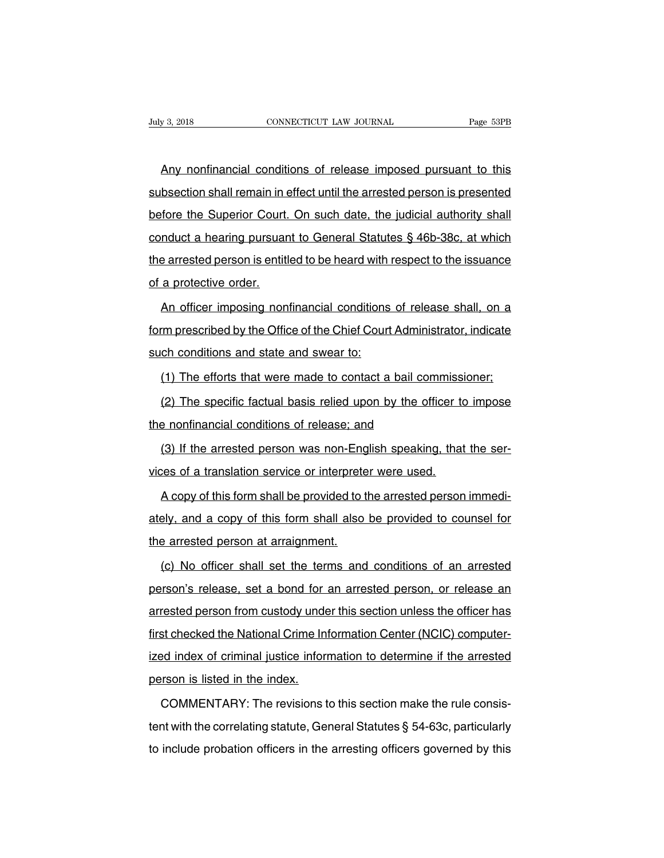EXECUTE THE MULTIMUM CONSECTION CONNECTICUT LAW JOURNAL Page 53PB<br>Any nonfinancial conditions of release imposed pursuant to this<br>bsection shall remain in effect until the arrested person is presented Suly 3, 2018 CONNECTICUT LAW JOURNAL Page 53PB<br>
Any nonfinancial conditions of release imposed pursuant to this<br>
subsection shall remain in effect until the arrested person is presented<br>
before the Superior Court. On such Any nonfinancial conditions of release imposed pursuant to this<br>subsection shall remain in effect until the arrested person is presented<br>before the Superior Court. On such date, the judicial authority shall<br>conduct a heari Any nonfinancial conditions of release imposed pursuant to this<br>subsection shall remain in effect until the arrested person is presented<br>before the Superior Court. On such date, the judicial authority shall<br>conduct a heari subsection shall remain in effect until the arrested person is presented<br>before the Superior Court. On such date, the judicial authority shall<br>conduct a hearing pursuant to General Statutes § 46b-38c, at which<br>the arrested before the Superior Court.<br>
conduct a hearing pursuar<br>
the arrested person is entitl<br>
of a protective order.<br>
An officer imposing non An officer imposing nonfinancial conditions of release shall, on a<br>An officer imposing nonfinancial conditions of release shall, on a<br>An officer imposing nonfinancial conditions of release shall, on a<br>An officer imposing n

for the arrested person is entitled to be heard with respect to the issuance<br>of a protective order.<br>An officer imposing nonfinancial conditions of release shall, on a<br>form prescribed by the Office of the Chief Court Admini of a protective order.<br>
An officer imposing nonfinancial conditions<br>
form prescribed by the Office of the Chief Court<br>
such conditions and state and swear to:<br>
(1) The efforts that were made to contact a An officer imposing nonfinancial conditions of release shall, on a<br>
imprescribed by the Office of the Chief Court Administrator, indicate<br>
ch conditions and state and swear to:<br>
(1) The efforts that were made to contact a m prescribed by the Office of the Chief Court Administrator, indicate<br>ch conditions and state and swear to:<br>(1) The efforts that were made to contact a bail commissioner;<br>(2) The specific factual basis relied upon by the o

such conditions and state and swear to:<br>
(1) The efforts that were made to contact a bail cor<br>
(2) The specific factual basis relied upon by the off<br>
the nonfinancial conditions of release; and<br>
(3) If the arrested person

(1) The efforts that were made to contact a bail commissioner;<br>(2) The specific factual basis relied upon by the officer to impose<br>e nonfinancial conditions of release; and<br>(3) If the arrested person was non-English speaki (2) The specific factual basis relied upon by the officer to<br>the nonfinancial conditions of release; and<br>(3) If the arrested person was non-English speaking, that<br>vices of a translation service or interpreter were used.<br>A

Forthandore is and<br>
A copy of this form shall be provided to the arrested person immedi-<br>
A copy of this form shall be provided to the arrested person immedi-<br>
A copy of this form shall be provided to the arrested person i (3) If the arrested person was non-English speaking, that the services of a translation service or interpreter were used.<br>A copy of this form shall be provided to the arrested person immediately, and a copy of this form sh vices of a translation service or interprete<br>A copy of this form shall be provided to t<br>ately, and a copy of this form shall also<br>the arrested person at arraignment.<br>(c) No officer shall set the terms and (c) A copy of this form shall be provided to the arrested person immedi-<br>ely, and a copy of this form shall also be provided to counsel for<br>e arrested person at arraignment.<br>(c) No officer shall set the terms and condition

ately, and a copy of this form shall also be provided to counsel for<br>the arrested person at arraignment.<br>(c) No officer shall set the terms and conditions of an arrested<br>person's release, set a bond for an arrested person, arrested person at arraignment.<br>
(c) No officer shall set the terms and conditions of an arrested<br>
person's release, set a bond for an arrested person, or release an<br>
arrested person from custody under this section unless (c) No officer shall set the terms and conditions of an arrested<br>person's release, set a bond for an arrested person, or release an<br>arrested person from custody under this section unless the officer has<br>first checked the N person's release, set a bond for an arrested person, or release an arrested person from custody under this section unless the officer has first checked the National Crime Information Center (NCIC) computer-<br>ized index of c person is release; set a bond for<br>arrested person from custody unde<br>first checked the National Crime Ini<br>ized index of criminal justice inform<br>person is listed in the index.<br>COMMENTARY: The revisions t Example in the revision of the revision of the revision of the revision is listed in the index.<br>COMMENTARY: The revisions to this section make the rule consis-<br>COMMENTARY: The revisions to this section make the rule consis

ized index of criminal justice information to determine if the arrested<br>person is listed in the index.<br>COMMENTARY: The revisions to this section make the rule consis-<br>tent with the correlating statute, General Statutes § 5 person is listed in the index.<br>
COMMENTARY: The revisions to this section make the rule consistent with the correlating statute, General Statutes § 54-63c, particularly<br>
to include probation officers in the arresting offic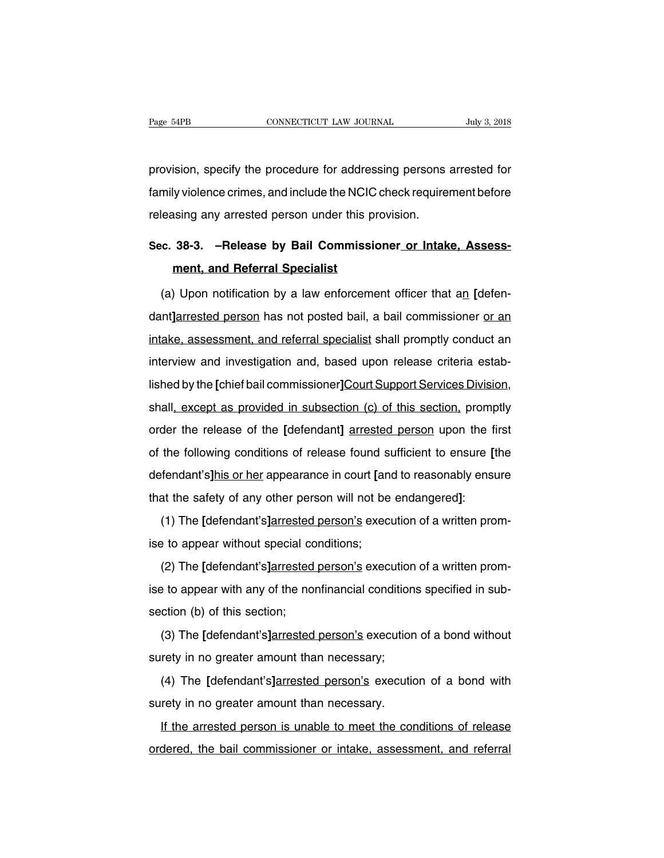Page 54PB<br>
connectricut LAW JOURNAL<br>
provision, specify the procedure for addressing persons arrested for<br>
family violence crimes, and include the NCIC check requirement before Fage 54PB CONNECTICUT LAW JOURNAL July 3, 2018<br>provision, specify the procedure for addressing persons arrested for<br>family violence crimes, and include the NCIC check requirement before<br>releasing any arrested person under provision, specify the procedure for addressing persons<br>family violence crimes, and include the NCIC check require<br>releasing any arrested person under this provision. provision, specify the procedure for addressing persons arrested for<br>family violence crimes, and include the NCIC check requirement before<br>releasing any arrested person under this provision.<br>Sec. 38-3. –Release by Bail Com **hy violence crimes, and include the NCIC**<br>**sing any arrested person under this p<br><b>38-3.** - Release by Bail Commissi<br>**ment, and Referral Specialist**<br>**D** Upon notification by a law enforcem

leasing any arrested person under this provision.<br> **c. 38-3.** -Release by Bail Commissioner or Intake, Assess-<br>
ment, and Referral Specialist<br>
(a) Upon notification by a law enforcement officer that an *[defen-*nt]<br>
arrest Sec. 38-3. –Release by Bail Commissioner or Intake, Assess-<br>
ment, and Referral Specialist<br>
(a) Upon notification by a law enforcement officer that an [defen-<br>
dant]**arrested person** has not posted bail, a bail commissione ment, and Referral Specialist<br>
(a) Upon notification by a law enforcement officer that an [defen-<br>
dant]arrested person has not posted bail, a bail commissioner or an<br>
intake, assessment, and referral specialist shall prom (a) Upon notification by a law enforcement officer that an [defen-<br>dant]arrested person has not posted bail, a bail commissioner or an<br>intake, assessment, and referral specialist shall promptly conduct an<br>interview and in dant]arrested person has not posted bail, a bail commissioner or an intake, assessment, and referral specialist shall promptly conduct an interview and investigation and, based upon release criteria established by the [chi intake, assessment, and referral specialist shall promptly conduct an<br>interview and investigation and, based upon release criteria estab-<br>lished by the [chief bail commissioner]Court Support Services Division,<br>shall, excep interview and investigation and, based upon release criteria established by the [chief bail commissioner]Court Support Services Division, shall, except as provided in subsection (c) of this section, promptly order the rele lished by the [chief bail commissioner]Court Support Services Division,<br>shall, except as provided in subsection (c) of this section, promptly<br>order the release of the [defendant] <u>arrested person</u> upon the first<br>of the fol defendant is provided in subsection (c) of this section, promptly<br>order the release of the [defendant] arrested person upon the first<br>of the following conditions of release found sufficient to ensure [the<br>defendant's]his o onal, *oxcept as provided in diseasemit (c) of any obditent*; promptorder the release of the [defendant] <u>arrested person</u> upon the f<br>of the following conditions of release found sufficient to ensure [<br>defendant's]his or h the following conditions of release found sufficient to ensure [the fendant's]his or her appearance in court [and to reasonably ensure at the safety of any other person will not be endangered]:<br>(1) The [defendant's]arreste defendant's]his or her appearance in court [and that the safety of any other person will not be (1) The [defendant's]arrested person's exective to appear without special conditions;<br>(2) The [defendant's]arrested person's e

at the safety of any other person will not be endangered]:<br>(1) The [defendant's]arrested person's execution of a written prom-<br>to appear without special conditions;<br>(2) The [defendant's]arrested person's execution of a wri (1) The [defendant's]arrested person's execution of a written prom-<br>ise to appear without special conditions;<br>(2) The [defendant's]arrested person's execution of a written prom-<br>ise to appear with any of the nonfinancial c ise to appear without special cost<br>ise to appear without special cost<br>ise to appear with any of the not<br>section (b) of this section;<br>(3) The [defendant's]arrested (2) The **[**defendant's**]**arrested person's execution of a written prom-<br>e to appear with any of the nonfinancial conditions specified in sub-<br>ction (b) of this section;<br>(3) The **[**defendant's<u>]arrested person's</u> execution sure to appear with any of the nonfinancial condition<br>section (b) of this section;<br>(3) The [defendant's]arrested person's execution<br>surety in no greater amount than necessary;<br>(4) The [defendant's]arrested person's executi

(4) The **[**defendant's**]**arrested person's execution of a bond without<br>rety in no greater amount than necessary;<br>(4) The **[**defendant's]arrested person's execution of a bond with<br>rety in no greater amount than necessary. (3) The [defendant's] $\frac{1}{2}$  arrested person's execution<br>surety in no greater amount than necessary;<br>(4) The [defendant's] $\frac{1}{2}$  arrested person's execution<br>surety in no greater amount than necessary.<br>If the arrested The arrest person is unable to meet the conditions of a bond with<br>
If the arrested person is unable to meet the conditions of release<br>
If the arrested person is unable to meet the conditions of release<br>
If the arrested per (4) The [defendant's]arrested person's execution of a bond with<br>surety in no greater amount than necessary.<br>If the arrested person is unable to meet the conditions of release<br>ordered, the bail commissioner or intake, asses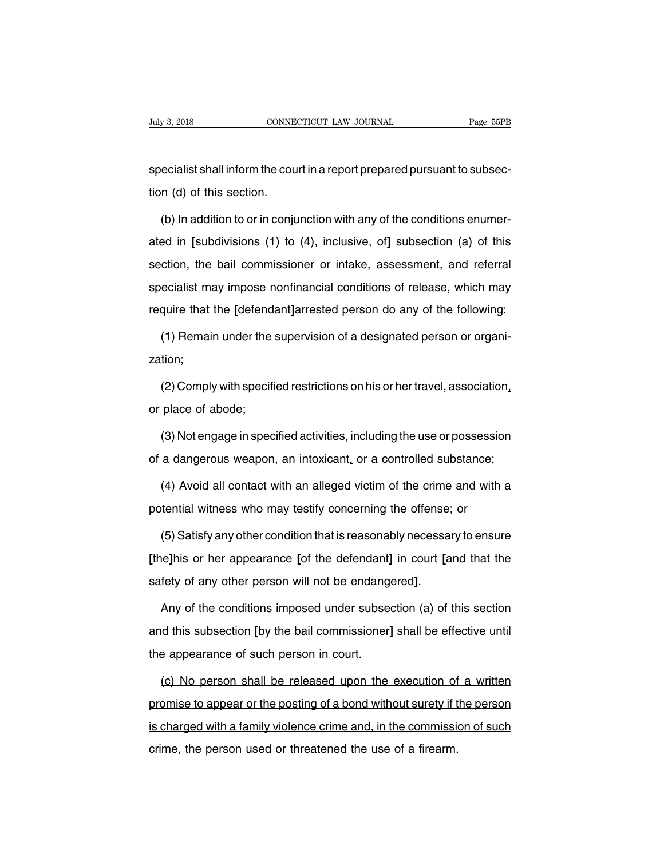Fuly 3, 2018<br>CONNECTICUT LAW JOURNAL Page 55PB<br>Specialist shall inform the court in a report prepared pursuant to subsec-<br>tion (d) of this section. July 3, 2018<br>
specialist shall inform the courtion (d) of this section.<br>
(b) In addition to or in coniu

ecialist shall inform the court in a report prepared pursuant to subsec-<br>
(b) In addition to or in conjunction with any of the conditions enumer-<br>
ed in [subdivisions (1) to (4), inclusive, of] subsection (a) of this specialist shall inform the court in a report prepared pursuant to subsection (d) of this section.<br>
(b) In addition to or in conjunction with any of the conditions enumerated in [subdivisions (1) to (4), inclusive, of] sub ion (d) of this section.<br>
(b) In addition to or in conjunction with any of the conditions enumer-<br>
ated in [subdivisions (1) to (4), inclusive, of] subsection (a) of this<br>
section, the bail commissioner <u>or intake, assessm</u> (b) In addition to or in conjunction with any of the conditions enumer-<br>ated in [subdivisions (1) to (4), inclusive, of] subsection (a) of this<br>section, the bail commissioner <u>or intake, assessment, and referral</u><br>specialis require that the [defendant]arrested person do any of the following:<br> **ated in [subdivisions (1) to (4), inclusive, of] subsection (a) of this**<br>
section, the bail commissioner <u>or intake, assessment, and referral</u><br>
special ction, the bail commissioner <u>or intake, assessment, and referral</u><br>ecialist may impose nonfinancial conditions of release, which may<br>quire that the [defendant]arrested person do any of the following:<br>(1) Remain under the s

zation; quire that the [defendant]arrested person do any of the following:<br>(1) Remain under the supervision of a designated person or organi-<br>tion;<br>(2) Comply with specified restrictions on his or her travel, association,<br>place of (1) Remain under the<br>zation;<br>(2) Comply with specifier place of abode;<br>(3) Not engage in spec

(2) Comply with specified restrictions on his or her travel, association,<br>place of abode;<br>(3) Not engage in specified activities, including the use or possession<br>a dangerous weapon, an intoxicant, or a controlled substance (2) Comply with specified restrictions on his or her travel, association,<br>or place of abode;<br>(3) Not engage in specified activities, including the use or possession<br>of a dangerous weapon, an intoxicant, or a controlled sub place of abode;<br>(3) Not engage in specified activities, including the use or possession<br>a dangerous weapon, an intoxicant, or a controlled substance;<br>(4) Avoid all contact with an alleged victim of the crime and with a<br>ten (3) Not engage in specified activities, including the use or possessic<br>of a dangerous weapon, an intoxicant, or a controlled substance;<br>(4) Avoid all contact with an alleged victim of the crime and with<br>potential witness

a dangerous weapon, an intoxicant, or a controlled substance;<br>(4) Avoid all contact with an alleged victim of the crime and with a<br>tential witness who may testify concerning the offense; or<br>(5) Satisfy any other condition (4) Avoid all contact with an alleged victim of the crime and with a<br>potential witness who may testify concerning the offense; or<br>(5) Satisfy any other condition that is reasonably necessary to ensure<br>**[the]his or her appe** spotential witness who may testify concerning the offense; or<br>
(5) Satisfy any other condition that is reasonably necessary to ensure<br>
[the]his or her appearance [of the defendant] in court [and that the<br>
safety of any oth

[the]his or her appearance [of the defendant] in court [and that the safety of any other person will not be endangered].<br>Any of the conditions imposed under subsection (a) of this section and this subsection [by the bail c safety of any other person will not be endanger<br>Any of the conditions imposed under subset<br>and this subsection [by the bail commissioner]<br>the appearance of such person in court.<br>(c) No person shall be released upon the Any of the conditions imposed under subsection (a) of this section<br>d this subsection [by the bail commissioner] shall be effective until<br>e appearance of such person in court.<br>(c) No person shall be released upon the execut

and this subsection [by the bail commissioner] shall be effective until<br>the appearance of such person in court.<br>(c) No person shall be released upon the execution of a written<br>promise to appear or the posting of a bond wit the appearance of such person in court.<br>
(c) No person shall be released upon the execution of a written<br>
promise to appear or the posting of a bond without surety if the person<br>
is charged with a family violence crime and (c) No person shall be released upon the execution of<br>promise to appear or the posting of a bond without surety if t<br>is charged with a family violence crime and, in the commissic<br>crime, the person used or threatened the us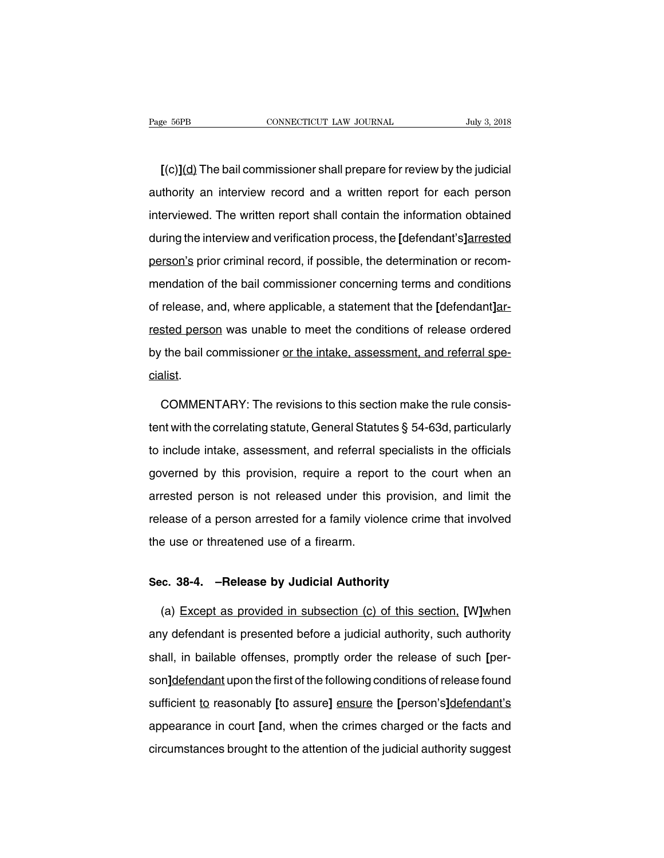**EXECUTE ACTE CONNECTICUT LAW JOURNAL THE SEPB**<br> **[(c)](d)** The bail commissioner shall prepare for review by the judicial<br>
thority an interview record and a written report for each person Page 56PB CONNECTICUT LAW JOURNAL July 3, 2018<br>  $[(c)](d)$  The bail commissioner shall prepare for review by the judicial<br>
authority an interview record and a written report for each person<br>
interviewed. The written report s I(c)](d) The bail commissioner shall prepare for review by the judicial<br>authority an interview record and a written report for each person<br>interviewed. The written report shall contain the information obtained<br>during the i [(c)](d) The bail commissioner shall prepare for review by the judicial<br>authority an interview record and a written report for each person<br>interviewed. The written report shall contain the information obtained<br>during the i authority an interview record and a written report for each person<br>interviewed. The written report shall contain the information obtained<br>during the interview and verification process, the [defendant's]arrested<br>person's pr interviewed. The written report shall contain the information obtained<br>during the interview and verification process, the [defendant's]arrested<br>person's prior criminal record, if possible, the determination or recom-<br>menda during the interview and verification process, the [defendant's]arrested<br>person's prior criminal record, if possible, the determination or recom-<br>mendation of the bail commissioner concerning terms and conditions<br>of releas person's prior criminal record, if possible, the determination or recom-<br>mendation of the bail commissioner concerning terms and conditions<br>of release, and, where applicable, a statement that the [defendant]ar-<br>rested pers by the bail commissioner concerning terms and conditions<br>of release, and, where applicable, a statement that the [defendant]ar-<br>rested person was unable to meet the conditions of release ordered<br>by the bail commissioner <u>o</u> cialist. sted person was unable to meet the conditions of release ordered<br>the bail commissioner <u>or the intake, assessment, and referral spe-</u><br>alist.<br>COMMENTARY: The revisions to this section make the rule consis-<br>nt with the corre

the bail commissioner <u>or the intake, assessment, and referral specialist</u>.<br>COMMENTARY: The revisions to this section make the rule consistent with the correlating statute, General Statutes § 54-63d, particularly<br>to includ cialist.<br>COMMENTARY: The revisions to this section make the rule consis-<br>tent with the correlating statute, General Statutes § 54-63d, particularly<br>to include intake, assessment, and referral specialists in the officials<br>g COMMENTARY: The revisions to this section make the rule consistent with the correlating statute, General Statutes § 54-63d, particularly to include intake, assessment, and referral specialists in the officials governed by dentified with the correlating statute, General Statutes § 54-63d, particularly<br>to include intake, assessment, and referral specialists in the officials<br>governed by this provision, require a report to the court when an<br>arr relative of a person arrested for a family violence crime that involved<br>governed by this provision, require a report to the court when an<br>arrested person is not released under this provision, and limit the<br>release of a per to motate make, assessment, and referral supportened by this provision, require a reportancested person is not released under this release of a person arrested for a family viole the use or threatened use of a firearm. arrested person is not released under this provision, a<br>release of a person arrested for a family violence crime ti<br>the use or threatened use of a firearm.<br>**Sec. 38-4.** –**Release by Judicial Authority**<br>(a) Except as provid

(a) Except as provided in subsection (c) of this section, **[W]when**<br>(a) Except as provided in subsection (c) of this section, **[W]when**<br>(a) Except as provided in subsection (c) of this section, **[W]when**<br>in defendant is pr sec. 38-4. –Release by Judicial Authority<br>
(a) Except as provided in subsection (c) of this section, [W]when<br>
any defendant is presented before a judicial authority, such authority<br>
shall, in bailable offenses, promptly or Sec. 38-4. –Release by Judicial Authority<br>
(a) Except as provided in subsection (c) of this section, [W]when<br>
any defendant is presented before a judicial authority, such authority<br>
shall, in bailable offenses, promptly or (a) Except as provided in subsection (c) of this section. [W]when<br>any defendant is presented before a judicial authority, such authority<br>shall, in bailable offenses, promptly order the release of such [per-<br>son]defendant u sure process in succession, by succession,  $[\cdot]$  and  $[\cdot]$  and  $[\cdot]$  and  $[\cdot]$  and  $[\cdot]$  and  $[\cdot]$  and  $[\cdot]$  shall, in bailable offenses, promptly order the release of such [person]defendant upon the first of the following any detendant to procentical detect of yalatical determiny, solen dialities,<br>shall, in bailable offenses, promptly order the release of such [per-<br>son]<u>defendant</u> upon the first of the following conditions of release found son]defendant upon the first of the following conditions of release found<br>sufficient to reasonably [to assure] ensure the [person's]defendant's<br>appearance in court [and, when the crimes charged or the facts and<br>circumstanc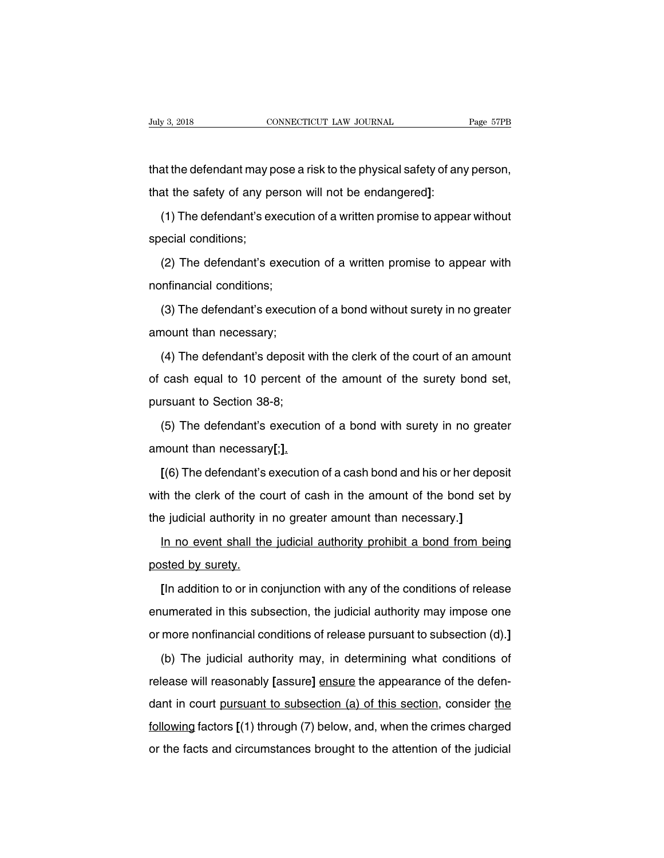that the defendant may pose a risk to the physical safety of any person,<br>that the defendant may pose a risk to the physical safety of any person,<br>that the safety of any person will not be endangered]: that the defendant may pose a risk to the physical safety of any<br>that the safety of any person will not be endangered]:<br>(1) The defendant's execution of a written promise to appea at the defendant may pose a risk to the physical safety of any person,<br>at the safety of any person will not be endangered]:<br>(1) The defendant's execution of a written promise to appear without<br>ecial conditions; that the defendant may p<br>that the safety of any pe<br>(1) The defendant's ex<br>special conditions;<br>(2) The defendant's e

at the safety of any person will not be endangered]:<br>
(1) The defendant's execution of a written promise to appear without<br>
ecial conditions;<br>
(2) The defendant's execution of a written promise to appear with<br>
infinancial (1) The defendant's executi<br>special conditions;<br>(2) The defendant's execution<br>nonfinancial conditions;<br>(3) The defendant's execution

(2) The defendant's execution<br>nonfinancial conditions;<br>(3) The defendant's execution<br>amount than necessary;<br>(4) The defendant's deposit

(2) The defendant's execution of a written promise to appear with<br>nfinancial conditions;<br>(3) The defendant's execution of a bond without surety in no greater<br>nount than necessary;

(3) The defendant's execution of a bond without surety in no greater<br>nount than necessary;<br>(4) The defendant's deposit with the clerk of the court of an amount<br>cash equal to 10 percent of the amount of the surety bond set, (3) The defendant's execution of a bond without surety in no greater<br>amount than necessary;<br>(4) The defendant's deposit with the clerk of the court of an amount<br>of cash equal to 10 percent of the amount of the surety bond amount than necessary;<br>
(4) The defendant's deposit w<br>
of cash equal to 10 percent of<br>
pursuant to Section 38-8;<br>
(5) The defendant's execution (4) The defendant's deposit with the clerk of the court of an amount<br>cash equal to 10 percent of the amount of the surety bond set,<br>rsuant to Section 38-8;<br>(5) The defendant's execution of a bond with surety in no greater amount than necessary **[;]**.<br> **[(6)** The defendant's execution of a bond with surety in no greater amount than necessary **[;]**.<br> **[(6)** The defendant's execution of a cash bond and his or her deposit with the clerk of the

(5) The defendant's execution of a bond with surety in no greater<br>amount than necessary[;].<br> $[(6)$  The defendant's execution of a cash bond and his or her deposit<br>with the clerk of the court of cash in the amount of the bo amount than necessary[;].<br>
[(6) The defendant's execution of a cash bond and his or her depo<br>
with the clerk of the court of cash in the amount of the bond set<br>
the judicial authority in no greater amount than necessary.]<br> I(6) The defendant's execution of a cash bond and his or her deposit<br>th the clerk of the court of cash in the amount of the bond set by<br>e judicial authority in no greater amount than necessary.]<br>In no event shall the judi with the clerk of the computer with the clerk of the computer of the computer of the posted by surety.<br>In no event shall the posted by surety.

Figure 1 in a dition to or in conjunction with an interessary.]<br> **In no event shall the judicial authority prohibit a bond from being**<br>
sted by surety.<br>
[In addition to or in conjunction with any of the conditions of relea In no event shall the judicial authority prohibit a bond from being<br>posted by surety.<br>[In addition to or in conjunction with any of the conditions of release<br>enumerated in this subsection, the judicial authority may impose posted by surety.<br>
[In addition to or in conjunction with any of the conditions of release<br>
enumerated in this subsection, the judicial authority may impose one<br>
or more nonfinancial conditions of release pursuant to subse [In addition to or in conjunction with any of the conditions of release<br>umerated in this subsection, the judicial authority may impose one<br>more nonfinancial conditions of release pursuant to subsection (d).]<br>(b) The judici

enumerated in this subsection, the judicial authority may impose one<br>or more nonfinancial conditions of release pursuant to subsection (d).]<br>(b) The judicial authority may, in determining what conditions of<br>release will re or more nonfinancial conditions of release pursuant to subsection (d).]<br>
(b) The judicial authority may, in determining what conditions of<br>
release will reasonably [assure] ensure the appearance of the defen-<br>
dant in cour (b) The judicial authority may, in determining what conditions of release will reasonably [assure] ensure the appearance of the defen-<br>dant in court <u>pursuant to subsection (a) of this section</u>, consider the following fact release will reasonably [assure] ensure the appearance of the defen-<br>dant in court pursuant to subsection (a) of this section, consider the<br>following factors [(1) through (7) below, and, when the crimes charged<br>or the fact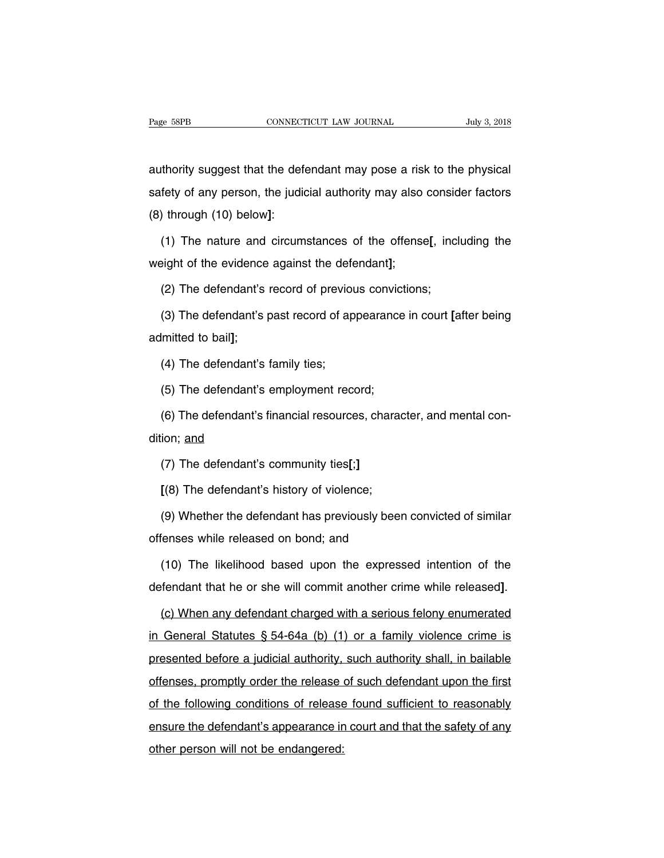Page 58PB<br>
CONNECTICUT LAW JOURNAL<br>
authority suggest that the defendant may pose a risk to the physical<br>
safety of any person, the judicial authority may also consider factors Fage 58PB CONNECTICUT LAW JOURNAL July 3, 2018<br>authority suggest that the defendant may pose a risk to the physical<br>safety of any person, the judicial authority may also consider factors<br>(8) through (10) below]: (a) the unity suggest that the def<br>
safety of any person, the judio<br>
(8) through (10) below]:<br>
(1) The nature and circum (1) The nature and circumstances of the offense**[**, including the nature and circumstances of the offense**[**, including the nature and circumstances of the offense**[**, including the hight of the evidence against the defend safety of any person, the judicial authority may also<br>(8) through (10) below]:<br>(1) The nature and circumstances of the offense<br>weight of the evidence against the defendant];<br>(2) The defendant's record of previous convictio

(1) The nature and circumstances of the offense[, inclear<br>
1) The nature and circumstances of the offense[, inclear<br>
1) The defendant's record of previous convictions;<br>
1) The defendant's past record of appearance in court

(1) The nature and circumstances of the offense[, including the<br>eight of the evidence against the defendant];<br>(2) The defendant's record of previous convictions;<br>(3) The defendant's past record of appearance in court [afte weight of the evidence<br>(2) The defendant's<br>(3) The defendant's<br>admitted to bail];<br>(4) The defendant's (2) The defendant's record of previou<br>(3) The defendant's past record of ap<br>lmitted to bail];<br>(4) The defendant's family ties;<br>(5) The defendant's employment reco (3) The defendant's past record of appearance<br>Imitted to bail];<br>(4) The defendant's family ties;<br>(5) The defendant's employment record;<br>(6) The defendant's financial resources, charac

Imitted to bail];<br>(4) The defendant's family ties;<br>(5) The defendant's employment record;<br>(6) The defendant's financial resources, character, and mental con-<br>ion; <u>and</u> (4) The defendant's<br>
(5) The defendant's<br>
(6) The defendant's<br>
dition; <u>and</u><br>
(7) The defendant's (5) The defendant's employment record;<br>(6) The defendant's financial resources, chara<br>ion; <u>and</u><br>(7) The defendant's community ties[;]<br>[(8) The defendant's history of violence; (6) The defendant's financial resources, charad<br>ion; <u>and</u><br>(7) The defendant's community ties[;]<br>[(8) The defendant's history of violence;<br>(9) Whether the defendant has previously been

ion; <u>and</u><br>(7) The defendant's community ties[;]<br>[(8) The defendant's history of violence;<br>(9) Whether the defendant has previously been convicted of similar<br>fenses while released on bond; and (7) The defendant's community ties[;]<br> $[(8)$  The defendant's history of violence;<br> $(9)$  Whether the defendant has previously been<br>offenses while released on bond; and<br> $(10)$  The likelihood based upon the express

(8) The defendant's history of violence;<br>(9) Whether the defendant has previously been convicted of similar<br>fenses while released on bond; and<br>(10) The likelihood based upon the expressed intention of the<br>fendant that he o (9) Whether the defendant has previously been convicted of similar<br>offenses while released on bond; and<br>(10) The likelihood based upon the expressed intention of the<br>defendant that he or she will commit another crime while

(10) The likelihood based upon the expressed intention of the defendant that he or she will commit another crime while released].<br>
(c) When any defendant charged with a serious felony enumerated in General Statutes § 54-6 defendant that he or she will commit another crime while released].<br>
(c) When any defendant charged with a serious felony enumerated<br>
in General Statutes § 54-64a (b) (1) or a family violence crime is<br>
presented before a j (c) When any defendant charged with a serious felony enumerated<br>in General Statutes § 54-64a (b) (1) or a family violence crime is<br>presented before a judicial authority, such authority shall, in bailable<br>offenses, promptly in General Statutes § 54-64a (b) (1) or a family violence crime is<br>presented before a judicial authority, such authority shall, in bailable<br>offenses, promptly order the release of such defendant upon the first<br>of the follo presented before a judicial authority, such authority shall, in bailable<br>offenses, promptly order the release of such defendant upon the first<br>of the following conditions of release found sufficient to reasonably<br>ensure th procentica before a jadicial datifolity,<br>offenses, promptly order the release<br>of the following conditions of release<br>ensure the defendant's appearance in<br>other person will not be endangered: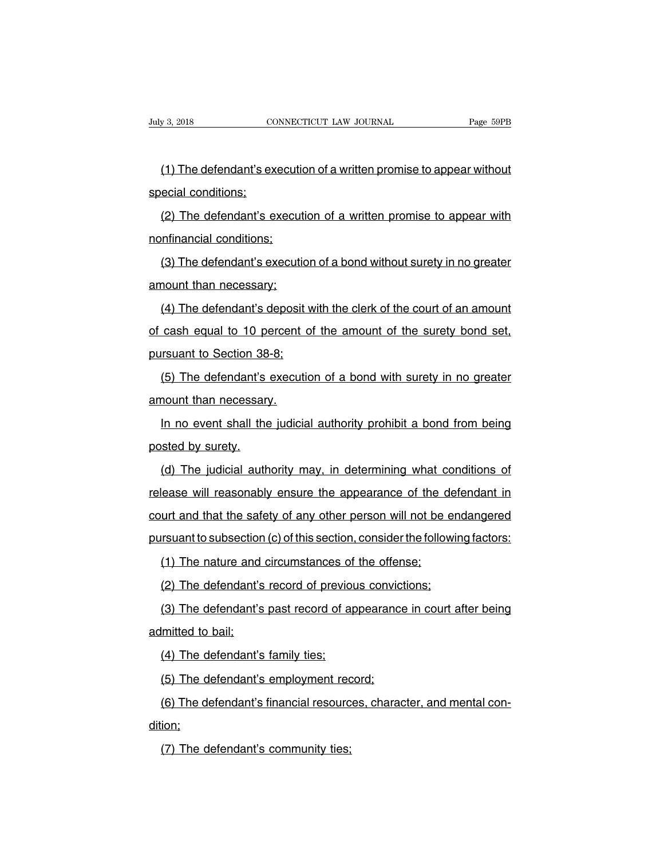(1) The defendant's execution of a written promise to appear without<br>ecial conditions; July 3, 2018<br>
(1) The defendant's ex<br>
special conditions;<br>
(2) The defendant's e

(1) The defendant's execution of a written promise to appear without<br>ecial conditions;<br>(2) The defendant's execution of a written promise to appear with<br>infinancial conditions; (1) The defendant's executi<br>special conditions;<br>(2) The defendant's execution<br>nonfinancial conditions;<br>(3) The defendant's execution

(2) The defendant's execution of a written promise to appear with<br>nfinancial conditions;<br>(3) The defendant's execution of a bond without surety in no greater<br>nount than necessary; (2) The defendant's execution<br>nonfinancial conditions;<br>(3) The defendant's execution<br>amount than necessary;<br>(4) The defendant's deposit

(3) The defendant's execution of a bond without surety in no greater<br>nount than necessary;<br>(4) The defendant's deposit with the clerk of the court of an amount<br>cash equal to 10 percent of the amount of the surety bond set, (3) The defendant's execution of a bond without surety in no greater<br>amount than necessary;<br>(4) The defendant's deposit with the clerk of the court of an amount<br>of cash equal to 10 percent of the amount of the surety bond amount than necessary;<br>(4) The defendant's deposit work cash equal to 10 percent of<br>pursuant to Section 38-8;<br>(5) The defendant's execution (4) The defendant's deposit with the clerk of the court of an amount<br>cash equal to 10 percent of the amount of the surety bond set,<br>rsuant to Section 38-8;<br>(5) The defendant's execution of a bond with surety in no greater<br> of cash equal to 10 percent<br>pursuant to Section 38-8;<br>(5) The defendant's execution<br>amount than necessary.<br>In no event shall the judicia

In the Section 38-8:<br>
In the defendant's execution of a bond with surety in no greater<br>
In no event shall the judicial authority prohibit a bond from being<br>
In no event shall the judicial authority prohibit a bond from bei (5) The defendant's<br>amount than necessary<br>In no event shall the<br>posted by surety.<br>(d) The judicial auth

(a)<br>
(d) The judicial authority prohibit a bond from being<br>
(d) The judicial authority may, in determining what conditions of<br>
(ease will reasonably ensure the appearance of the defendant in In no event shall the judicial authority prohibit a bond from being<br>posted by surety.<br>(d) The judicial authority may, in determining what conditions of<br>release will reasonably ensure the appearance of the defendant in<br>cour posted by surety.<br>(d) The judicial authority may, in determining what conditions of<br>release will reasonably ensure the appearance of the defendant in<br>court and that the safety of any other person will not be endangered<br>pur (d) The judicial authority may, in determining what conditions of release will reasonably ensure the appearance of the defendant in court and that the safety of any other person will not be endangered pursuant to subsectio (2) The jastical dationty may, in accomming that as<br>lease will reasonably ensure the appearance of the d<br>urt and that the safety of any other person will not be a<br>rsuant to subsection (c) of this section, consider the foll urt and that the safety of any other person will not be en<br>insuant to subsection (c) of this section, consider the followir<br>(1) The nature and circumstances of the offense;<br>(2) The defendant's record of previous conviction

(1) The nature and circumstances of the offense;<br>
(2) The defendant's record of previous convictions;<br>
(3) The defendant's past record of appearance in court after being<br>
Imitted to bail; (1) The nature and<br>(2) The defendant's<br>(3) The defendant's<br>admitted to bail;<br>(4) The defendant's (2) The defendant's record of previou<br>(3) The defendant's past record of ap<br>lmitted to bail;<br>(4) The defendant's family ties;<br>(5) The defendant's employment reco (3) The defendant's past record of appearance<br>
imitted to bail:<br>
(4) The defendant's family ties;<br>
(5) The defendant's employment record;<br>
(6) The defendant's financial resources, charac

(4) The defendant's family ties;<br>
(4) The defendant's family ties;<br>
(5) The defendant's employment record;<br>
(6) The defendant's financial resources, character, and mental con-<br>
ion; dition; (5) The defendant's employment red<br>(6) The defendant's financial resourcion;<br>(7) The defendant's community ties;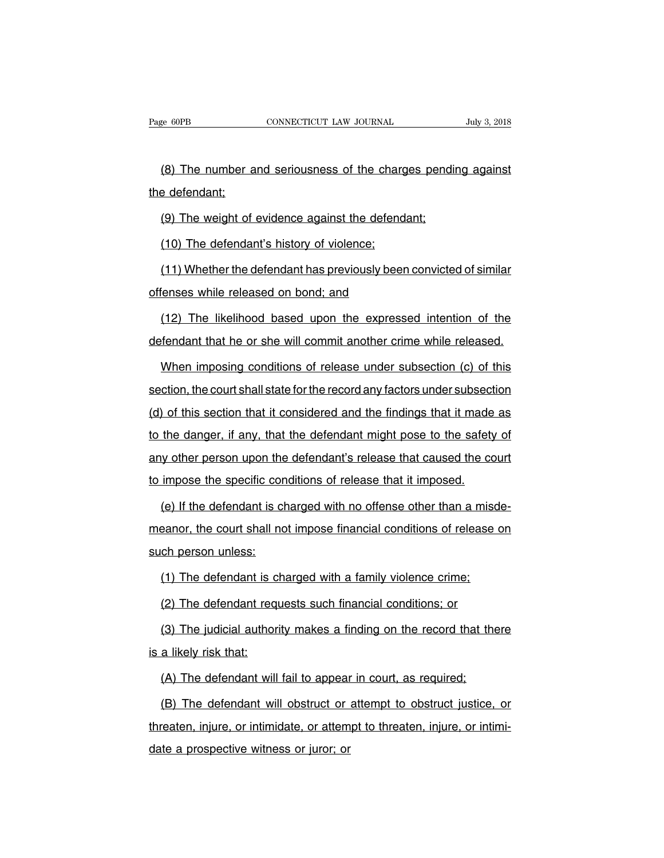(8) The number and seriousness of the charges pending against<br>
get and seriousness of the charges pending against<br>
get and the charges pending against<br>
get and the charges pending against<br>
get and the charges pending again Page 60PB<br>
(8) The number a<br>
the defendant;<br>
(9) The weight of (8) The number and seriousness of the charges pendinent<br>of defendant;<br>(9) The weight of evidence against the defendant;<br>(10) The defendant's history of violence; (8) The number and seriousness of the chargender defendant;<br>(9) The weight of evidence against the defend<br>(10) The defendant's history of violence;<br>(11) Whether the defendant has previously been

e defendant;<br>(9) The weight of evidence against the defendant;<br>(10) The defendant's history of violence;<br>(11) Whether the defendant has previously been convicted of similar<br>fenses while released on bond; and (9) The weight of evidence against the defenda<br>(10) The defendant's history of violence;<br>(11) Whether the defendant has previously been<br>offenses while released on bond; and<br>(12) The likelihood based upon the express (10) The defendant's history of violence;<br>(11) Whether the defendant has previously been convicted of similar<br>fenses while released on bond; and<br>(12) The likelihood based upon the expressed intention of the<br>fendant that he (11) Whether the defendant has previously been convicted of similar<br>offenses while released on bond; and<br>(12) The likelihood based upon the expressed intention of the<br>defendant that he or she will commit another crime whil

Frances while released on bond; and<br>
(12) The likelihood based upon the expressed intention of the<br>
fendant that he or she will commit another crime while released.<br>
When imposing conditions of release under subsection (c) (12) The likelihood based upon the expressed intention of the defendant that he or she will commit another crime while released.<br>When imposing conditions of release under subsection (c) of this section, the court shall sta defendant that he or she will commit another crime while released.<br>When imposing conditions of release under subsection (c) of this<br>section, the court shall state for the record any factors under subsection<br>(d) of this sec When imposing conditions of release under subsection (c) of this<br>section, the court shall state for the record any factors under subsection<br>(d) of this section that it considered and the findings that it made as<br>to the dan any of this section, the court shall state for the record any factors under subsection<br>(d) of this section that it considered and the findings that it made as<br>to the danger, if any, that the defendant might pose to the saf (d) of this section that it considered and the findings that it made<br>to the danger, if any, that the defendant might pose to the safety<br>any other person upon the defendant's release that caused the co<br>to impose the specifi the danger, if any, that the defendant might pose to the safety of<br>y other person upon the defendant's release that caused the court<br>impose the specific conditions of release that it imposed.<br>(e) If the defendant is charge

any other person upon the defendant's release that caused the court<br>to impose the specific conditions of release that it imposed.<br>(e) If the defendant is charged with no offense other than a misde-<br>meanor, the court shall to impose the specific cor<br>
(e) If the defendant is cl<br>
meanor, the court shall no<br>
such person unless:<br>
(1) The defendant is ch (e) If the defendant is charged with no offense other than a misd<br>eanor, the court shall not impose financial conditions of release of<br>ch person unless:<br>(1) The defendant is charged with a family violence crime;<br>(2) The de (1) The court shall not impose financial conditions of release<br>
(1) The defendant is charged with a family violence crime;<br>
(2) The defendant requests such financial conditions; or<br>
(3) The judicial authority makes a findi

(1) The defendant is charged with a family violence crime;<br>(2) The defendant requests such financial conditions; or<br>(3) The judicial authority makes a finding on the record that there<br>a likely risk that: (1) The defendant is c<br>(2) The defendant req<br>(3) The judicial author<br>is a likely risk that:<br>(A) The defendant will (2) The defendant requests such financial conditions; or<br>(3) The judicial authority makes a finding on the record that the<br>a likely risk that:<br>(A) The defendant will fail to appear in court, as required;<br>(B) The defendant

(3) The judicial authority makes a finding on the record that there<br>a likely risk that:<br>(A) The defendant will fail to appear in court, as required;<br>(B) The defendant will obstruct or attempt to obstruct justice, or<br>reaten theorythum is a likely risk that:<br>
(A) The defendant will fail to appear in court, as required;<br>
(B) The defendant will obstruct or attempt to obstruct justice, or<br>
threaten, injure, or intimidate, or attempt to threaten, (A) The defendant will fail to appear<br>(B) The defendant will obstruct or<br>threaten, injure, or intimidate, or attem<br>date a prospective witness or juror; or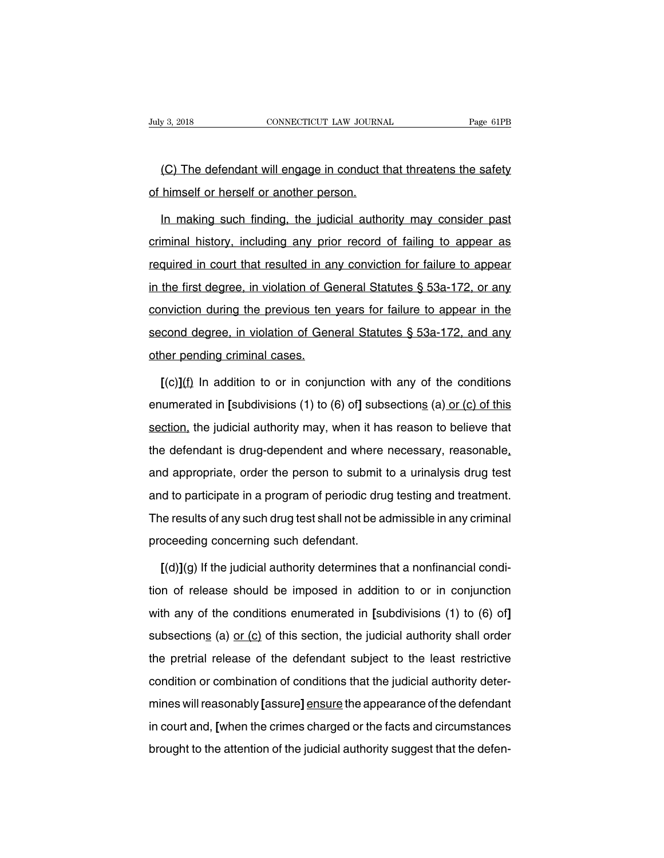v 3, 2018 CONNECTICUT LAW JOURNAL Page 61PB<br>(C) The defendant will engage in conduct that threatens the safety<br>himself or herself or another person. July 3, 2018 CONNECTICUT LAW JOURNA<br>
(C) The defendant will engage in conduct to thimself or herself or another person.<br>
In making such finding, the judicial author

(C) The defendant will engage in conduct that threatens the safety<br>himself or herself or another person.<br>In making such finding, the judicial authority may consider past<br>minal history, including any prior record of failing (C) The defendant will engage in conduct that threatens the safety<br>of himself or herself or another person.<br>In making such finding, the judicial authority may consider past<br>criminal history, including any prior record of f of himself or herself or another person.<br>In making such finding, the judicial authority may consider past<br>criminal history, including any prior record of failing to appear as<br>required in court that resulted in any convicti In making such finding, the judicial authority may consider past<br>criminal history, including any prior record of failing to appear as<br>required in court that resulted in any conviction for failure to appear<br>in the first deg criminal history, including any prior record of failing to appear as<br>required in court that resulted in any conviction for failure to appear<br>in the first degree, in violation of General Statutes § 53a-172, or any<br>convictio between the first degree, in violation of General Statutes § 53a-172, or any conviction during the previous ten years for failure to appear in the second degree, in violation of General Statutes § 53a-172, or any convictio in the first degree, in violation of Geonviction during the previous tense<br>conviction during the previous tensecond degree, in violation of Gen<br>other pending criminal cases.<br> $\Gamma(c)1(f)$  In addition to or in conjui mviction during the previous ten years for failure to appear in the<br>cond degree, in violation of General Statutes § 53a-172, and any<br>ner pending criminal cases.<br>[(c)](f) In addition to or in conjunction with any of the con

second degree, in violation of General Statutes § 53a-172, and any<br>other pending criminal cases.<br>[(c)](f) In addition to or in conjunction with any of the conditions<br>enumerated in [subdivisions (1) to (6) of] subsections ( other pending criminal cases.<br>
[(c)](f) In addition to or in conjunction with any of the conditions<br>
enumerated in [subdivisions (1) to (6) of] subsections (a) or (c) of this<br>
section, the judicial authority may, when it h  $[(c)](f)$  In addition to or in conjunction with any of the conditions<br>enumerated in [subdivisions (1) to (6) of] subsections (a) or (c) of this<br>section, the judicial authority may, when it has reason to believe that<br>the de enumerated in [subdivisions (1) to (6) of] subsections (a) or (c) of this section, the judicial authority may, when it has reason to believe that the defendant is drug-dependent and where necessary, reasonable, and approp section, the judicial authority may, when it has reason to believe that<br>the defendant is drug-dependent and where necessary, reasonable,<br>and appropriate, order the person to submit to a urinalysis drug test<br>and to particip the defendant is drug-dependent and where necessary, reasonable, and appropriate, order the person to submit to a urinalysis drug test and to participate in a program of periodic drug testing and treatment.<br>The results of and appropriate, order the person to submit t<br>and to participate in a program of periodic drug<br>The results of any such drug test shall not be ad<br>proceeding concerning such defendant.<br>[(d)](g) If the iudicial authority dete In the participate in a program of periodic drug testing and treatment.<br>
Ile results of any such drug test shall not be admissible in any criminal<br>
Deceding concerning such defendant.<br> **[(d)](g)** If the judicial authority

The results of any such drug test shall not be admissible in any criminal<br>proceeding concerning such defendant.<br>[(d)](g) If the judicial authority determines that a nonfinancial condi-<br>tion of release should be imposed in proceeding concerning such defendant.<br>
[(d)](g) If the judicial authority determines that a nonfinancial condition of release should be imposed in addition to or in conjunction<br>
with any of the conditions enumerated in [su  $[(d)](g)$  If the judicial authority determines that a nonfinancial condition of release should be imposed in addition to or in conjunction with any of the conditions enumerated in [subdivisions (1) to (6) of] subsections ( tion of release should be imposed in addition to or in conjunction<br>with any of the conditions enumerated in [subdivisions (1) to (6) of]<br>subsections (a) or (c) of this section, the judicial authority shall order<br>the pretr tion of release should be imposed in addition to or in conjunction<br>with any of the conditions enumerated in [subdivisions (1) to (6) of]<br>subsections (a)  $or (c)$  of this section, the judicial authority shall order<br>the </u> subsections (a) <u>or (c</u>) of this section, the judicial authority shall order<br>the pretrial release of the defendant subject to the least restrictive<br>condition or combination of conditions that the judicial authority deter-<br> the pretrial release of the defendant subject to the least restrictive<br>condition or combination of conditions that the judicial authority deter-<br>mines will reasonably [assure] ensure the appearance of the defendant<br>in cour and promal release of the defendant edgloot to the least redinative<br>condition or combination of conditions that the judicial authority deter-<br>mines will reasonably [assure] ensure the appearance of the defendant<br>in court a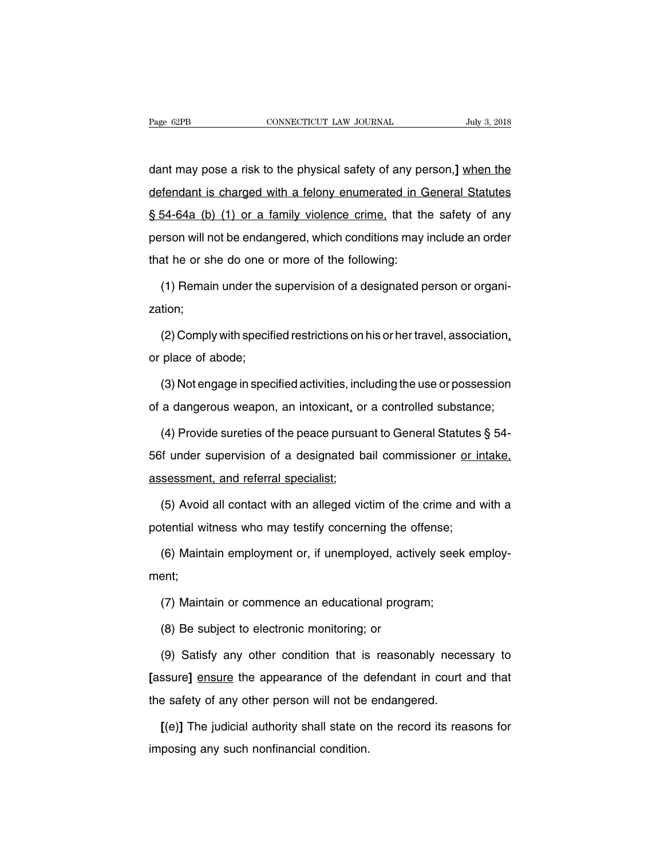Page 62PB CONNECTICUT LAW JOURNAL July 3, 2018<br>
dant may pose a risk to the physical safety of any person, <u>] when the defendant is charged with a felony enumerated in General Statutes</u> Page 62PB CONNECTICUT LAW JOURNAL July 3, 2018<br>
dant may pose a risk to the physical safety of any person,] <u>when the</u><br>
defendant is charged with a felony enumerated in General Statutes<br>
§ 54-64a (b) (1) or a family violen dant may pose a risk to the physical safety of any person,] when the<br>defendant is charged with a felony enumerated in General Statutes<br>§ 54-64a (b) (1) or a family violence crime, that the safety of any<br>person will not be dant may pose a risk to the physical safety of any person,] when the defendant is charged with a felony enumerated in General Statutes § 54-64a (b) (1) or a family violence crime, that the safety of any person will not be defendant is charged with a felony enumerated in C<br>S 54-64a (b) (1) or a family violence crime, that th<br>person will not be endangered, which conditions may<br>that he or she do one or more of the following:<br>(1) Remain under t  $54-64a$  (b) (1) or a family violence crime, that the safety of any rrson will not be endangered, which conditions may include an order at he or she do one or more of the following:<br>(1) Remain under the supervision of a d

zation;

at he or she do one or more of the following:<br>
(1) Remain under the supervision of a designated person or organi-<br>
tion;<br>
(2) Comply with specified restrictions on his or her travel, association,<br>
place of abode; (1) Remain under the<br>zation;<br>(2) Comply with specifi<br>or place of abode;<br>(3) Not engage in spec (2) Comply with specified restrictions on his or her travel, association,<br>place of abode;<br>(3) Not engage in specified activities, including the use or possession<br>a dangerous weapon, an intoxicant, or a controlled substance (2) Comply with specified restrictions on his or her travel, association,<br>or place of abode;<br>(3) Not engage in specified activities, including the use or possession<br>of a dangerous weapon, an intoxicant, or a controlled su

place of abode;<br>(3) Not engage in specified activities, including the use or possession<br>a dangerous weapon, an intoxicant, or a controlled substance;<br>(4) Provide sureties of the peace pursuant to General Statutes § 54-<br>if (3) Not engage in specified activities, including the use or possession<br>of a dangerous weapon, an intoxicant, or a controlled substance;<br>(4) Provide sureties of the peace pursuant to General Statutes § 54-<br>56f under super of a dangerous weapon, an intoxicant, or<br>
(4) Provide sureties of the peace pursua<br>
56f under supervision of a designated b<br>
assessment, and referral specialist;<br>
(5) Avoid all contact with an alleged vic (4) Provide sureties of the peace pursuant to General Statutes § 54-<br>
if under supervision of a designated bail commissioner <u>or intake,</u><br>
sessment, and referral specialist;<br>
(5) Avoid all contact with an alleged victim o 56f under supervision of a designated bail commissioner or in<br>assessment, and referral specialist;<br>(5) Avoid all contact with an alleged victim of the crime and v<br>potential witness who may testify concerning the offense;<br>(

sessment, and referral specialist;<br>(5) Avoid all contact with an alleged victim of the crime and with a<br>tential witness who may testify concerning the offense;<br>(6) Maintain employment or, if unemployed, actively seek emplo ment; tential witness who may testify concerning the offense;<br>(6) Maintain employment or, if unemployed, actively seek<br>ent;<br>(7) Maintain or commence an educational program;<br>(8) Be subiect to electronic monitoring; or (6) Maintain employment or, if unemployed, activent;<br>ent;<br>(7) Maintain or commence an educational progra<br>(8) Be subject to electronic monitoring; or<br>(9) Satisfy any other condition that is reasona

ent;<br>(7) Maintain or commence an educational program;<br>(8) Be subject to electronic monitoring; or<br>(9) Satisfy any other condition that is reasonably necessary to<br>ssure] <u>ensure</u> the appearance of the defendant in court and (7) Maintain or commence an educational program;<br>
(8) Be subject to electronic monitoring; or<br>
(9) Satisfy any other condition that is reasonably necessary to<br>
[assure] <u>ensure</u> the appearance of the defendant in court and (8) Be subject to electronic monitoring; or<br>
(9) Satisfy any other condition that is reasonably neces<br>
[assure] <u>ensure</u> the appearance of the defendant in court<br>
the safety of any other person will not be endangered.<br>
[( (9) Satisfy any other condition that is reasonably necessary to<br>ssure] <u>ensure</u> the appearance of the defendant in court and that<br>e safety of any other person will not be endangered.<br>[(e)] The judicial authority shall stat [assure] ensure the appearance of the d<br>the safety of any other person will not be<br>[(e)] The judicial authority shall state or<br>imposing any such nonfinancial condition.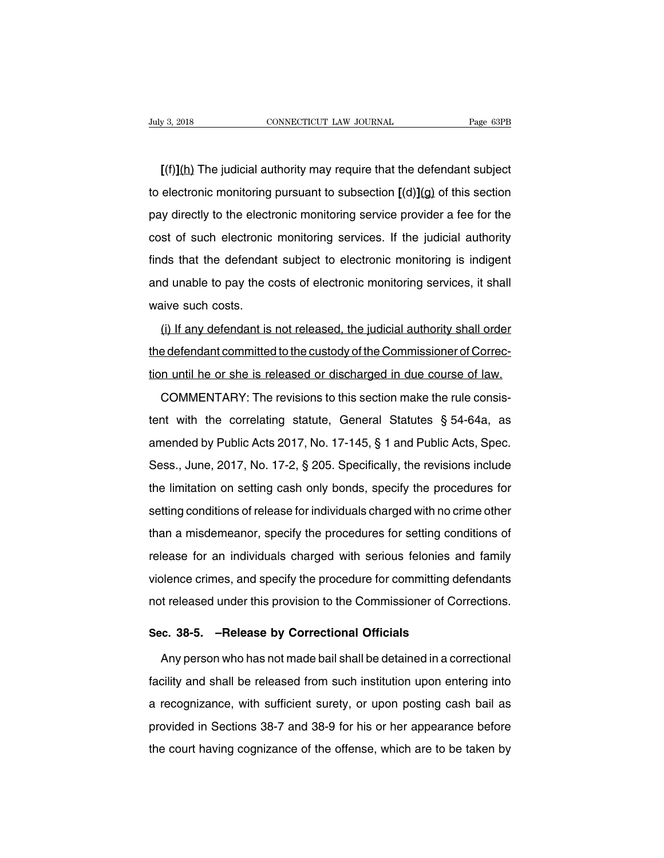**EXECUTE OF ALL CONNECTICUT LAW JOURNAL Page 63PB**<br> **[(f)](h)** The judicial authority may require that the defendant subject<br>
electronic monitoring pursuant to subsection [(d)](g) of this section to electronic monitoring pursuant to subsection **[(d)**](g) of this section<br>pay directly to the electronic monitoring pursuant to subsection **[(d)](g)** of this section<br>pay directly to the electronic monitoring service provi  $[(f)](h)$  The judicial authority may require that the defendant subject<br>to electronic monitoring pursuant to subsection  $[(d)](g)$  of this section<br>pay directly to the electronic monitoring service provider a fee for the<br>cost  $[(f)](h)$  The judicial authority may require that the defendant subject<br>to electronic monitoring pursuant to subsection  $[(d)](g)$  of this section<br>pay directly to the electronic monitoring service provider a fee for the<br>cost to electronic monitoring pursuant to subsection  $[(d)](g)$  of this section<br>pay directly to the electronic monitoring service provider a fee for the<br>cost of such electronic monitoring services. If the judicial authority<br>find and unable to pay the costs of electronic monitoring services. If the judicial authority finds that the defendant subject to electronic monitoring is indigent and unable to pay the costs of electronic monitoring services, pay allocaly to the electronic<br>cost of such electronic<br>finds that the defendan<br>and unable to pay the c<br>waive such costs.<br>(i) If any defendant is (i) If any defendant is not released, the judicial authority shall order<br>is indigent<br>(i) If any defendant is not released, the judicial authority shall order<br>edefendant committed to the custody of the Commissioner of Corre

the defendant committed to the custody of the Committed to the defendant committed to the custody of the Commissioner of Correction until he or she is released or discharged in due course of law. the dilation to pay the ecose of closificating the incrimently someocy in smaller<br>waive such costs.<br>(i) If any defendant is not released, the judicial authority shall order<br>the defendant committed to the custody of the Com (i) If any defendant is not released, the judicial authority shall order<br>edefendant committed to the custody of the Commissioner of Correc-<br>n until he or she is released or discharged in due course of law.<br>COMMENTARY: The

the defendant committed to the custody of the Commissioner of Correction until he or she is released or discharged in due course of law.<br>COMMENTARY: The revisions to this section make the rule consistent with the correlat and tion until he or she is released or discharged in due course of law.<br>COMMENTARY: The revisions to this section make the rule consistent with the correlating statute, General Statutes § 54-64a, as<br>amended by Public Acts COMMENTARY: The revisions to this section make the rule consistent with the correlating statute, General Statutes § 54-64a, as<br>amended by Public Acts 2017, No. 17-145, § 1 and Public Acts, Spec.<br>Sess., June, 2017, No. 17-2 tent with the correlating statute, General Statutes § 54-64a, as<br>amended by Public Acts 2017, No. 17-145, § 1 and Public Acts, Spec.<br>Sess., June, 2017, No. 17-2, § 205. Specifically, the revisions include<br>the limitation on setting conditions of release for individuals charged with no crime individuals charged with no crime induce the limitation on setting cash only bonds, specify the procedures for setting conditions of release for individua difference by Fashervele 2017, No. 17-110, y Fand Fashervele, oppositions, Sess., June, 2017, No. 17-2, § 205. Specifically, the revisions include the limitation on setting cash only bonds, specify the procedures for setti release, sand, 2017, 10.117 2, 3 200. Opcomodily, the revisions indicate<br>the limitation on setting cash only bonds, specify the procedures for<br>setting conditions of release for individuals charged with no crime other<br>than violence crimes of release for individuals charged with no crime other<br>than a misdemeanor, specify the procedures for setting conditions of<br>release for an individuals charged with serious felonies and family<br>violence crime than a misdemeanor, specify the procedures for setting conditions of<br>release for an individuals charged with serious felonies and family<br>violence crimes, and specify the procedure for committing defendants<br>not released und release for an individuals charged with serious felonies an violence crimes, and specify the procedure for committing defnot released under this provision to the Commissioner of Corr<br>**Sec. 38-5.** –**Release by Correctional** blence crimes, and specify the procedure for committing defendants<br>t released under this provision to the Commissioner of Corrections.<br>c. 38-5. –Release by Correctional Officials<br>Any person who has not made bail shall be d

Facility and shall be release by Correctional Officials<br>Any person who has not made bail shall be detained in a correctional<br>facility and shall be released from such institution upon entering into<br>a recognizance, with suff Sec. 38-5. –Release by Correctional Officials<br>Any person who has not made bail shall be detained in a correctional<br>facility and shall be released from such institution upon entering into<br>a recognizance, with sufficient sur Any person who has not made bail shall be detained in a correctional<br>facility and shall be released from such institution upon entering into<br>a recognizance, with sufficient surety, or upon posting cash bail as<br>provided in The court who has not made ban shall be dotal lot in a conceller distributed in a recognizance, with sufficient surety, or upon posting cash bail as provided in Sections 38-7 and 38-9 for his or her appearance before the c